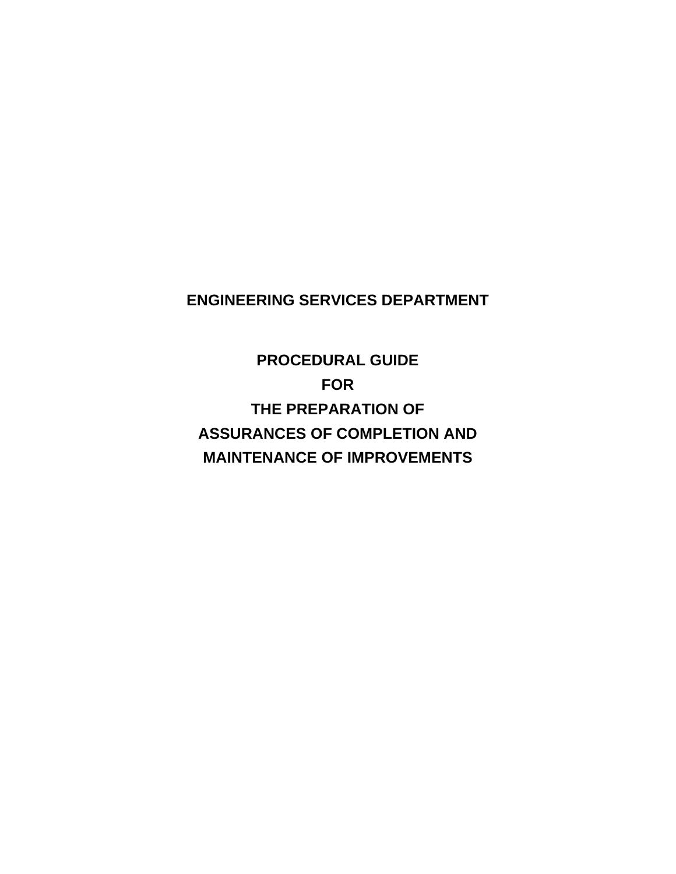# **ENGINEERING SERVICES DEPARTMENT**

**PROCEDURAL GUIDE FOR THE PREPARATION OF ASSURANCES OF COMPLETION AND MAINTENANCE OF IMPROVEMENTS**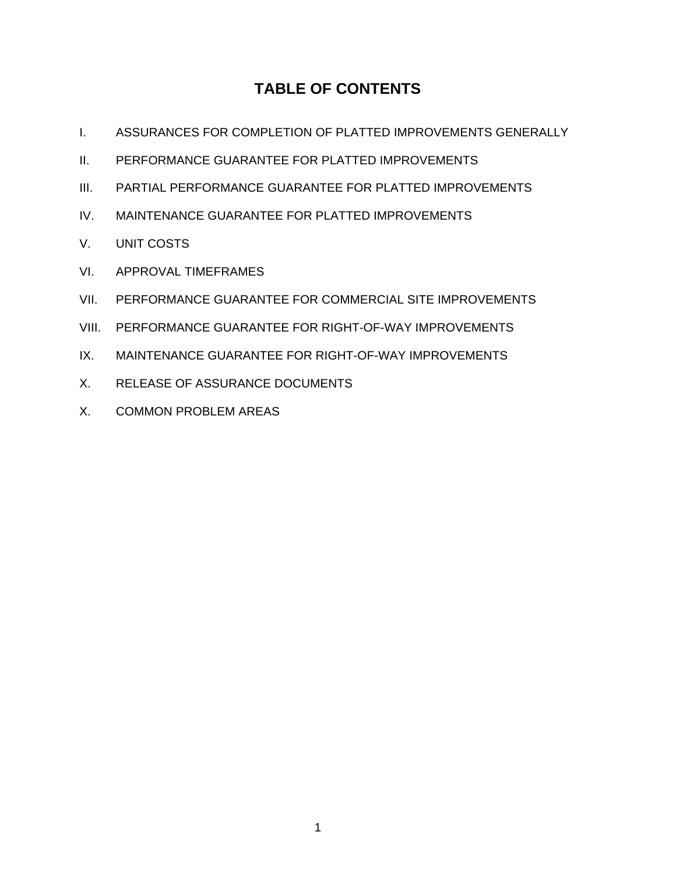# **TABLE OF CONTENTS**

- I. ASSURANCES FOR COMPLETION OF PLATTED IMPROVEMENTS GENERALLY
- II. PERFORMANCE GUARANTEE FOR PLATTED IMPROVEMENTS
- III. PARTIAL PERFORMANCE GUARANTEE FOR PLATTED IMPROVEMENTS
- IV. MAINTENANCE GUARANTEE FOR PLATTED IMPROVEMENTS
- V. UNIT COSTS
- VI. APPROVAL TIMEFRAMES
- VII. PERFORMANCE GUARANTEE FOR COMMERCIAL SITE IMPROVEMENTS
- VIII. PERFORMANCE GUARANTEE FOR RIGHT-OF-WAY IMPROVEMENTS
- IX. MAINTENANCE GUARANTEE FOR RIGHT-OF-WAY IMPROVEMENTS
- X. RELEASE OF ASSURANCE DOCUMENTS
- X. COMMON PROBLEM AREAS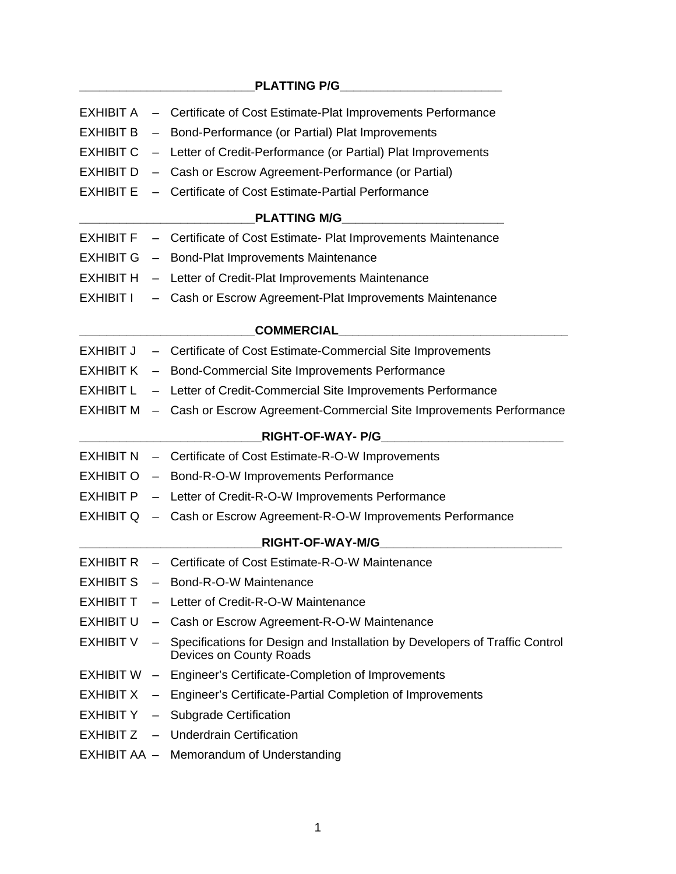|  | EXHIBIT A - Certificate of Cost Estimate-Plat Improvements Performance                                             |
|--|--------------------------------------------------------------------------------------------------------------------|
|  | EXHIBIT B - Bond-Performance (or Partial) Plat Improvements                                                        |
|  | EXHIBIT C - Letter of Credit-Performance (or Partial) Plat Improvements                                            |
|  | EXHIBIT D - Cash or Escrow Agreement-Performance (or Partial)                                                      |
|  | <b>EXHIBIT E</b> - Certificate of Cost Estimate-Partial Performance                                                |
|  |                                                                                                                    |
|  | EXHIBIT F - Certificate of Cost Estimate- Plat Improvements Maintenance                                            |
|  | EXHIBIT G - Bond-Plat Improvements Maintenance                                                                     |
|  | EXHIBIT H - Letter of Credit-Plat Improvements Maintenance                                                         |
|  | EXHIBIT I - Cash or Escrow Agreement-Plat Improvements Maintenance                                                 |
|  |                                                                                                                    |
|  | EXHIBIT J - Certificate of Cost Estimate-Commercial Site Improvements                                              |
|  | EXHIBIT K - Bond-Commercial Site Improvements Performance                                                          |
|  | <b>EXHIBIT L</b> - Letter of Credit-Commercial Site Improvements Performance                                       |
|  | EXHIBIT M - Cash or Escrow Agreement-Commercial Site Improvements Performance                                      |
|  |                                                                                                                    |
|  | EXHIBIT N - Certificate of Cost Estimate-R-O-W Improvements                                                        |
|  | EXHIBIT O - Bond-R-O-W Improvements Performance                                                                    |
|  | EXHIBIT P - Letter of Credit-R-O-W Improvements Performance                                                        |
|  | EXHIBIT Q - Cash or Escrow Agreement-R-O-W Improvements Performance                                                |
|  | <b>RIGHT-OF-WAY-M/G</b>                                                                                            |
|  | EXHIBIT R - Certificate of Cost Estimate-R-O-W Maintenance                                                         |
|  | EXHIBIT S - Bond-R-O-W Maintenance                                                                                 |
|  | <b>EXHIBIT T</b> - Letter of Credit-R-O-W Maintenance                                                              |
|  | EXHIBIT U - Cash or Escrow Agreement-R-O-W Maintenance                                                             |
|  | EXHIBIT V - Specifications for Design and Installation by Developers of Traffic Control<br>Devices on County Roads |
|  | EXHIBIT W - Engineer's Certificate-Completion of Improvements                                                      |
|  | EXHIBIT X - Engineer's Certificate-Partial Completion of Improvements                                              |
|  | EXHIBIT Y - Subgrade Certification                                                                                 |
|  | <b>EXHIBIT Z - Underdrain Certification</b>                                                                        |
|  | EXHIBIT AA - Memorandum of Understanding                                                                           |
|  |                                                                                                                    |

## PLATTING P/G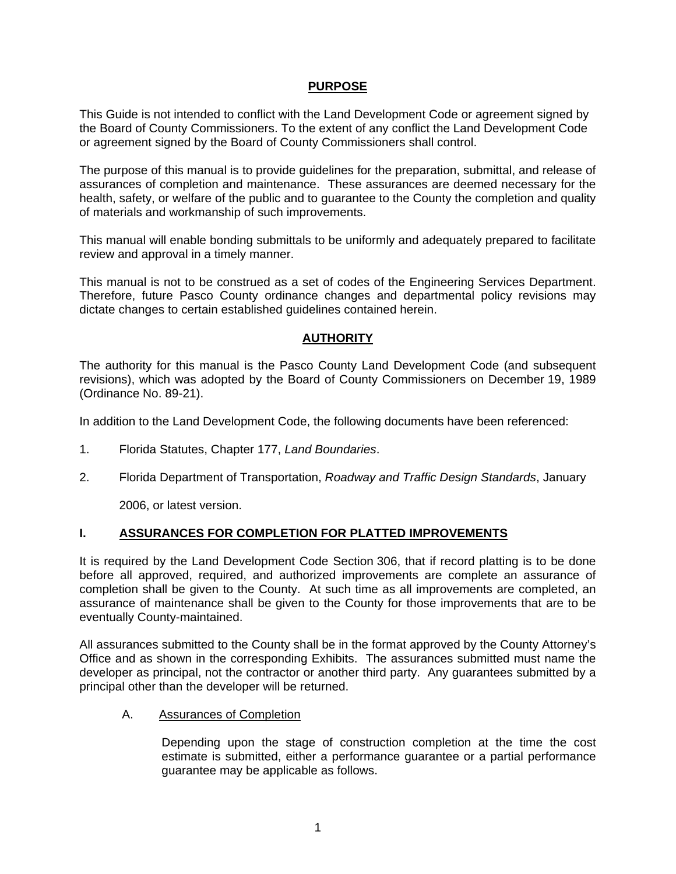#### **PURPOSE**

This Guide is not intended to conflict with the Land Development Code or agreement signed by the Board of County Commissioners. To the extent of any conflict the Land Development Code or agreement signed by the Board of County Commissioners shall control.

The purpose of this manual is to provide guidelines for the preparation, submittal, and release of assurances of completion and maintenance. These assurances are deemed necessary for the health, safety, or welfare of the public and to guarantee to the County the completion and quality of materials and workmanship of such improvements.

This manual will enable bonding submittals to be uniformly and adequately prepared to facilitate review and approval in a timely manner.

This manual is not to be construed as a set of codes of the Engineering Services Department. Therefore, future Pasco County ordinance changes and departmental policy revisions may dictate changes to certain established guidelines contained herein.

#### **AUTHORITY**

The authority for this manual is the Pasco County Land Development Code (and subsequent revisions), which was adopted by the Board of County Commissioners on December 19, 1989 (Ordinance No. 89-21).

In addition to the Land Development Code, the following documents have been referenced:

- 1. Florida Statutes, Chapter 177, *Land Boundaries*.
- 2. Florida Department of Transportation, *Roadway and Traffic Design Standards*, January

2006, or latest version.

#### **I. ASSURANCES FOR COMPLETION FOR PLATTED IMPROVEMENTS**

It is required by the Land Development Code Section 306, that if record platting is to be done before all approved, required, and authorized improvements are complete an assurance of completion shall be given to the County. At such time as all improvements are completed, an assurance of maintenance shall be given to the County for those improvements that are to be eventually County-maintained.

All assurances submitted to the County shall be in the format approved by the County Attorney's Office and as shown in the corresponding Exhibits. The assurances submitted must name the developer as principal, not the contractor or another third party. Any guarantees submitted by a principal other than the developer will be returned.

A. Assurances of Completion

Depending upon the stage of construction completion at the time the cost estimate is submitted, either a performance guarantee or a partial performance guarantee may be applicable as follows.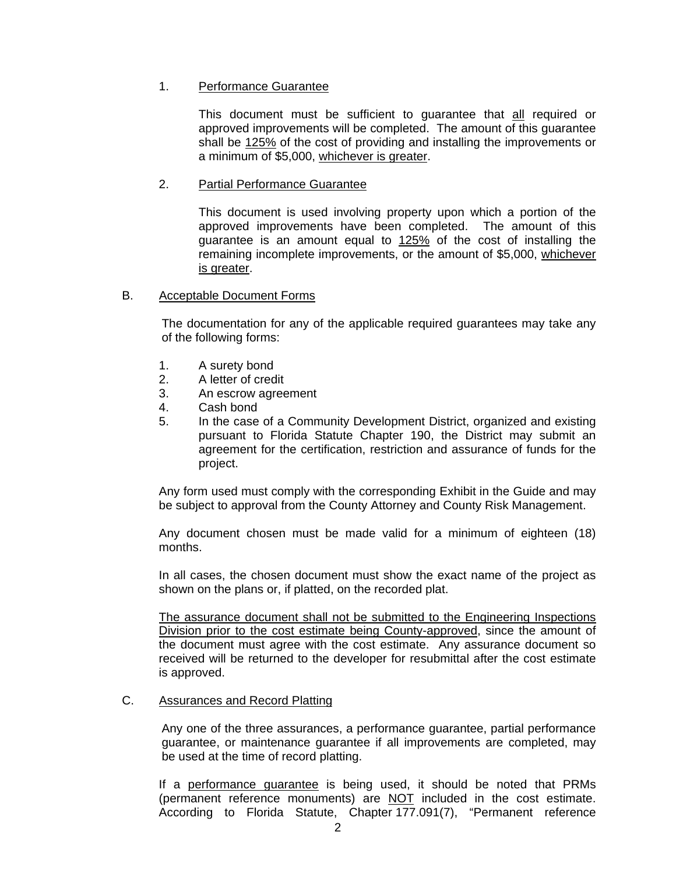#### 1. Performance Guarantee

This document must be sufficient to guarantee that all required or approved improvements will be completed. The amount of this guarantee shall be 125% of the cost of providing and installing the improvements or a minimum of \$5,000, whichever is greater.

#### 2. Partial Performance Guarantee

This document is used involving property upon which a portion of the approved improvements have been completed. The amount of this guarantee is an amount equal to 125% of the cost of installing the remaining incomplete improvements, or the amount of \$5,000, whichever is greater.

#### B. Acceptable Document Forms

The documentation for any of the applicable required guarantees may take any of the following forms:

- 1. A surety bond
- 2. A letter of credit
- 3. An escrow agreement
- 4. Cash bond
- 5. In the case of a Community Development District, organized and existing pursuant to Florida Statute Chapter 190, the District may submit an agreement for the certification, restriction and assurance of funds for the project.

Any form used must comply with the corresponding Exhibit in the Guide and may be subject to approval from the County Attorney and County Risk Management.

 Any document chosen must be made valid for a minimum of eighteen (18) months.

 In all cases, the chosen document must show the exact name of the project as shown on the plans or, if platted, on the recorded plat.

 The assurance document shall not be submitted to the Engineering Inspections Division prior to the cost estimate being County-approved, since the amount of the document must agree with the cost estimate. Any assurance document so received will be returned to the developer for resubmittal after the cost estimate is approved.

#### C. Assurances and Record Platting

Any one of the three assurances, a performance guarantee, partial performance guarantee, or maintenance guarantee if all improvements are completed, may be used at the time of record platting.

 If a performance guarantee is being used, it should be noted that PRMs (permanent reference monuments) are NOT included in the cost estimate. According to Florida Statute, Chapter 177.091(7), "Permanent reference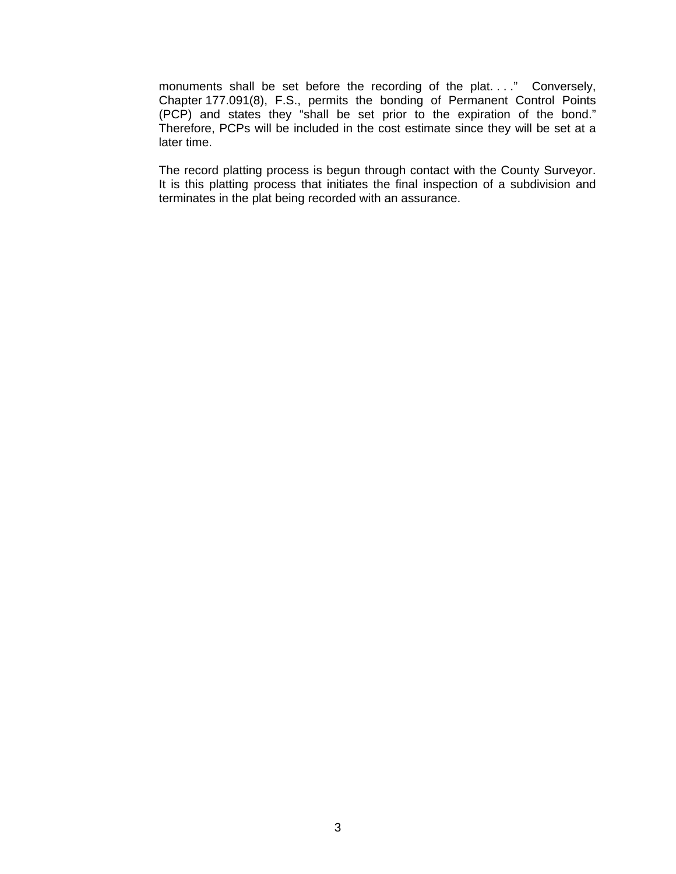monuments shall be set before the recording of the plat. . . ." Conversely, Chapter 177.091(8), F.S., permits the bonding of Permanent Control Points (PCP) and states they "shall be set prior to the expiration of the bond." Therefore, PCPs will be included in the cost estimate since they will be set at a later time.

 The record platting process is begun through contact with the County Surveyor. It is this platting process that initiates the final inspection of a subdivision and terminates in the plat being recorded with an assurance.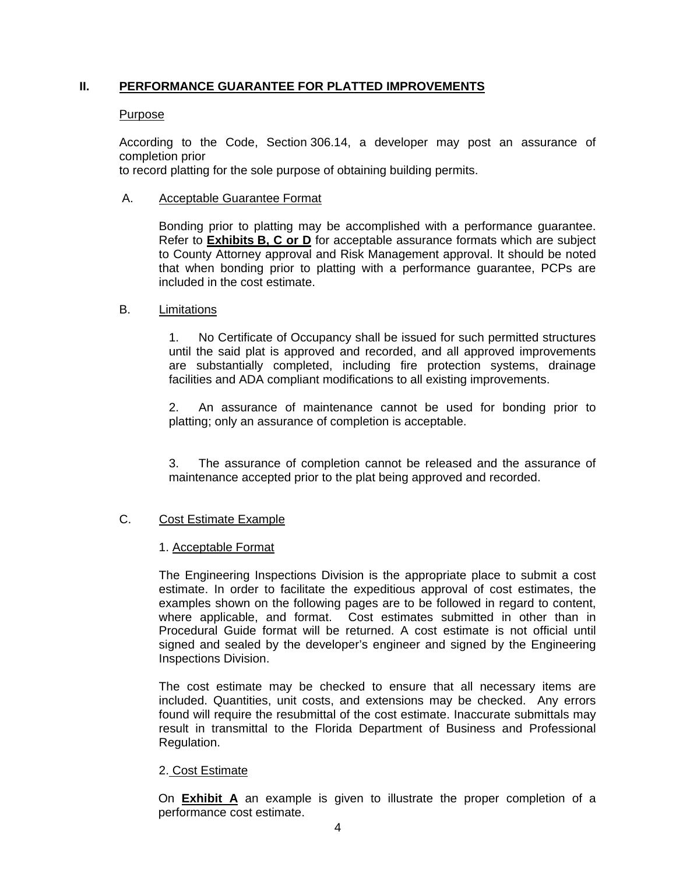### **II. PERFORMANCE GUARANTEE FOR PLATTED IMPROVEMENTS**

#### Purpose

According to the Code, Section 306.14, a developer may post an assurance of completion prior

to record platting for the sole purpose of obtaining building permits.

#### A. Acceptable Guarantee Format

 Bonding prior to platting may be accomplished with a performance guarantee. Refer to **Exhibits B, C or D** for acceptable assurance formats which are subject to County Attorney approval and Risk Management approval. It should be noted that when bonding prior to platting with a performance guarantee, PCPs are included in the cost estimate.

#### B. Limitations

1. No Certificate of Occupancy shall be issued for such permitted structures until the said plat is approved and recorded, and all approved improvements are substantially completed, including fire protection systems, drainage facilities and ADA compliant modifications to all existing improvements.

2. An assurance of maintenance cannot be used for bonding prior to platting; only an assurance of completion is acceptable.

3. The assurance of completion cannot be released and the assurance of maintenance accepted prior to the plat being approved and recorded.

#### C. Cost Estimate Example

#### 1. Acceptable Format

The Engineering Inspections Division is the appropriate place to submit a cost estimate. In order to facilitate the expeditious approval of cost estimates, the examples shown on the following pages are to be followed in regard to content, where applicable, and format. Cost estimates submitted in other than in Procedural Guide format will be returned. A cost estimate is not official until signed and sealed by the developer's engineer and signed by the Engineering Inspections Division.

 The cost estimate may be checked to ensure that all necessary items are included. Quantities, unit costs, and extensions may be checked. Any errors found will require the resubmittal of the cost estimate. Inaccurate submittals may result in transmittal to the Florida Department of Business and Professional Regulation.

#### 2. Cost Estimate

On **Exhibit A** an example is given to illustrate the proper completion of a performance cost estimate.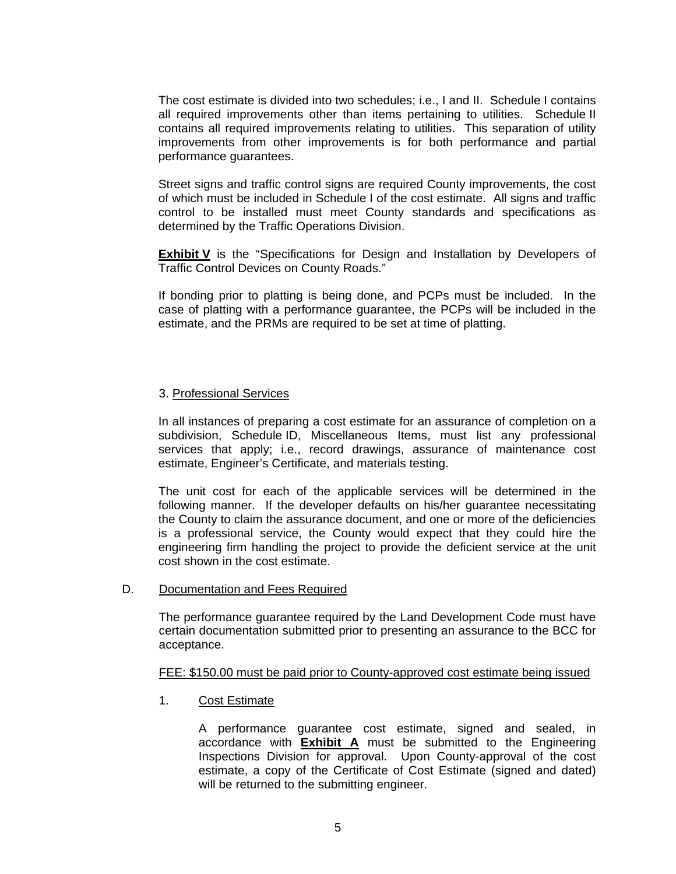The cost estimate is divided into two schedules; i.e., I and II. Schedule I contains all required improvements other than items pertaining to utilities. Schedule II contains all required improvements relating to utilities. This separation of utility improvements from other improvements is for both performance and partial performance guarantees.

 Street signs and traffic control signs are required County improvements, the cost of which must be included in Schedule I of the cost estimate. All signs and traffic control to be installed must meet County standards and specifications as determined by the Traffic Operations Division.

**Exhibit V** is the "Specifications for Design and Installation by Developers of Traffic Control Devices on County Roads."

 If bonding prior to platting is being done, and PCPs must be included. In the case of platting with a performance guarantee, the PCPs will be included in the estimate, and the PRMs are required to be set at time of platting.

#### 3. Professional Services

 In all instances of preparing a cost estimate for an assurance of completion on a subdivision, Schedule ID, Miscellaneous Items, must list any professional services that apply; i.e., record drawings, assurance of maintenance cost estimate, Engineer's Certificate, and materials testing.

 The unit cost for each of the applicable services will be determined in the following manner. If the developer defaults on his/her guarantee necessitating the County to claim the assurance document, and one or more of the deficiencies is a professional service, the County would expect that they could hire the engineering firm handling the project to provide the deficient service at the unit cost shown in the cost estimate.

#### D. Documentation and Fees Required

The performance guarantee required by the Land Development Code must have certain documentation submitted prior to presenting an assurance to the BCC for acceptance.

#### FEE: \$150.00 must be paid prior to County-approved cost estimate being issued

1. Cost Estimate

A performance guarantee cost estimate, signed and sealed, in accordance with **Exhibit A** must be submitted to the Engineering Inspections Division for approval. Upon County-approval of the cost estimate, a copy of the Certificate of Cost Estimate (signed and dated) will be returned to the submitting engineer.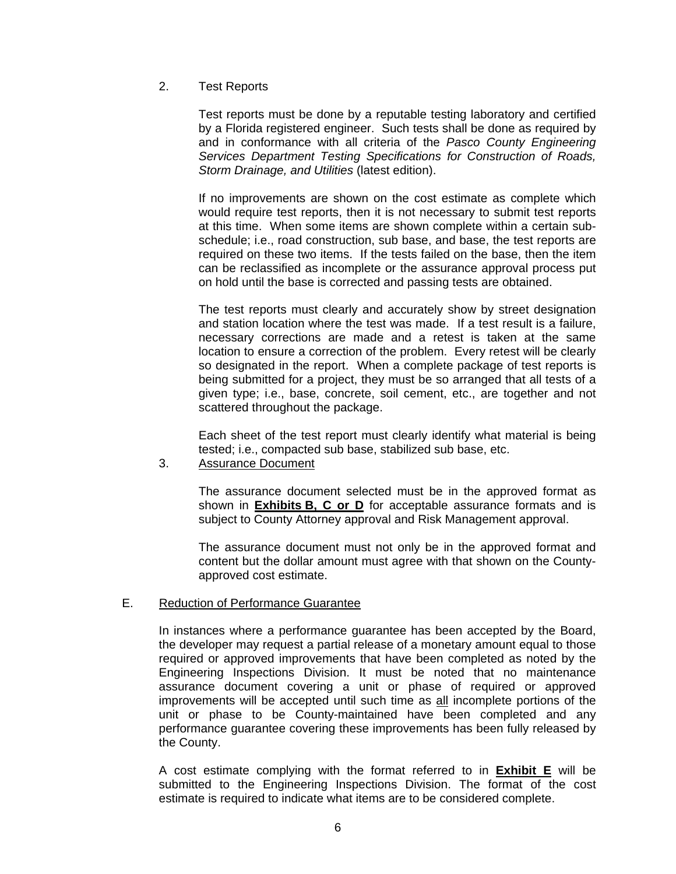2. Test Reports

Test reports must be done by a reputable testing laboratory and certified by a Florida registered engineer. Such tests shall be done as required by and in conformance with all criteria of the *Pasco County Engineering Services Department Testing Specifications for Construction of Roads, Storm Drainage, and Utilities* (latest edition).

 If no improvements are shown on the cost estimate as complete which would require test reports, then it is not necessary to submit test reports at this time. When some items are shown complete within a certain subschedule; i.e., road construction, sub base, and base, the test reports are required on these two items. If the tests failed on the base, then the item can be reclassified as incomplete or the assurance approval process put on hold until the base is corrected and passing tests are obtained.

 The test reports must clearly and accurately show by street designation and station location where the test was made. If a test result is a failure, necessary corrections are made and a retest is taken at the same location to ensure a correction of the problem. Every retest will be clearly so designated in the report. When a complete package of test reports is being submitted for a project, they must be so arranged that all tests of a given type; i.e., base, concrete, soil cement, etc., are together and not scattered throughout the package.

 Each sheet of the test report must clearly identify what material is being tested; i.e., compacted sub base, stabilized sub base, etc.

3. Assurance Document

The assurance document selected must be in the approved format as shown in **Exhibits B, C or D** for acceptable assurance formats and is subject to County Attorney approval and Risk Management approval.

 The assurance document must not only be in the approved format and content but the dollar amount must agree with that shown on the Countyapproved cost estimate.

#### E. Reduction of Performance Guarantee

In instances where a performance guarantee has been accepted by the Board, the developer may request a partial release of a monetary amount equal to those required or approved improvements that have been completed as noted by the Engineering Inspections Division. It must be noted that no maintenance assurance document covering a unit or phase of required or approved improvements will be accepted until such time as all incomplete portions of the unit or phase to be County-maintained have been completed and any performance guarantee covering these improvements has been fully released by the County.

A cost estimate complying with the format referred to in **Exhibit E** will be submitted to the Engineering Inspections Division. The format of the cost estimate is required to indicate what items are to be considered complete.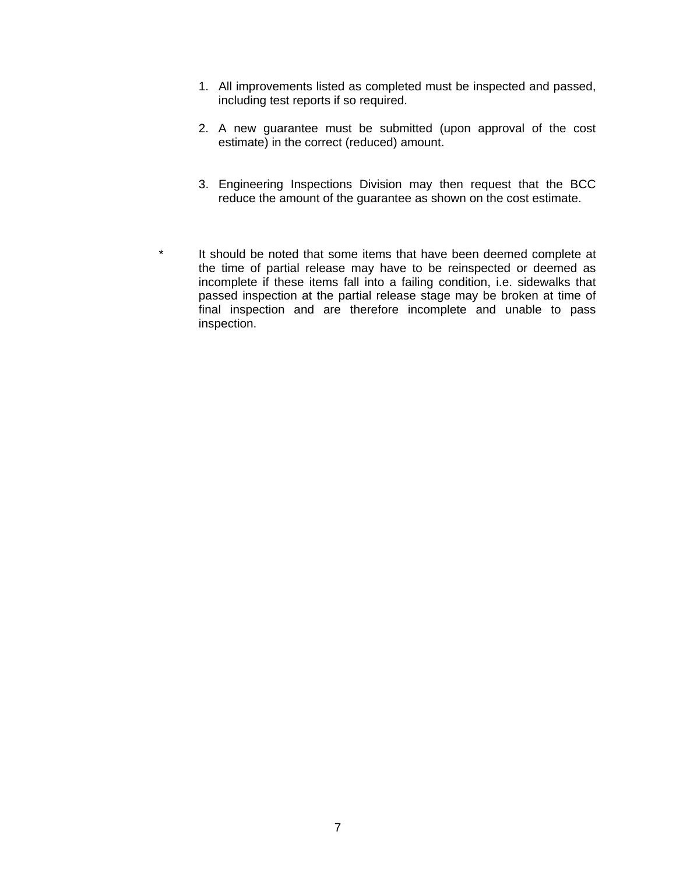- 1. All improvements listed as completed must be inspected and passed, including test reports if so required.
- 2. A new guarantee must be submitted (upon approval of the cost estimate) in the correct (reduced) amount.
- 3. Engineering Inspections Division may then request that the BCC reduce the amount of the guarantee as shown on the cost estimate.
- \* It should be noted that some items that have been deemed complete at the time of partial release may have to be reinspected or deemed as incomplete if these items fall into a failing condition, i.e. sidewalks that passed inspection at the partial release stage may be broken at time of final inspection and are therefore incomplete and unable to pass inspection.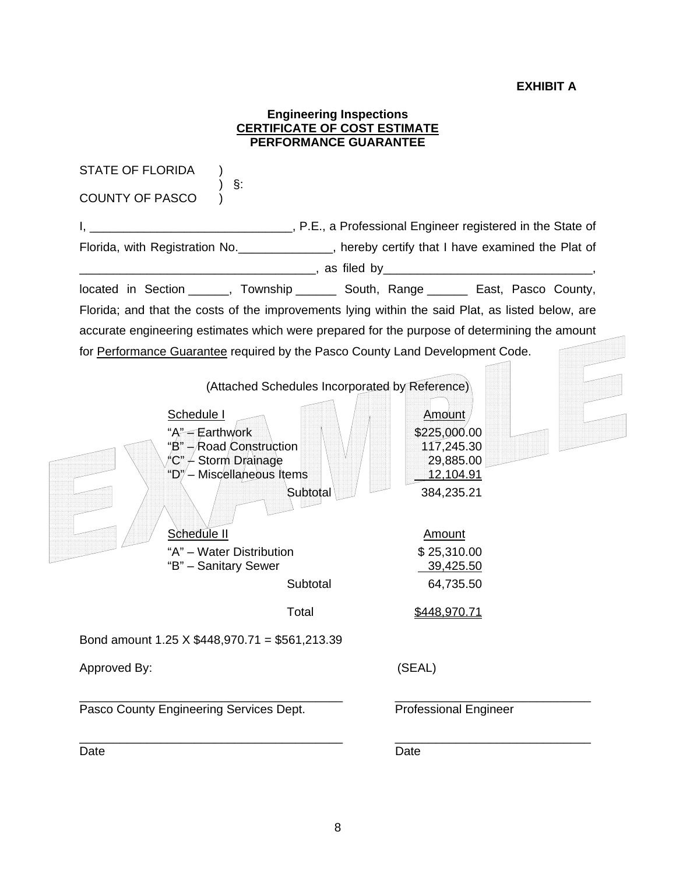#### **EXHIBIT A**

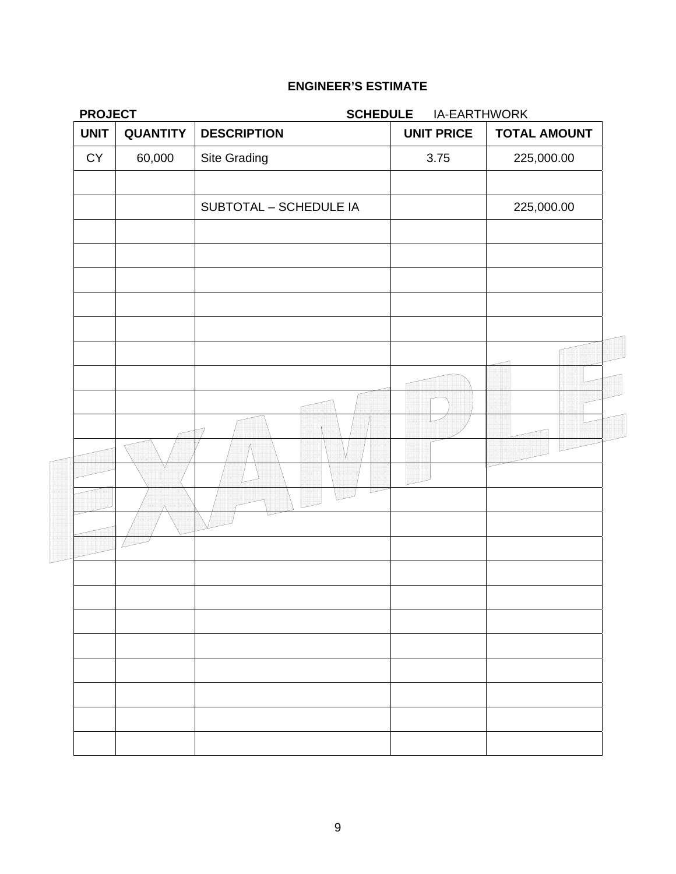| <b>PROJECT</b> |                 |                        | <b>SCHEDULE</b><br>IA-EARTHWORK |                     |  |
|----------------|-----------------|------------------------|---------------------------------|---------------------|--|
| <b>UNIT</b>    | <b>QUANTITY</b> | <b>DESCRIPTION</b>     | <b>UNIT PRICE</b>               | <b>TOTAL AMOUNT</b> |  |
| ${\sf CY}$     | 60,000          | Site Grading           | 3.75                            | 225,000.00          |  |
|                |                 | SUBTOTAL - SCHEDULE IA |                                 | 225,000.00          |  |
|                |                 |                        |                                 |                     |  |
|                |                 |                        |                                 |                     |  |
|                |                 |                        |                                 |                     |  |
|                |                 |                        |                                 |                     |  |
|                |                 |                        |                                 |                     |  |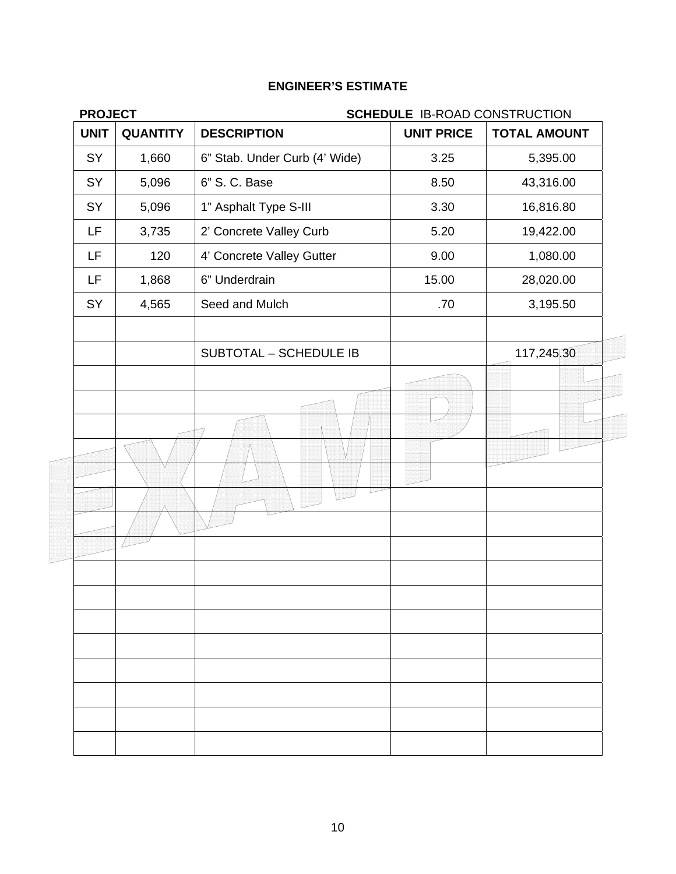| <b>PROJECT</b>                 |                               | <b>SCHEDULE IB-ROAD CONSTRUCTION</b> |                     |
|--------------------------------|-------------------------------|--------------------------------------|---------------------|
| <b>UNIT</b><br><b>QUANTITY</b> | <b>DESCRIPTION</b>            | <b>UNIT PRICE</b>                    | <b>TOTAL AMOUNT</b> |
| SY<br>1,660                    | 6" Stab. Under Curb (4' Wide) | 3.25                                 | 5,395.00            |
| SY<br>5,096                    | 6" S. C. Base                 | 8.50                                 | 43,316.00           |
| SY<br>5,096                    | 1" Asphalt Type S-III         | 3.30                                 | 16,816.80           |
| LF<br>3,735                    | 2' Concrete Valley Curb       | 5.20                                 | 19,422.00           |
| LF<br>120                      | 4' Concrete Valley Gutter     | 9.00                                 | 1,080.00            |
| LF<br>1,868                    | 6" Underdrain                 | 15.00                                | 28,020.00           |
| SY<br>4,565                    | Seed and Mulch                | .70                                  | 3,195.50            |
|                                | SUBTOTAL - SCHEDULE IB        |                                      | 117,245,30          |
|                                |                               |                                      |                     |
|                                |                               |                                      |                     |
|                                |                               |                                      |                     |
|                                |                               |                                      |                     |
|                                |                               |                                      |                     |
|                                |                               |                                      |                     |
|                                |                               |                                      |                     |
|                                |                               |                                      |                     |
|                                |                               |                                      |                     |
|                                |                               |                                      |                     |
|                                |                               |                                      |                     |
|                                |                               |                                      |                     |
|                                |                               |                                      |                     |
|                                |                               |                                      |                     |
|                                |                               |                                      |                     |
|                                |                               |                                      |                     |
|                                |                               |                                      |                     |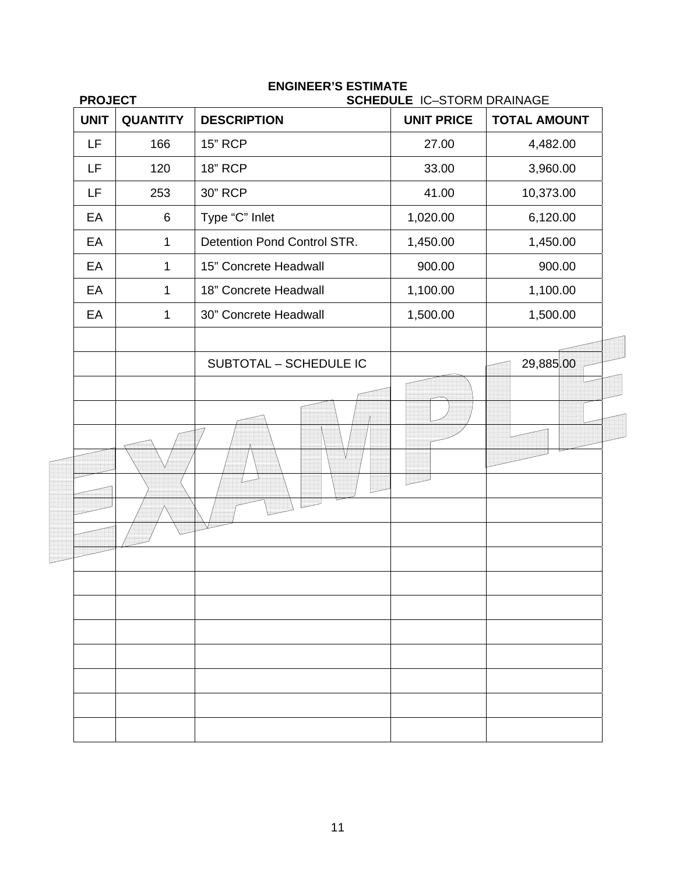| <b>PROJECT</b> |                 |                             | <b>SCHEDULE IC-STORM DRAINAGE</b> |                     |  |
|----------------|-----------------|-----------------------------|-----------------------------------|---------------------|--|
| <b>UNIT</b>    | <b>QUANTITY</b> | <b>DESCRIPTION</b>          | <b>UNIT PRICE</b>                 | <b>TOTAL AMOUNT</b> |  |
| LF             | 166             | <b>15" RCP</b>              | 27.00                             | 4,482.00            |  |
| LF             | 120             | <b>18" RCP</b>              | 33.00                             | 3,960.00            |  |
| LF             | 253             | 30" RCP                     | 41.00                             | 10,373.00           |  |
| EA             | 6               | Type "C" Inlet              | 1,020.00                          | 6,120.00            |  |
| EA             | $\mathbf 1$     | Detention Pond Control STR. | 1,450.00                          | 1,450.00            |  |
| EA             | 1               | 15" Concrete Headwall       | 900.00                            | 900.00              |  |
| EA             | 1               | 18" Concrete Headwall       | 1,100.00                          | 1,100.00            |  |
| EA             | 1               | 30" Concrete Headwall       | 1,500.00                          | 1,500.00            |  |
|                |                 | SUBTOTAL - SCHEDULE IC      |                                   | 29,885.00           |  |
|                |                 |                             |                                   |                     |  |
|                |                 |                             |                                   |                     |  |
|                |                 |                             |                                   |                     |  |
|                |                 |                             |                                   |                     |  |
|                |                 |                             |                                   |                     |  |
|                |                 |                             |                                   |                     |  |
|                |                 |                             |                                   |                     |  |
|                |                 |                             |                                   |                     |  |
|                |                 |                             |                                   |                     |  |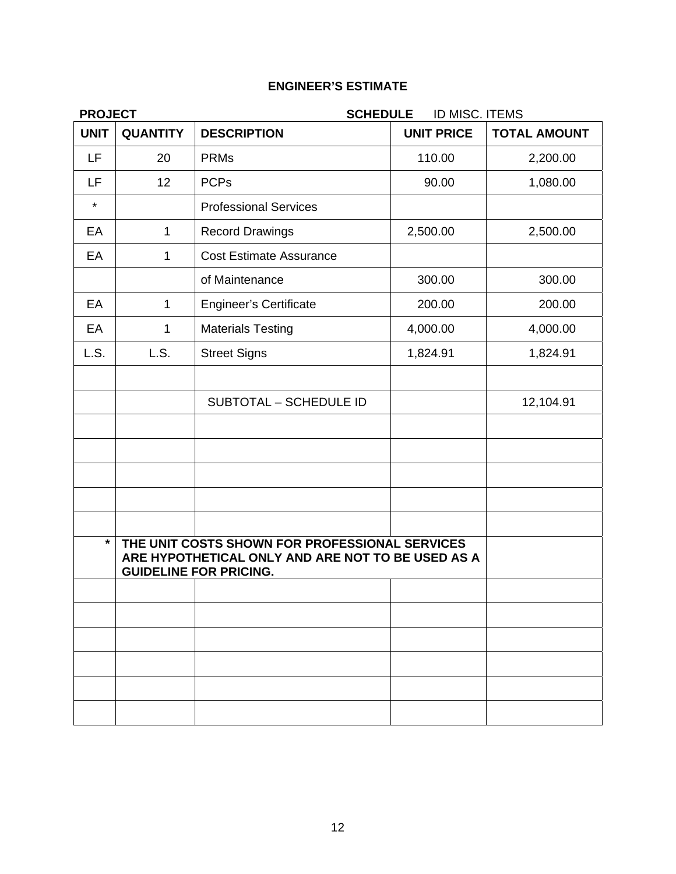| <b>PROJECT</b> | <b>SCHEDULE</b><br>ID MISC. ITEMS |                                                                                                                                      |                   |                     |
|----------------|-----------------------------------|--------------------------------------------------------------------------------------------------------------------------------------|-------------------|---------------------|
| <b>UNIT</b>    | <b>QUANTITY</b>                   | <b>DESCRIPTION</b>                                                                                                                   | <b>UNIT PRICE</b> | <b>TOTAL AMOUNT</b> |
| <b>LF</b>      | 20                                | <b>PRMs</b>                                                                                                                          | 110.00            | 2,200.00            |
| LF             | 12                                | <b>PCPs</b>                                                                                                                          | 90.00             | 1,080.00            |
| $\star$        |                                   | <b>Professional Services</b>                                                                                                         |                   |                     |
| EA             | $\mathbf{1}$                      | <b>Record Drawings</b>                                                                                                               | 2,500.00          | 2,500.00            |
| EA             | $\mathbf{1}$                      | <b>Cost Estimate Assurance</b>                                                                                                       |                   |                     |
|                |                                   | of Maintenance                                                                                                                       | 300.00            | 300.00              |
| EA             | $\mathbf{1}$                      | <b>Engineer's Certificate</b>                                                                                                        | 200.00            | 200.00              |
| EA             | 1                                 | <b>Materials Testing</b>                                                                                                             | 4,000.00          | 4,000.00            |
| L.S.           | L.S.                              | <b>Street Signs</b>                                                                                                                  | 1,824.91          | 1,824.91            |
|                |                                   |                                                                                                                                      |                   |                     |
|                |                                   | SUBTOTAL - SCHEDULE ID                                                                                                               |                   | 12,104.91           |
|                |                                   |                                                                                                                                      |                   |                     |
|                |                                   |                                                                                                                                      |                   |                     |
|                |                                   |                                                                                                                                      |                   |                     |
|                |                                   |                                                                                                                                      |                   |                     |
|                |                                   |                                                                                                                                      |                   |                     |
| $\star$        |                                   | THE UNIT COSTS SHOWN FOR PROFESSIONAL SERVICES<br>ARE HYPOTHETICAL ONLY AND ARE NOT TO BE USED AS A<br><b>GUIDELINE FOR PRICING.</b> |                   |                     |
|                |                                   |                                                                                                                                      |                   |                     |
|                |                                   |                                                                                                                                      |                   |                     |
|                |                                   |                                                                                                                                      |                   |                     |
|                |                                   |                                                                                                                                      |                   |                     |
|                |                                   |                                                                                                                                      |                   |                     |
|                |                                   |                                                                                                                                      |                   |                     |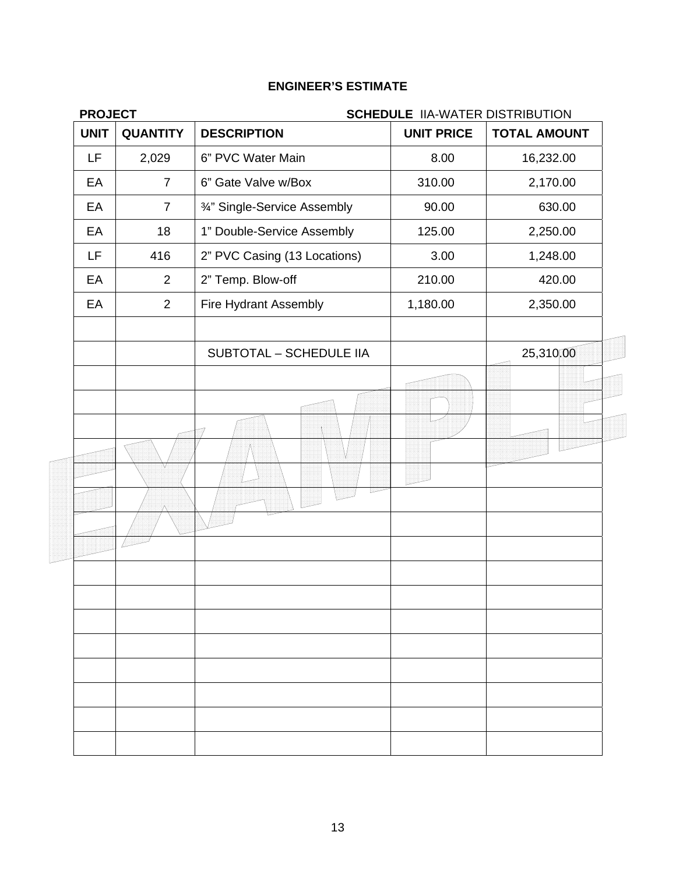| <b>PROJECT</b> |                 |                                | <b>SCHEDULE IIA-WATER DISTRIBUTION</b> |                     |  |
|----------------|-----------------|--------------------------------|----------------------------------------|---------------------|--|
| <b>UNIT</b>    | <b>QUANTITY</b> | <b>DESCRIPTION</b>             | <b>UNIT PRICE</b>                      | <b>TOTAL AMOUNT</b> |  |
| LF             | 2,029           | 6" PVC Water Main              | 8.00                                   | 16,232.00           |  |
| EA             | $\overline{7}$  | 6" Gate Valve w/Box            | 310.00                                 | 2,170.00            |  |
| EA             | $\overline{7}$  | 3/4" Single-Service Assembly   | 90.00                                  | 630.00              |  |
| EA             | 18              | 1" Double-Service Assembly     | 125.00                                 | 2,250.00            |  |
| LF             | 416             | 2" PVC Casing (13 Locations)   | 3.00                                   | 1,248.00            |  |
| EA             | $\overline{2}$  | 2" Temp. Blow-off              | 210.00                                 | 420.00              |  |
| EA             | $\overline{2}$  | Fire Hydrant Assembly          | 1,180.00                               | 2,350.00            |  |
|                |                 | <b>SUBTOTAL - SCHEDULE IIA</b> |                                        | 25,310,00           |  |
|                |                 |                                |                                        |                     |  |
|                |                 |                                |                                        |                     |  |
|                |                 |                                |                                        |                     |  |
|                |                 |                                |                                        |                     |  |
|                |                 |                                |                                        |                     |  |
|                |                 |                                |                                        |                     |  |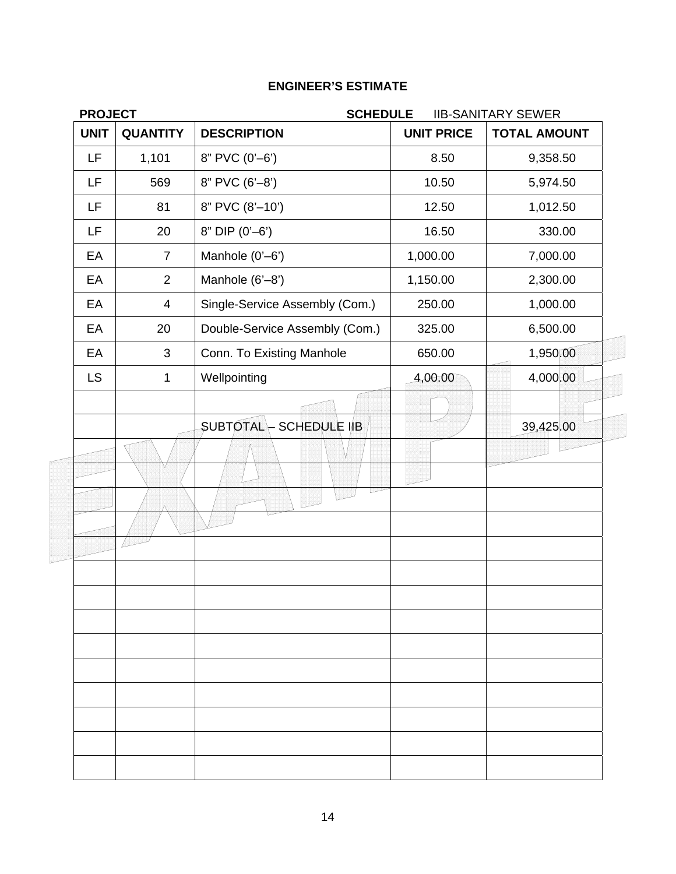| <b>PROJECT</b> |                 |                                        | <b>SCHEDULE</b><br><b>IIB-SANITARY SEWER</b> |                     |  |
|----------------|-----------------|----------------------------------------|----------------------------------------------|---------------------|--|
| <b>UNIT</b>    | <b>QUANTITY</b> | <b>DESCRIPTION</b>                     | <b>UNIT PRICE</b>                            | <b>TOTAL AMOUNT</b> |  |
| LF             | 1,101           | 8" PVC (0'-6')                         | 8.50                                         | 9,358.50            |  |
| LF             | 569             | 8" PVC (6'-8')                         | 10.50                                        | 5,974.50            |  |
| LF             | 81              | 8" PVC (8'-10')                        | 12.50                                        | 1,012.50            |  |
| LF             | 20              | $8"$ DIP $(0'-6')$                     | 16.50                                        | 330.00              |  |
| EA             | $\overline{7}$  | Manhole (0'-6')                        | 1,000.00                                     | 7,000.00            |  |
| EA             | $\overline{2}$  | Manhole (6'-8')                        | 1,150.00                                     | 2,300.00            |  |
| EA             | $\overline{4}$  | Single-Service Assembly (Com.)         | 250.00                                       | 1,000.00            |  |
| EA             | 20              | Double-Service Assembly (Com.)         | 325.00                                       | 6,500.00            |  |
| EA             | 3               | Conn. To Existing Manhole              | 650.00                                       | 1,950,00            |  |
| <b>LS</b>      | 1               | Wellpointing                           | 4,00.00                                      | 4,000.00            |  |
|                |                 |                                        |                                              |                     |  |
|                |                 | <b>SUBTOTAL</b><br><b>SCHEDULE IIB</b> |                                              | 39,425.00           |  |
|                |                 |                                        |                                              |                     |  |
|                |                 |                                        |                                              |                     |  |
|                |                 |                                        |                                              |                     |  |
|                |                 |                                        |                                              |                     |  |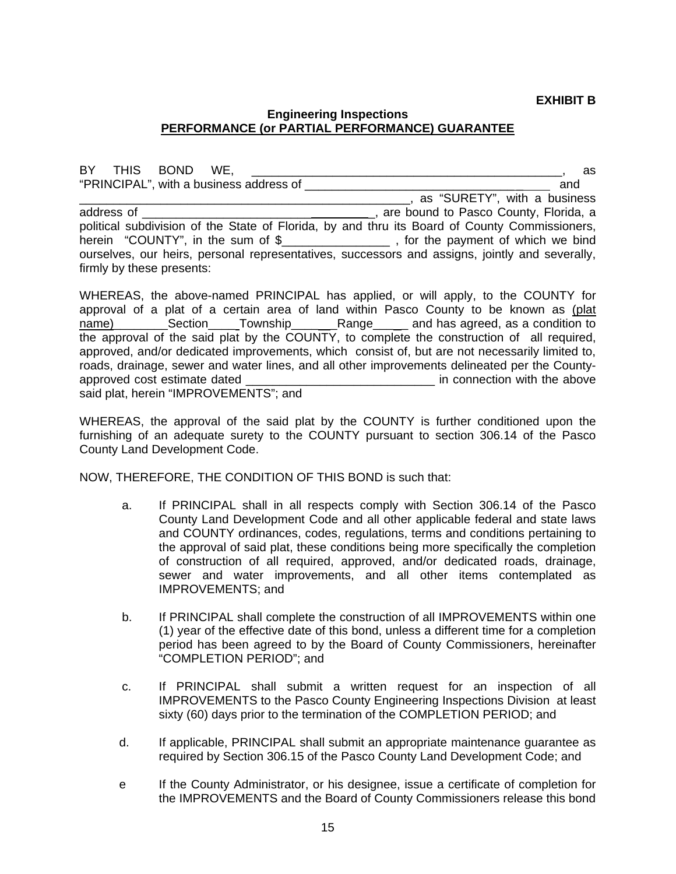#### **EXHIBIT B**

#### **Engineering Inspections PERFORMANCE (or PARTIAL PERFORMANCE) GUARANTEE**

BY THIS BOND WE, \_\_\_\_\_\_\_\_\_\_\_\_\_\_\_\_\_\_\_\_\_\_\_\_\_\_\_\_\_\_\_\_\_\_\_\_\_\_\_\_\_\_\_\_\_\_, as "PRINCIPAL", with a business address of \_\_\_\_\_\_\_\_\_\_\_\_\_\_\_\_\_\_\_\_\_\_\_\_\_\_\_\_\_\_\_ \_ and \_\_\_\_\_\_\_\_\_\_\_\_\_\_\_\_\_\_\_\_\_\_\_\_\_\_\_\_\_\_\_\_\_\_\_\_\_\_\_\_\_\_\_\_\_\_\_\_\_, as "SURETY", with a business address of \_\_\_\_\_\_\_\_\_\_\_\_\_\_\_\_\_\_\_\_\_\_\_\_\_ \_, are bound to Pasco County, Florida, a political subdivision of the State of Florida, by and thru its Board of County Commissioners, herein "COUNTY", in the sum of \$\_\_\_\_\_\_\_\_\_\_\_\_\_\_\_\_\_\_, for the payment of which we bind ourselves, our heirs, personal representatives, successors and assigns, jointly and severally, firmly by these presents:

WHEREAS, the above-named PRINCIPAL has applied, or will apply, to the COUNTY for approval of a plat of a certain area of land within Pasco County to be known as (plat name) and has agreed, as a condition to compute the Section and Township and Range and has agreed, as a condition to the approval of the said plat by the COUNTY, to complete the construction of all required, approved, and/or dedicated improvements, which consist of, but are not necessarily limited to, roads, drainage, sewer and water lines, and all other improvements delineated per the Countyapproved cost estimate dated **and the above** in connection with the above said plat, herein "IMPROVEMENTS"; and

WHEREAS, the approval of the said plat by the COUNTY is further conditioned upon the furnishing of an adequate surety to the COUNTY pursuant to section 306.14 of the Pasco County Land Development Code.

NOW, THEREFORE, THE CONDITION OF THIS BOND is such that:

- a. If PRINCIPAL shall in all respects comply with Section 306.14 of the Pasco County Land Development Code and all other applicable federal and state laws and COUNTY ordinances, codes, regulations, terms and conditions pertaining to the approval of said plat, these conditions being more specifically the completion of construction of all required, approved, and/or dedicated roads, drainage, sewer and water improvements, and all other items contemplated as IMPROVEMENTS; and
- b. If PRINCIPAL shall complete the construction of all IMPROVEMENTS within one (1) year of the effective date of this bond, unless a different time for a completion period has been agreed to by the Board of County Commissioners, hereinafter "COMPLETION PERIOD"; and
- c. If PRINCIPAL shall submit a written request for an inspection of all IMPROVEMENTS to the Pasco County Engineering Inspections Division at least sixty (60) days prior to the termination of the COMPLETION PERIOD; and
- d. If applicable, PRINCIPAL shall submit an appropriate maintenance guarantee as required by Section 306.15 of the Pasco County Land Development Code; and
- e If the County Administrator, or his designee, issue a certificate of completion for the IMPROVEMENTS and the Board of County Commissioners release this bond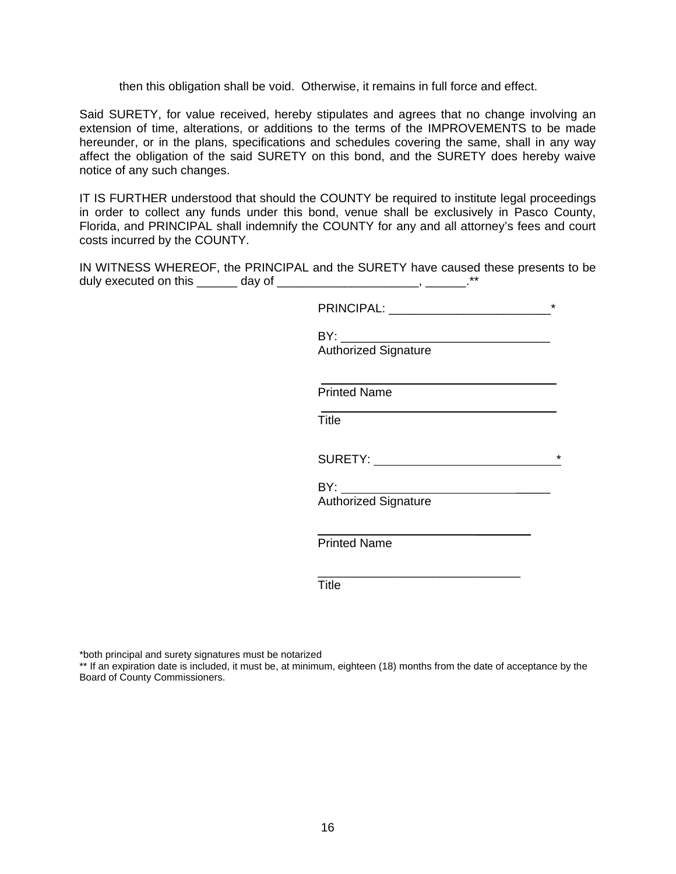then this obligation shall be void. Otherwise, it remains in full force and effect.

Said SURETY, for value received, hereby stipulates and agrees that no change involving an extension of time, alterations, or additions to the terms of the IMPROVEMENTS to be made hereunder, or in the plans, specifications and schedules covering the same, shall in any way affect the obligation of the said SURETY on this bond, and the SURETY does hereby waive notice of any such changes.

IT IS FURTHER understood that should the COUNTY be required to institute legal proceedings in order to collect any funds under this bond, venue shall be exclusively in Pasco County, Florida, and PRINCIPAL shall indemnify the COUNTY for any and all attorney's fees and court costs incurred by the COUNTY.

IN WITNESS WHEREOF, the PRINCIPAL and the SURETY have caused these presents to be duly executed on this \_\_\_\_\_\_\_ day of \_\_\_\_\_\_\_\_\_\_\_\_\_\_\_\_\_\_\_\_\_\_\_\_\_, \_\_\_\_\_\_\_.\*\*

| $\star$                                                                                                                                                                                                                                   |
|-------------------------------------------------------------------------------------------------------------------------------------------------------------------------------------------------------------------------------------------|
| <b>Authorized Signature</b>                                                                                                                                                                                                               |
| <b>Printed Name</b>                                                                                                                                                                                                                       |
| Title                                                                                                                                                                                                                                     |
| $\star$<br>SURETY: North Contract of the Superior Contract of the Superior Contract of the Superior Contract of the Superior Contract of the Superior Contract of the Superior Contract of the Superior Contract of the Superior Contract |
| <b>Authorized Signature</b>                                                                                                                                                                                                               |
| <b>Printed Name</b>                                                                                                                                                                                                                       |
| <b>Title</b>                                                                                                                                                                                                                              |

\*both principal and surety signatures must be notarized

\*\* If an expiration date is included, it must be, at minimum, eighteen (18) months from the date of acceptance by the Board of County Commissioners.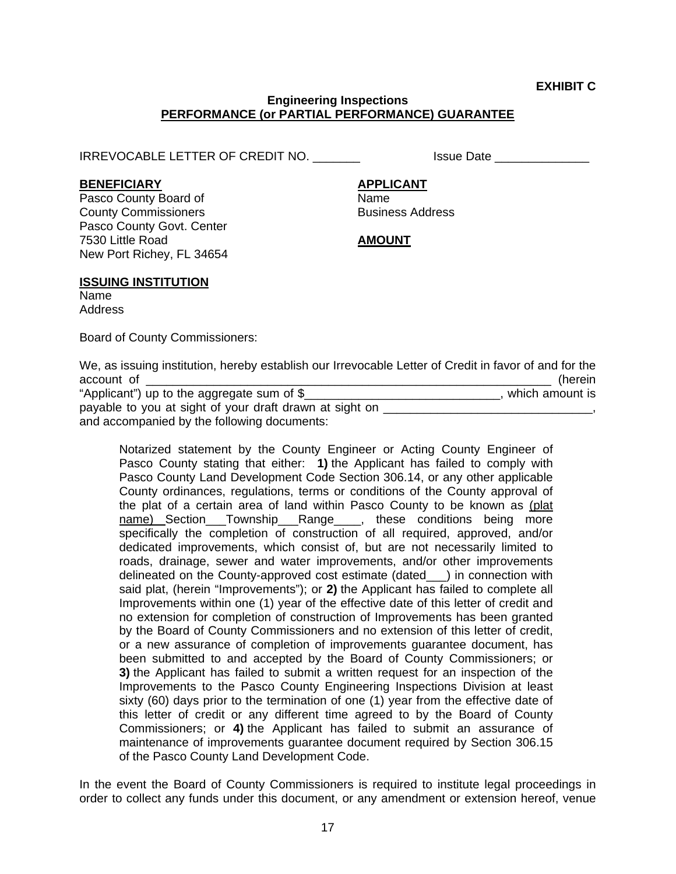#### **Engineering Inspections PERFORMANCE (or PARTIAL PERFORMANCE) GUARANTEE**

IRREVOCABLE LETTER OF CREDIT NO. \_\_\_\_\_\_\_ Issue Date \_\_\_\_\_\_\_\_\_\_\_\_\_\_

BENEFICIARY **APPLICANT** 

Pasco County Board of Name **County Commissioners Business Address** Pasco County Govt. Center 7530 Little Road **AMOUNT** New Port Richey, FL 34654

#### **ISSUING INSTITUTION**

Name Address

Board of County Commissioners:

We, as issuing institution, hereby establish our Irrevocable Letter of Credit in favor of and for the account of \_\_\_\_\_\_\_\_\_\_\_\_\_\_\_\_\_\_\_\_\_\_\_\_\_\_\_\_\_\_\_\_\_\_\_\_\_\_\_\_\_\_\_\_\_\_\_\_\_\_\_\_\_\_\_\_\_\_\_\_ (herein

| "Applicant") up to the aggregate sum of $\S$            | , which amount is |
|---------------------------------------------------------|-------------------|
| payable to you at sight of your draft drawn at sight on |                   |
| and accompanied by the following documents:             |                   |

 Notarized statement by the County Engineer or Acting County Engineer of Pasco County stating that either: **1)** the Applicant has failed to comply with Pasco County Land Development Code Section 306.14, or any other applicable County ordinances, regulations, terms or conditions of the County approval of the plat of a certain area of land within Pasco County to be known as (plat name) Section\_\_\_Township\_\_\_Range\_\_\_\_, these conditions being more specifically the completion of construction of all required, approved, and/or dedicated improvements, which consist of, but are not necessarily limited to roads, drainage, sewer and water improvements, and/or other improvements delineated on the County-approved cost estimate (dated\_\_\_) in connection with said plat, (herein "Improvements"); or **2)** the Applicant has failed to complete all Improvements within one (1) year of the effective date of this letter of credit and no extension for completion of construction of Improvements has been granted by the Board of County Commissioners and no extension of this letter of credit, or a new assurance of completion of improvements guarantee document, has been submitted to and accepted by the Board of County Commissioners; or **3)** the Applicant has failed to submit a written request for an inspection of the Improvements to the Pasco County Engineering Inspections Division at least sixty (60) days prior to the termination of one (1) year from the effective date of this letter of credit or any different time agreed to by the Board of County Commissioners; or **4)** the Applicant has failed to submit an assurance of maintenance of improvements guarantee document required by Section 306.15 of the Pasco County Land Development Code.

In the event the Board of County Commissioners is required to institute legal proceedings in order to collect any funds under this document, or any amendment or extension hereof, venue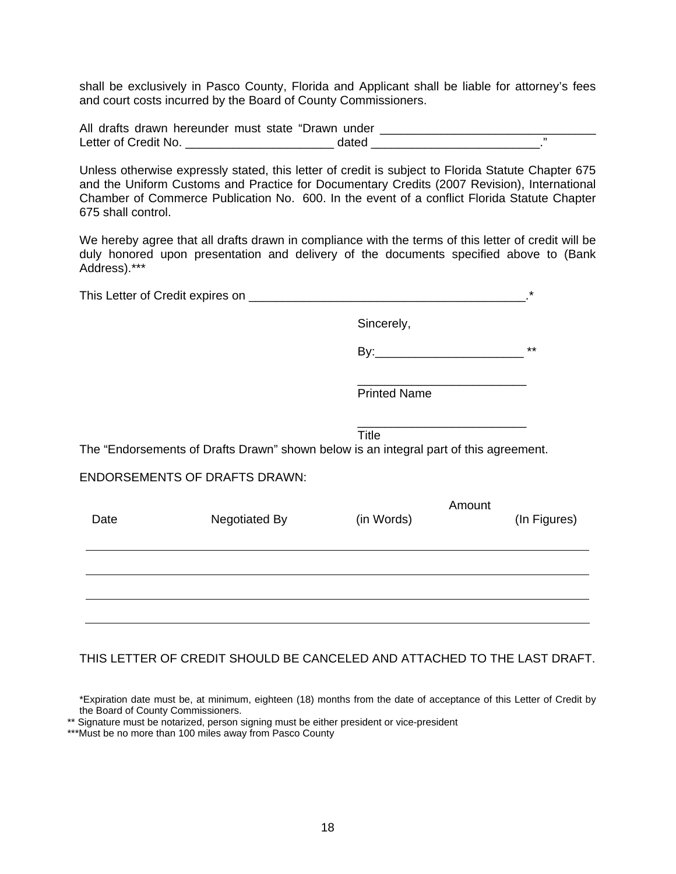shall be exclusively in Pasco County, Florida and Applicant shall be liable for attorney's fees and court costs incurred by the Board of County Commissioners.

| All drafts drawn hereunder must state "Drawn under |  |
|----------------------------------------------------|--|
| Letter of Credit No.                               |  |

Unless otherwise expressly stated, this letter of credit is subject to Florida Statute Chapter 675 and the Uniform Customs and Practice for Documentary Credits (2007 Revision), International Chamber of Commerce Publication No. 600. In the event of a conflict Florida Statute Chapter 675 shall control.

We hereby agree that all drafts drawn in compliance with the terms of this letter of credit will be duly honored upon presentation and delivery of the documents specified above to (Bank Address).\*\*\*

| This Letter of Credit expires on |  |
|----------------------------------|--|
|                                  |  |
|                                  |  |

 $\overline{\phantom{a}}$  , and the contract of the contract of the contract of the contract of the contract of the contract of the contract of the contract of the contract of the contract of the contract of the contract of the contrac

Sincerely,

By:\_\_\_\_\_\_\_\_\_\_\_\_\_\_\_\_\_\_\_\_\_\_ \*\*

Printed Name

 $\overline{\phantom{a}}$  , and the contract of the contract of the contract of the contract of the contract of the contract of the contract of the contract of the contract of the contract of the contract of the contract of the contrac **Title The Community of Community Community Title** 

The "Endorsements of Drafts Drawn" shown below is an integral part of this agreement.

#### ENDORSEMENTS OF DRAFTS DRAWN:

| Date | Negotiated By | (in Words) | Amount | (In Figures) |
|------|---------------|------------|--------|--------------|
|      |               |            |        |              |
|      |               |            |        |              |
|      |               |            |        |              |

### THIS LETTER OF CREDIT SHOULD BE CANCELED AND ATTACHED TO THE LAST DRAFT.

\*Expiration date must be, at minimum, eighteen (18) months from the date of acceptance of this Letter of Credit by the Board of County Commissioners.

\*\* Signature must be notarized, person signing must be either president or vice-president

\*\*\*Must be no more than 100 miles away from Pasco County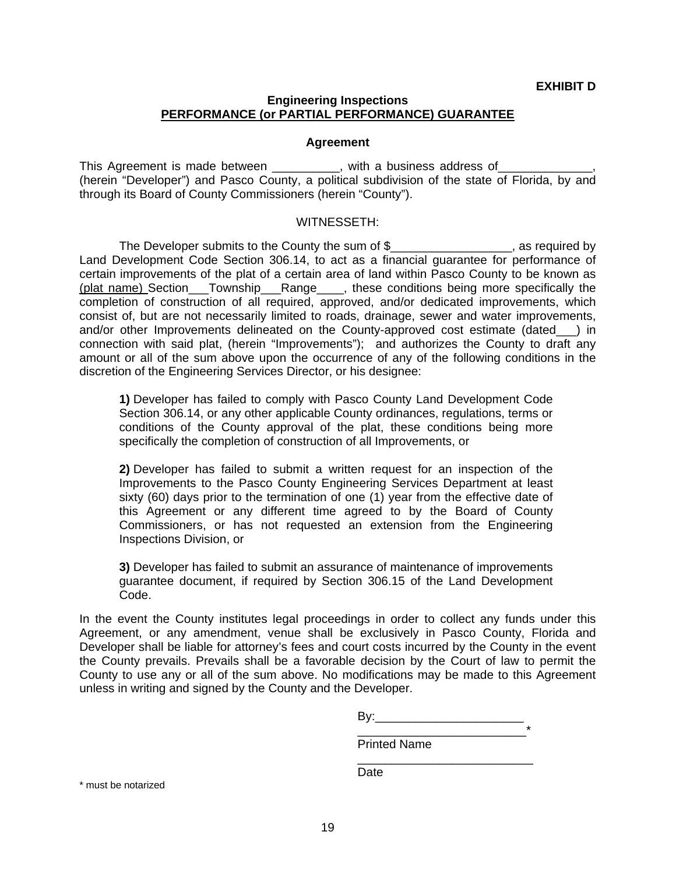#### **Engineering Inspections PERFORMANCE (or PARTIAL PERFORMANCE) GUARANTEE**

#### **Agreement**

This Agreement is made between \_\_\_\_\_\_\_\_\_, with a business address of (herein "Developer") and Pasco County, a political subdivision of the state of Florida, by and through its Board of County Commissioners (herein "County").

#### WITNESSETH:

The Developer submits to the County the sum of \$\_\_\_\_\_\_\_\_\_\_\_\_\_\_\_\_\_\_, as required by Land Development Code Section 306.14, to act as a financial guarantee for performance of certain improvements of the plat of a certain area of land within Pasco County to be known as (plat name) Section\_\_\_Township\_\_\_Range\_\_\_\_, these conditions being more specifically the completion of construction of all required, approved, and/or dedicated improvements, which consist of, but are not necessarily limited to roads, drainage, sewer and water improvements, and/or other Improvements delineated on the County-approved cost estimate (dated\_\_\_) in connection with said plat, (herein "Improvements"); and authorizes the County to draft any amount or all of the sum above upon the occurrence of any of the following conditions in the discretion of the Engineering Services Director, or his designee:

**1)** Developer has failed to comply with Pasco County Land Development Code Section 306.14, or any other applicable County ordinances, regulations, terms or conditions of the County approval of the plat, these conditions being more specifically the completion of construction of all Improvements, or

**2)** Developer has failed to submit a written request for an inspection of the Improvements to the Pasco County Engineering Services Department at least sixty (60) days prior to the termination of one (1) year from the effective date of this Agreement or any different time agreed to by the Board of County Commissioners, or has not requested an extension from the Engineering Inspections Division, or

**3)** Developer has failed to submit an assurance of maintenance of improvements guarantee document, if required by Section 306.15 of the Land Development Code.

In the event the County institutes legal proceedings in order to collect any funds under this Agreement, or any amendment, venue shall be exclusively in Pasco County, Florida and Developer shall be liable for attorney's fees and court costs incurred by the County in the event the County prevails. Prevails shall be a favorable decision by the Court of law to permit the County to use any or all of the sum above. No modifications may be made to this Agreement unless in writing and signed by the County and the Developer.

| ___ |  |
|-----|--|

Printed Name

**Date Date Date** 

\* must be notarized

 $\overline{\phantom{a}}$  , and the contract of the contract of the contract of the contract of the contract of the contract of the contract of the contract of the contract of the contract of the contract of the contract of the contrac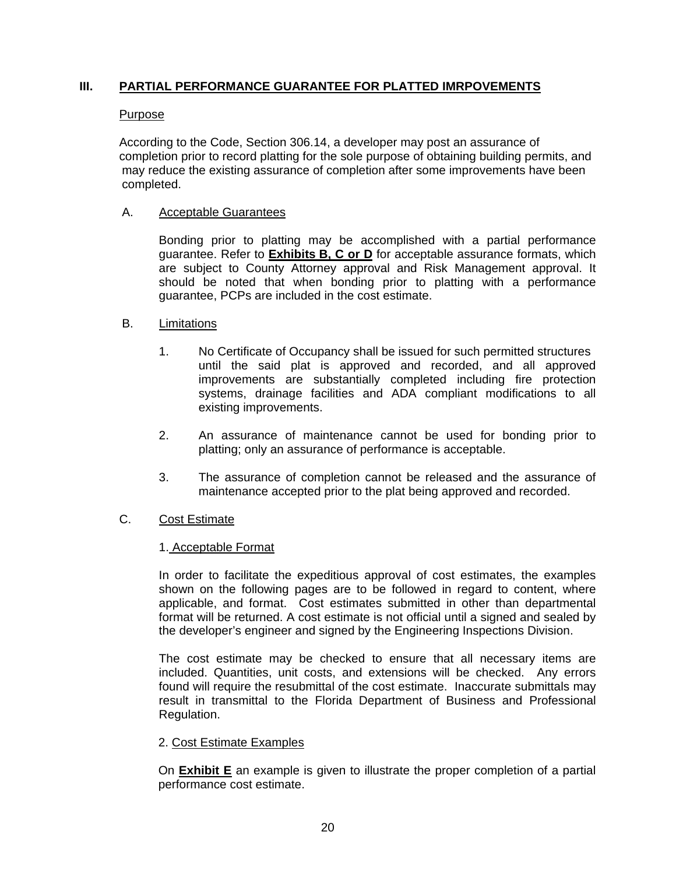### **III. PARTIAL PERFORMANCE GUARANTEE FOR PLATTED IMRPOVEMENTS**

#### Purpose

According to the Code, Section 306.14, a developer may post an assurance of completion prior to record platting for the sole purpose of obtaining building permits, and may reduce the existing assurance of completion after some improvements have been completed.

#### A. Acceptable Guarantees

 Bonding prior to platting may be accomplished with a partial performance guarantee. Refer to **Exhibits B, C or D** for acceptable assurance formats, which are subject to County Attorney approval and Risk Management approval. It should be noted that when bonding prior to platting with a performance guarantee, PCPs are included in the cost estimate.

#### B. Limitations

- 1. No Certificate of Occupancy shall be issued for such permitted structures until the said plat is approved and recorded, and all approved improvements are substantially completed including fire protection systems, drainage facilities and ADA compliant modifications to all existing improvements.
- 2. An assurance of maintenance cannot be used for bonding prior to platting; only an assurance of performance is acceptable.
- 3. The assurance of completion cannot be released and the assurance of maintenance accepted prior to the plat being approved and recorded.

### C. Cost Estimate

#### 1. Acceptable Format

In order to facilitate the expeditious approval of cost estimates, the examples shown on the following pages are to be followed in regard to content, where applicable, and format. Cost estimates submitted in other than departmental format will be returned. A cost estimate is not official until a signed and sealed by the developer's engineer and signed by the Engineering Inspections Division.

 The cost estimate may be checked to ensure that all necessary items are included. Quantities, unit costs, and extensions will be checked. Any errors found will require the resubmittal of the cost estimate. Inaccurate submittals may result in transmittal to the Florida Department of Business and Professional Regulation.

#### 2. Cost Estimate Examples

On **Exhibit E** an example is given to illustrate the proper completion of a partial performance cost estimate.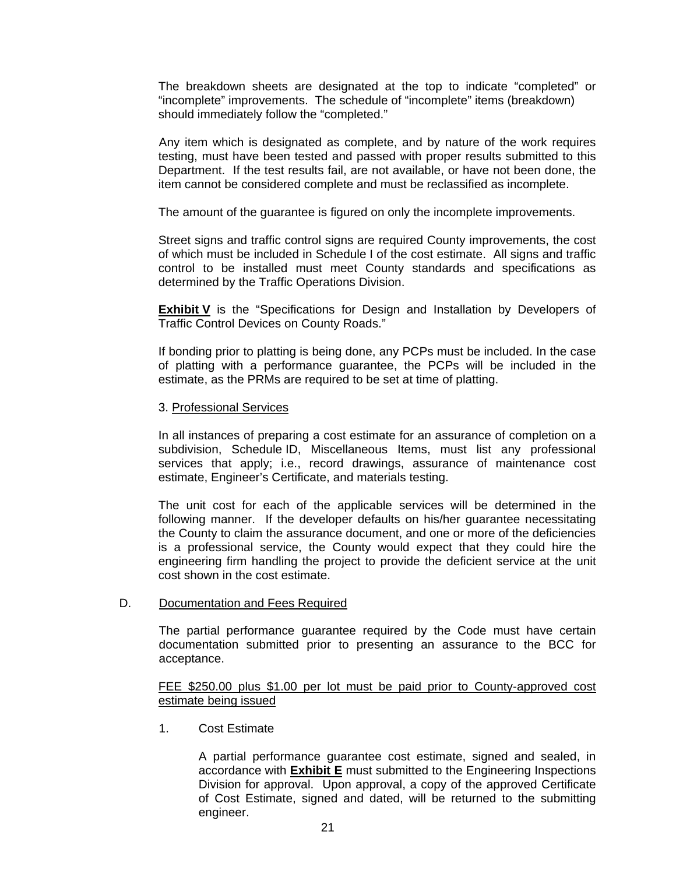The breakdown sheets are designated at the top to indicate "completed" or "incomplete" improvements. The schedule of "incomplete" items (breakdown) should immediately follow the "completed."

Any item which is designated as complete, and by nature of the work requires testing, must have been tested and passed with proper results submitted to this Department. If the test results fail, are not available, or have not been done, the item cannot be considered complete and must be reclassified as incomplete.

The amount of the guarantee is figured on only the incomplete improvements.

 Street signs and traffic control signs are required County improvements, the cost of which must be included in Schedule I of the cost estimate. All signs and traffic control to be installed must meet County standards and specifications as determined by the Traffic Operations Division.

**Exhibit V** is the "Specifications for Design and Installation by Developers of Traffic Control Devices on County Roads."

 If bonding prior to platting is being done, any PCPs must be included. In the case of platting with a performance guarantee, the PCPs will be included in the estimate, as the PRMs are required to be set at time of platting.

#### 3. Professional Services

 In all instances of preparing a cost estimate for an assurance of completion on a subdivision, Schedule ID, Miscellaneous Items, must list any professional services that apply; i.e., record drawings, assurance of maintenance cost estimate, Engineer's Certificate, and materials testing.

 The unit cost for each of the applicable services will be determined in the following manner. If the developer defaults on his/her guarantee necessitating the County to claim the assurance document, and one or more of the deficiencies is a professional service, the County would expect that they could hire the engineering firm handling the project to provide the deficient service at the unit cost shown in the cost estimate.

#### D. Documentation and Fees Required

The partial performance guarantee required by the Code must have certain documentation submitted prior to presenting an assurance to the BCC for acceptance.

#### FEE \$250.00 plus \$1.00 per lot must be paid prior to County-approved cost estimate being issued

1. Cost Estimate

 A partial performance guarantee cost estimate, signed and sealed, in accordance with **Exhibit E** must submitted to the Engineering Inspections Division for approval. Upon approval, a copy of the approved Certificate of Cost Estimate, signed and dated, will be returned to the submitting engineer.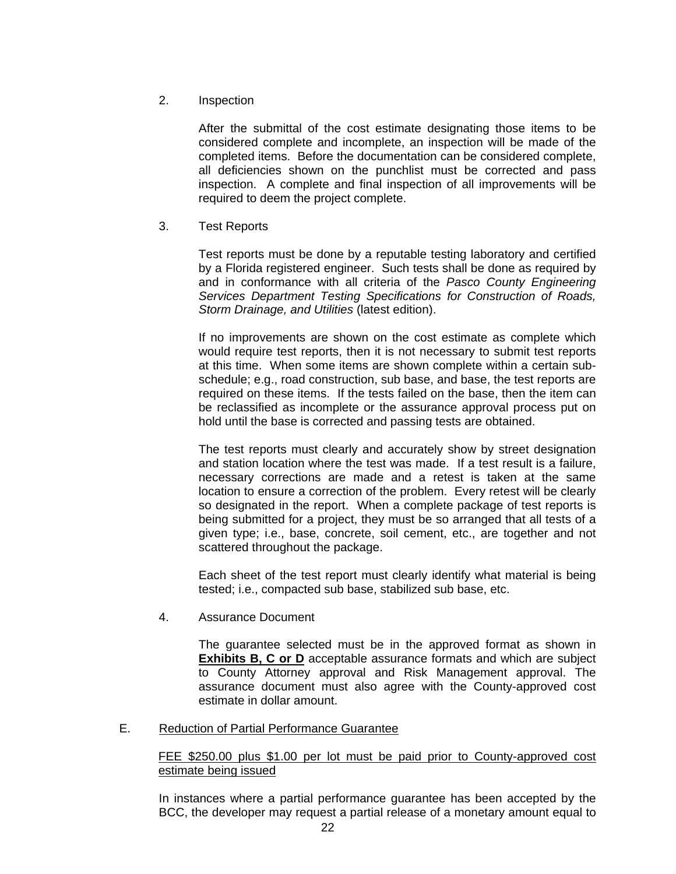2. Inspection

 After the submittal of the cost estimate designating those items to be considered complete and incomplete, an inspection will be made of the completed items. Before the documentation can be considered complete, all deficiencies shown on the punchlist must be corrected and pass inspection. A complete and final inspection of all improvements will be required to deem the project complete.

3. Test Reports

 Test reports must be done by a reputable testing laboratory and certified by a Florida registered engineer. Such tests shall be done as required by and in conformance with all criteria of the *Pasco County Engineering Services Department Testing Specifications for Construction of Roads, Storm Drainage, and Utilities* (latest edition).

 If no improvements are shown on the cost estimate as complete which would require test reports, then it is not necessary to submit test reports at this time. When some items are shown complete within a certain subschedule; e.g., road construction, sub base, and base, the test reports are required on these items. If the tests failed on the base, then the item can be reclassified as incomplete or the assurance approval process put on hold until the base is corrected and passing tests are obtained.

 The test reports must clearly and accurately show by street designation and station location where the test was made. If a test result is a failure, necessary corrections are made and a retest is taken at the same location to ensure a correction of the problem. Every retest will be clearly so designated in the report. When a complete package of test reports is being submitted for a project, they must be so arranged that all tests of a given type; i.e., base, concrete, soil cement, etc., are together and not scattered throughout the package.

 Each sheet of the test report must clearly identify what material is being tested; i.e., compacted sub base, stabilized sub base, etc.

4. Assurance Document

 The guarantee selected must be in the approved format as shown in **Exhibits B, C or D** acceptable assurance formats and which are subject to County Attorney approval and Risk Management approval. The assurance document must also agree with the County-approved cost estimate in dollar amount.

E. Reduction of Partial Performance Guarantee

#### FEE \$250.00 plus \$1.00 per lot must be paid prior to County-approved cost estimate being issued

In instances where a partial performance guarantee has been accepted by the BCC, the developer may request a partial release of a monetary amount equal to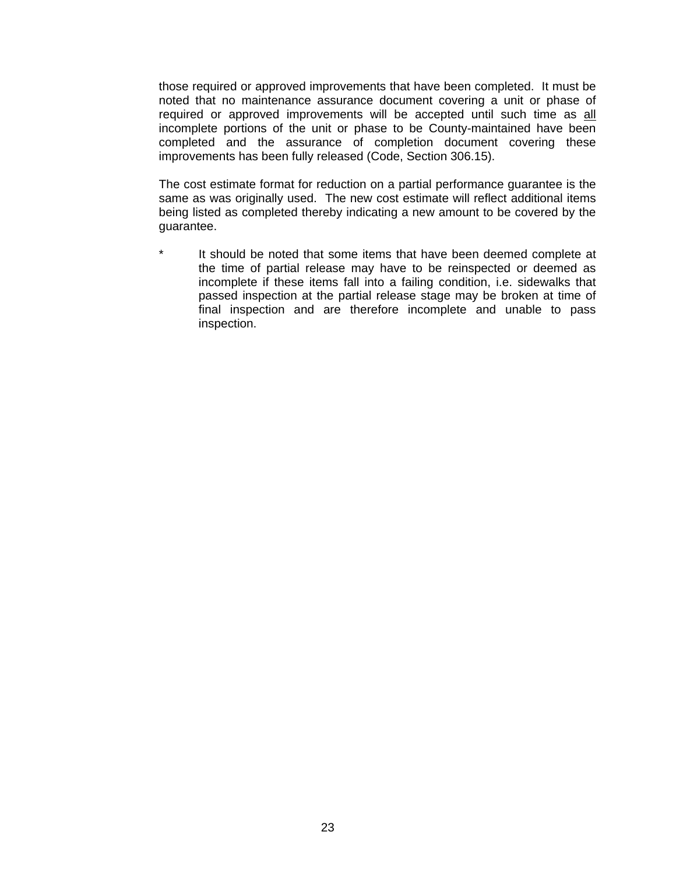those required or approved improvements that have been completed. It must be noted that no maintenance assurance document covering a unit or phase of required or approved improvements will be accepted until such time as all incomplete portions of the unit or phase to be County-maintained have been completed and the assurance of completion document covering these improvements has been fully released (Code, Section 306.15).

 The cost estimate format for reduction on a partial performance guarantee is the same as was originally used. The new cost estimate will reflect additional items being listed as completed thereby indicating a new amount to be covered by the guarantee.

It should be noted that some items that have been deemed complete at the time of partial release may have to be reinspected or deemed as incomplete if these items fall into a failing condition, i.e. sidewalks that passed inspection at the partial release stage may be broken at time of final inspection and are therefore incomplete and unable to pass inspection.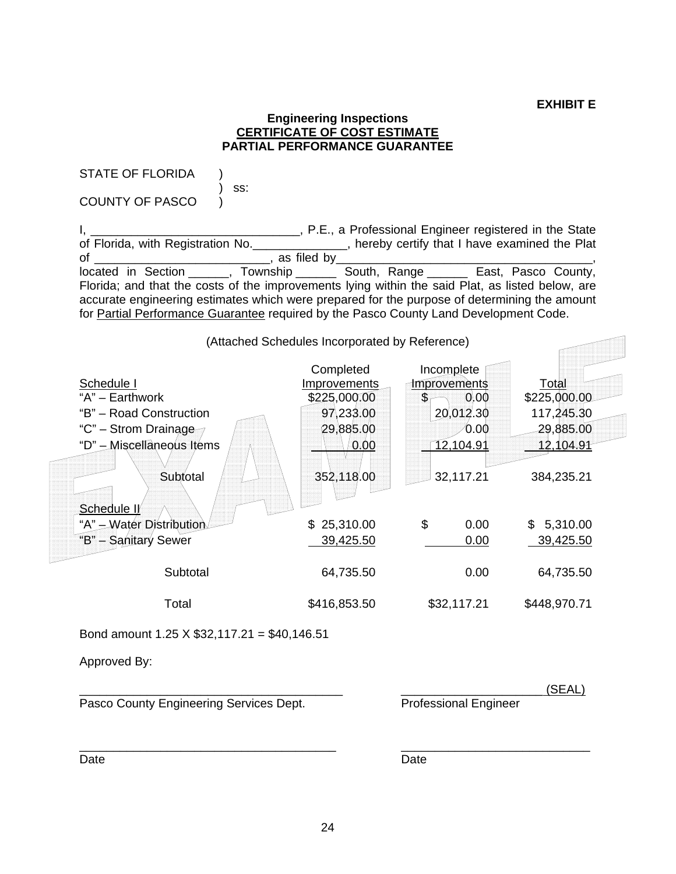#### **Engineering Inspections CERTIFICATE OF COST ESTIMATE PARTIAL PERFORMANCE GUARANTEE**

STATE OF FLORIDA )

 $\qquad \qquad \text{ss:}$ COUNTY OF PASCO )

I, \_\_\_\_\_\_\_\_\_\_\_\_\_\_\_\_\_\_\_\_\_\_\_\_\_\_\_\_\_\_\_\_, P.E., a Professional Engineer registered in the State of Florida, with Registration No. \_\_\_\_\_\_\_\_\_\_\_\_\_\_, hereby certify that I have examined the Plat of \_\_\_\_\_\_\_\_\_\_\_\_\_\_\_\_\_\_\_\_\_\_\_\_\_\_, as filed by\_\_\_\_\_\_\_\_\_\_\_\_\_\_\_\_\_\_\_\_\_\_\_\_\_\_\_\_\_\_\_\_\_\_\_\_\_\_, located in Section \_\_\_\_\_\_, Township \_\_\_\_\_\_ South, Range \_\_\_\_\_\_ East, Pasco County, Florida; and that the costs of the improvements lying within the said Plat, as listed below, are accurate engineering estimates which were prepared for the purpose of determining the amount for Partial Performance Guarantee required by the Pasco County Land Development Code.



Bond amount 1.25 X \$32,117.21 = \$40,146.51

Approved By:

Pasco County Engineering Services Dept. Professional Engineer

\_\_\_\_\_\_\_\_\_\_\_\_\_\_\_\_\_\_\_\_\_\_\_\_\_\_\_\_\_\_\_\_\_\_\_\_\_\_\_ \_\_\_\_\_\_\_\_\_\_\_\_\_\_\_\_\_\_\_\_\_ (SEAL)

Date **Date Date Date Date Date Date** 

\_\_\_\_\_\_\_\_\_\_\_\_\_\_\_\_\_\_\_\_\_\_\_\_\_\_\_\_\_\_\_\_\_\_\_\_\_\_ \_\_\_\_\_\_\_\_\_\_\_\_\_\_\_\_\_\_\_\_\_\_\_\_\_\_\_\_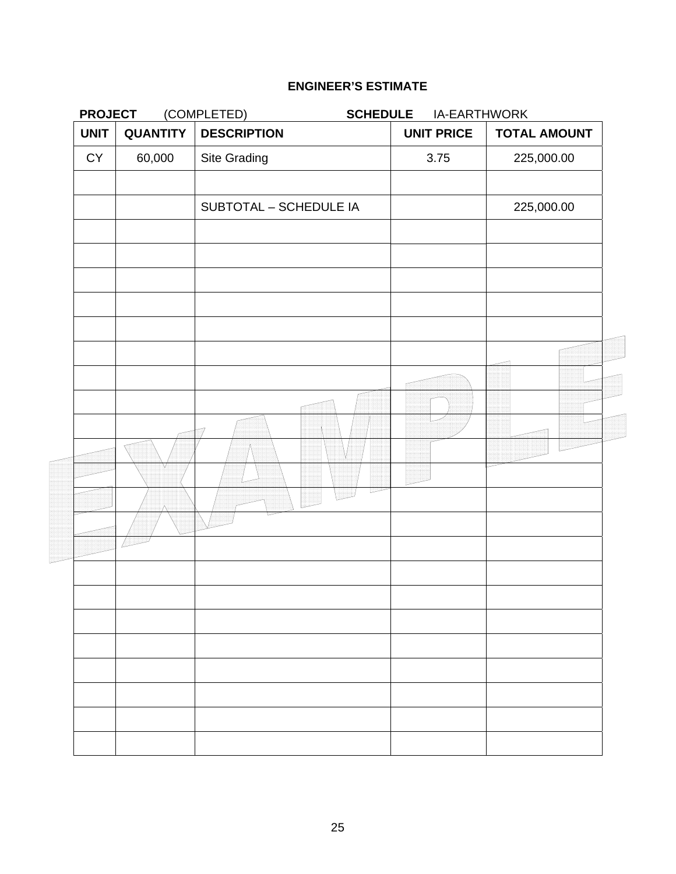| <b>PROJECT</b> |                 | (COMPLETED)<br><b>SCHEDULE</b> | IA-EARTHWORK      |                     |
|----------------|-----------------|--------------------------------|-------------------|---------------------|
| <b>UNIT</b>    | <b>QUANTITY</b> | <b>DESCRIPTION</b>             | <b>UNIT PRICE</b> | <b>TOTAL AMOUNT</b> |
| ${\sf CY}$     | 60,000          | Site Grading                   | 3.75              | 225,000.00          |
|                |                 | SUBTOTAL - SCHEDULE IA         |                   | 225,000.00          |
|                |                 |                                |                   |                     |
|                |                 |                                |                   |                     |
|                |                 |                                |                   |                     |
|                |                 |                                |                   |                     |
|                |                 |                                |                   |                     |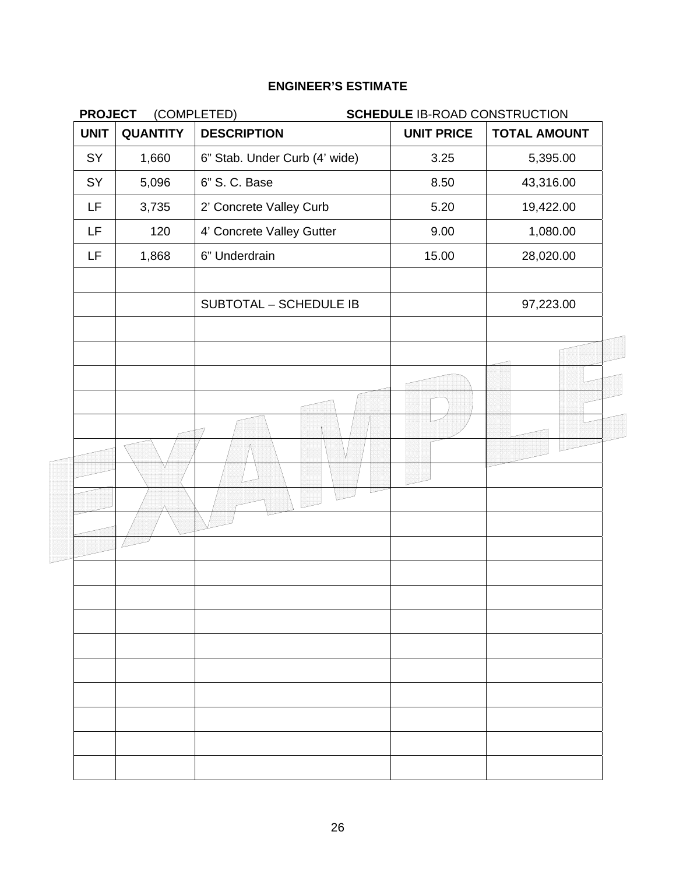| <b>QUANTITY</b> | <b>DESCRIPTION</b>            |                   |                     |
|-----------------|-------------------------------|-------------------|---------------------|
|                 |                               | <b>UNIT PRICE</b> | <b>TOTAL AMOUNT</b> |
| 1,660           | 6" Stab. Under Curb (4' wide) | 3.25              | 5,395.00            |
| 5,096           | 6" S. C. Base                 | 8.50              | 43,316.00           |
| 3,735           | 2' Concrete Valley Curb       | 5.20              | 19,422.00           |
| 120             | 4' Concrete Valley Gutter     | 9.00              | 1,080.00            |
| 1,868           | 6" Underdrain                 | 15.00             | 28,020.00           |
|                 | SUBTOTAL - SCHEDULE IB        |                   | 97,223.00           |
|                 |                               |                   |                     |
|                 |                               |                   |                     |
|                 |                               |                   |                     |
|                 |                               |                   |                     |
|                 |                               |                   |                     |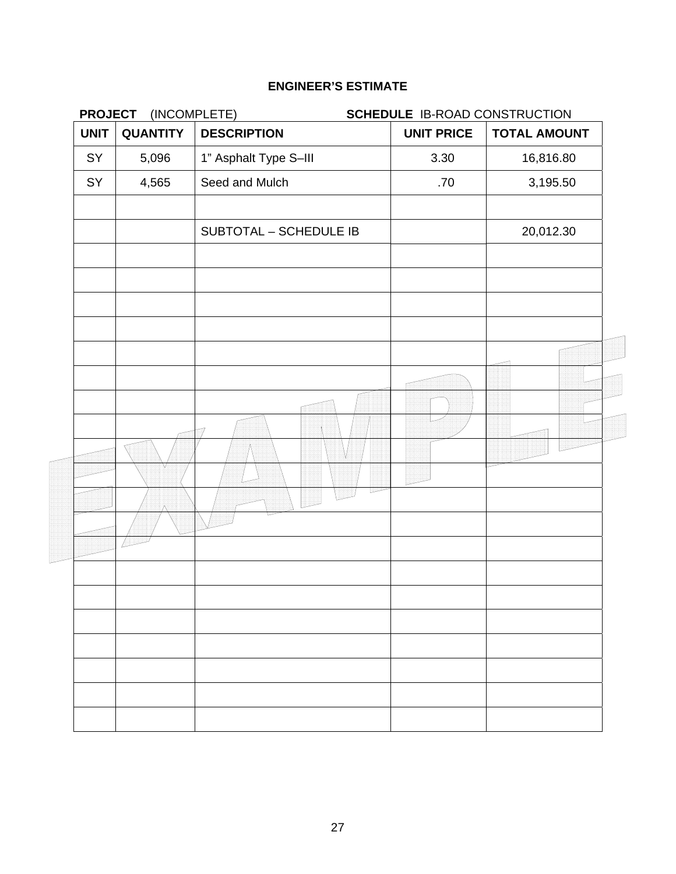| <b>PROJECT</b> | (INCOMPLETE)    |                        | SCHEDULE IB-ROAD CONSTRUCTION |                     |  |
|----------------|-----------------|------------------------|-------------------------------|---------------------|--|
| <b>UNIT</b>    | <b>QUANTITY</b> | <b>DESCRIPTION</b>     | <b>UNIT PRICE</b>             | <b>TOTAL AMOUNT</b> |  |
| SY             | 5,096           | 1" Asphalt Type S-III  | 3.30                          | 16,816.80           |  |
| SY             | 4,565           | Seed and Mulch         | .70                           | 3,195.50            |  |
|                |                 | SUBTOTAL - SCHEDULE IB |                               | 20,012.30           |  |
|                |                 |                        |                               |                     |  |
|                |                 |                        |                               |                     |  |
|                |                 |                        |                               |                     |  |
|                |                 |                        |                               |                     |  |
|                |                 |                        |                               |                     |  |
|                |                 |                        |                               |                     |  |
|                |                 |                        |                               |                     |  |
|                |                 |                        |                               |                     |  |
|                |                 |                        |                               |                     |  |
|                |                 |                        |                               |                     |  |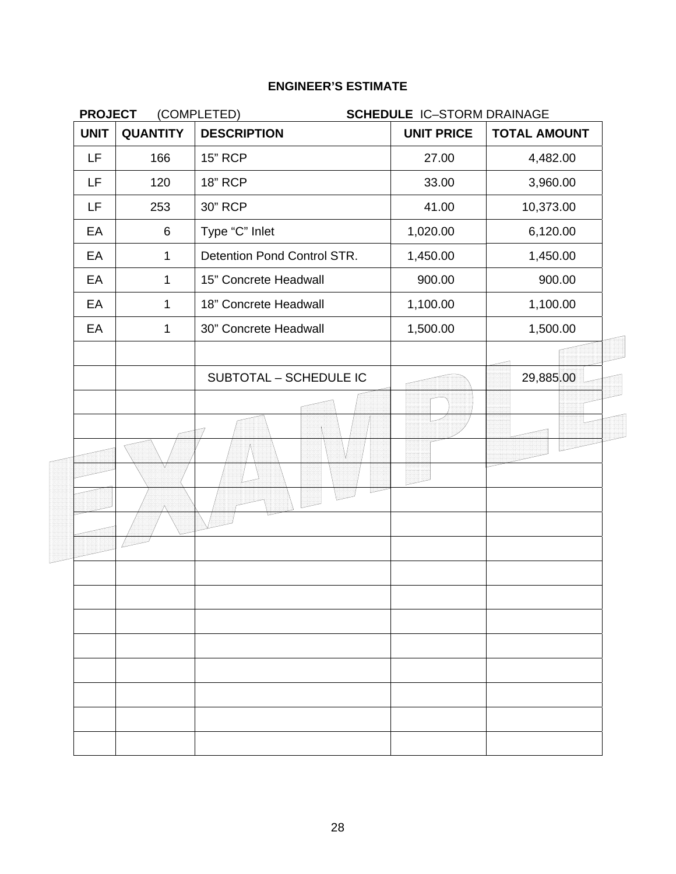| <b>PROJECT</b> |                 | (COMPLETED)<br><b>SCHEDULE IC-STORM DRAINAGE</b> |                   |                     |
|----------------|-----------------|--------------------------------------------------|-------------------|---------------------|
| <b>UNIT</b>    | <b>QUANTITY</b> | <b>DESCRIPTION</b>                               | <b>UNIT PRICE</b> | <b>TOTAL AMOUNT</b> |
| LF             | 166             | <b>15" RCP</b>                                   | 27.00             | 4,482.00            |
| LF             | 120             | <b>18" RCP</b>                                   | 33.00             | 3,960.00            |
| LF             | 253             | 30" RCP                                          | 41.00             | 10,373.00           |
| EA             | 6               | Type "C" Inlet                                   | 1,020.00          | 6,120.00            |
| EA             | $\mathbf{1}$    | Detention Pond Control STR.                      | 1,450.00          | 1,450.00            |
| EA             | $\mathbf 1$     | 15" Concrete Headwall                            | 900.00            | 900.00              |
| EA             | $\mathbf 1$     | 18" Concrete Headwall                            | 1,100.00          | 1,100.00            |
| EA             | $\mathbf 1$     | 30" Concrete Headwall                            | 1,500.00          | 1,500.00            |
|                |                 |                                                  |                   |                     |
|                |                 | SUBTOTAL - SCHEDULE IC                           |                   | 29,885.00           |
|                |                 |                                                  |                   |                     |
|                |                 |                                                  |                   |                     |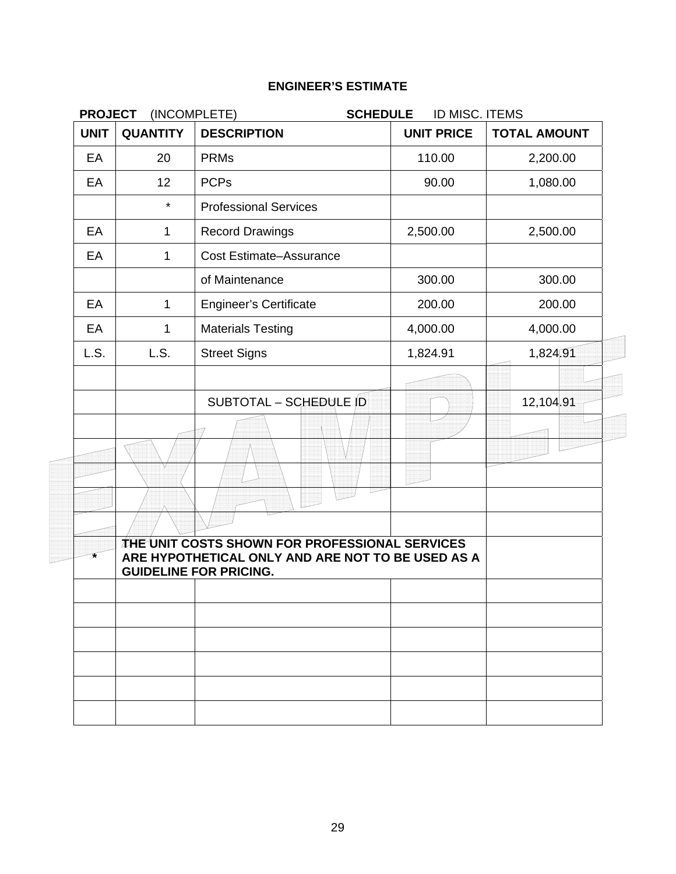| <b>PROJECT</b> | (INCOMPLETE)    | <b>SCHEDULE</b>                                                                                                                             | ID MISC. ITEMS    |                     |
|----------------|-----------------|---------------------------------------------------------------------------------------------------------------------------------------------|-------------------|---------------------|
| <b>UNIT</b>    | <b>QUANTITY</b> | <b>DESCRIPTION</b>                                                                                                                          | <b>UNIT PRICE</b> | <b>TOTAL AMOUNT</b> |
| EA             | 20              | <b>PRMs</b>                                                                                                                                 | 110.00            | 2,200.00            |
| EA             | 12              | <b>PCPs</b>                                                                                                                                 | 90.00             | 1,080.00            |
|                | $\star$         | <b>Professional Services</b>                                                                                                                |                   |                     |
| EA             | $\mathbf{1}$    | <b>Record Drawings</b>                                                                                                                      | 2,500.00          | 2,500.00            |
| EA             | 1               | <b>Cost Estimate-Assurance</b>                                                                                                              |                   |                     |
|                |                 | of Maintenance                                                                                                                              | 300.00            | 300.00              |
| EA             | $\mathbf{1}$    | <b>Engineer's Certificate</b>                                                                                                               | 200.00            | 200.00              |
| EA             | 1               | <b>Materials Testing</b>                                                                                                                    | 4,000.00          | 4,000.00            |
| L.S.           | L.S.            | <b>Street Signs</b>                                                                                                                         | 1,824.91          | 1,824.91            |
|                |                 |                                                                                                                                             |                   |                     |
|                |                 | SUBTOTAL - SCHEDULE ID                                                                                                                      |                   | 12,104.91           |
|                |                 |                                                                                                                                             |                   |                     |
|                |                 |                                                                                                                                             |                   |                     |
|                |                 |                                                                                                                                             |                   |                     |
|                |                 |                                                                                                                                             |                   |                     |
|                |                 | <b>THE UNIT COSTS SHOWN FOR PROFESSIONAL SERVICES</b><br>ARE HYPOTHETICAL ONLY AND ARE NOT TO BE USED AS A<br><b>GUIDELINE FOR PRICING.</b> |                   |                     |
|                |                 |                                                                                                                                             |                   |                     |
|                |                 |                                                                                                                                             |                   |                     |
|                |                 |                                                                                                                                             |                   |                     |
|                |                 |                                                                                                                                             |                   |                     |
|                |                 |                                                                                                                                             |                   |                     |
|                |                 |                                                                                                                                             |                   |                     |
|                |                 |                                                                                                                                             |                   |                     |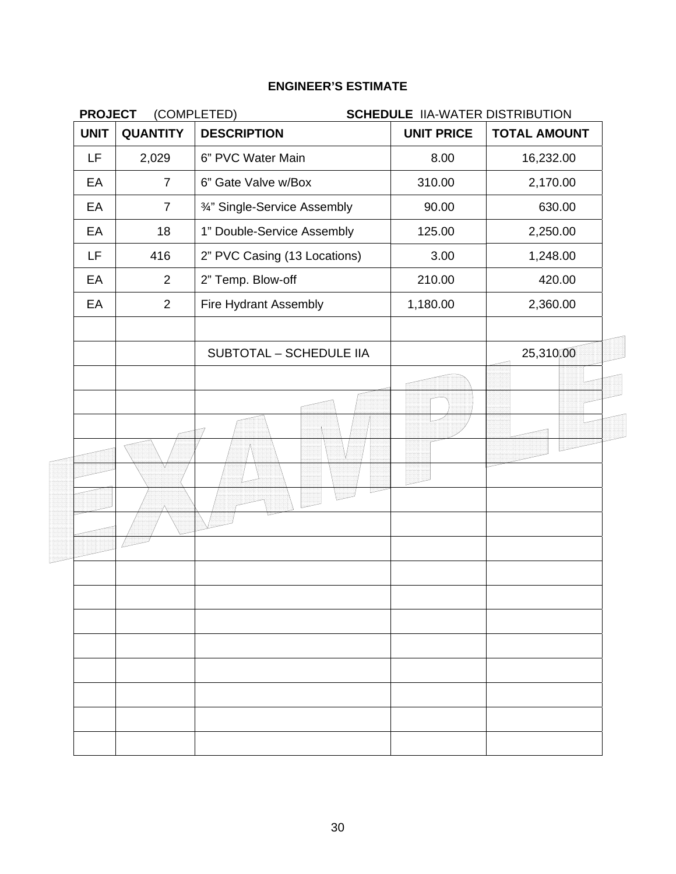| <b>PROJECT</b> |                 | (COMPLETED)                    | <b>SCHEDULE IIA-WATER DISTRIBUTION</b> |                     |
|----------------|-----------------|--------------------------------|----------------------------------------|---------------------|
| <b>UNIT</b>    | <b>QUANTITY</b> | <b>DESCRIPTION</b>             | <b>UNIT PRICE</b>                      | <b>TOTAL AMOUNT</b> |
| LF             | 2,029           | 6" PVC Water Main              | 8.00                                   | 16,232.00           |
| EA             | $\overline{7}$  | 6" Gate Valve w/Box            | 310.00                                 | 2,170.00            |
| EA             | $\overline{7}$  | 3/4" Single-Service Assembly   | 90.00                                  | 630.00              |
| EA             | 18              | 1" Double-Service Assembly     | 125.00                                 | 2,250.00            |
| LF             | 416             | 2" PVC Casing (13 Locations)   | 3.00                                   | 1,248.00            |
| EA             | 2               | 2" Temp. Blow-off              | 210.00                                 | 420.00              |
| EA             | 2               | Fire Hydrant Assembly          | 1,180.00                               | 2,360.00            |
|                |                 | <b>SUBTOTAL - SCHEDULE IIA</b> |                                        | 25,310,00           |
|                |                 |                                |                                        |                     |
|                |                 |                                |                                        |                     |
|                |                 |                                |                                        |                     |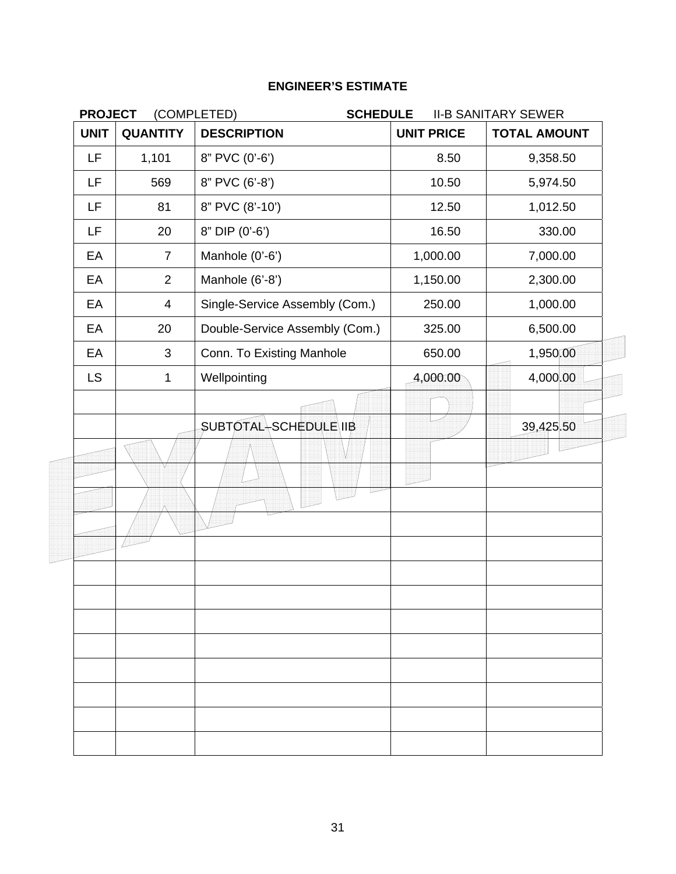| <b>PROJECT</b> |                 | (COMPLETED)<br><b>SCHEDULE</b> |                   | <b>II-B SANITARY SEWER</b> |
|----------------|-----------------|--------------------------------|-------------------|----------------------------|
| <b>UNIT</b>    | <b>QUANTITY</b> | <b>DESCRIPTION</b>             | <b>UNIT PRICE</b> | <b>TOTAL AMOUNT</b>        |
| LF             | 1,101           | 8" PVC (0'-6')                 | 8.50              | 9,358.50                   |
| LF             | 569             | 8" PVC (6'-8')                 | 10.50             | 5,974.50                   |
| LF.            | 81              | 8" PVC (8'-10')                | 12.50             | 1,012.50                   |
| LF.            | 20              | 8" DIP (0'-6')                 | 16.50             | 330.00                     |
| EA             | $\overline{7}$  | Manhole (0'-6')                | 1,000.00          | 7,000.00                   |
| EA             | $\overline{2}$  | Manhole (6'-8')                | 1,150.00          | 2,300.00                   |
| EA             | $\overline{4}$  | Single-Service Assembly (Com.) | 250.00            | 1,000.00                   |
| EA             | 20              | Double-Service Assembly (Com.) | 325.00            | 6,500.00                   |
| EA             | 3               | Conn. To Existing Manhole      | 650.00            | 1,950,00                   |
| <b>LS</b>      | $\mathbf{1}$    | Wellpointing                   | 4,000.00          | 4,000.00                   |
|                |                 | <b>SUBTOTAL</b> SCHEDULE IIB   |                   | 39,425.50                  |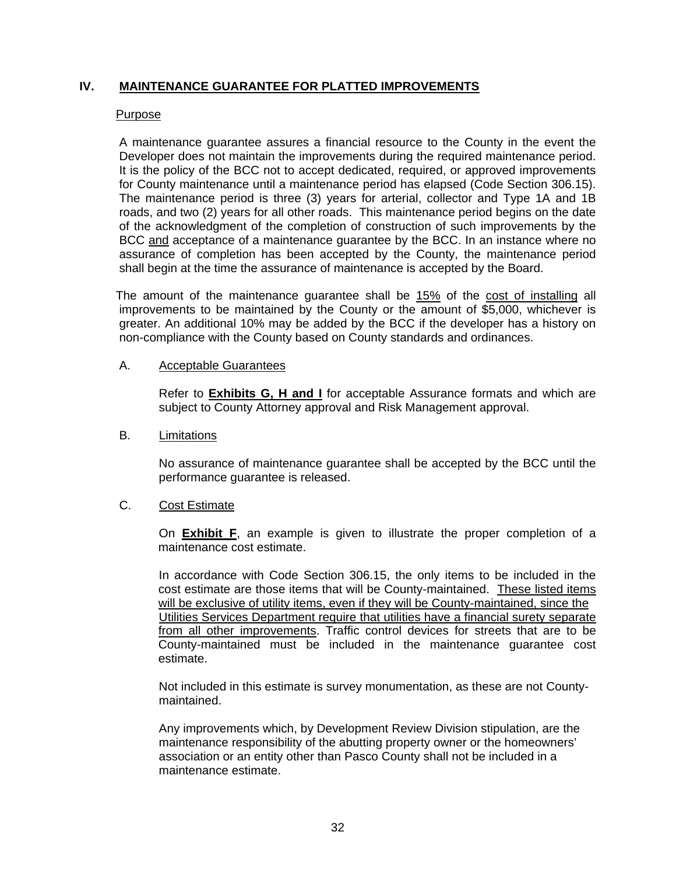### **IV. MAINTENANCE GUARANTEE FOR PLATTED IMPROVEMENTS**

#### Purpose

A maintenance guarantee assures a financial resource to the County in the event the Developer does not maintain the improvements during the required maintenance period. It is the policy of the BCC not to accept dedicated, required, or approved improvements for County maintenance until a maintenance period has elapsed (Code Section 306.15). The maintenance period is three (3) years for arterial, collector and Type 1A and 1B roads, and two (2) years for all other roads. This maintenance period begins on the date of the acknowledgment of the completion of construction of such improvements by the BCC and acceptance of a maintenance guarantee by the BCC. In an instance where no assurance of completion has been accepted by the County, the maintenance period shall begin at the time the assurance of maintenance is accepted by the Board.

The amount of the maintenance guarantee shall be 15% of the cost of installing all improvements to be maintained by the County or the amount of \$5,000, whichever is greater. An additional 10% may be added by the BCC if the developer has a history on non-compliance with the County based on County standards and ordinances.

#### A. Acceptable Guarantees

Refer to **Exhibits G, H and I** for acceptable Assurance formats and which are subject to County Attorney approval and Risk Management approval.

#### B. Limitations

No assurance of maintenance guarantee shall be accepted by the BCC until the performance guarantee is released.

#### C. Cost Estimate

On **Exhibit F**, an example is given to illustrate the proper completion of a maintenance cost estimate.

In accordance with Code Section 306.15, the only items to be included in the cost estimate are those items that will be County-maintained. These listed items will be exclusive of utility items, even if they will be County-maintained, since the Utilities Services Department require that utilities have a financial surety separate from all other improvements. Traffic control devices for streets that are to be County-maintained must be included in the maintenance guarantee cost estimate.

Not included in this estimate is survey monumentation, as these are not Countymaintained.

Any improvements which, by Development Review Division stipulation, are the maintenance responsibility of the abutting property owner or the homeowners' association or an entity other than Pasco County shall not be included in a maintenance estimate.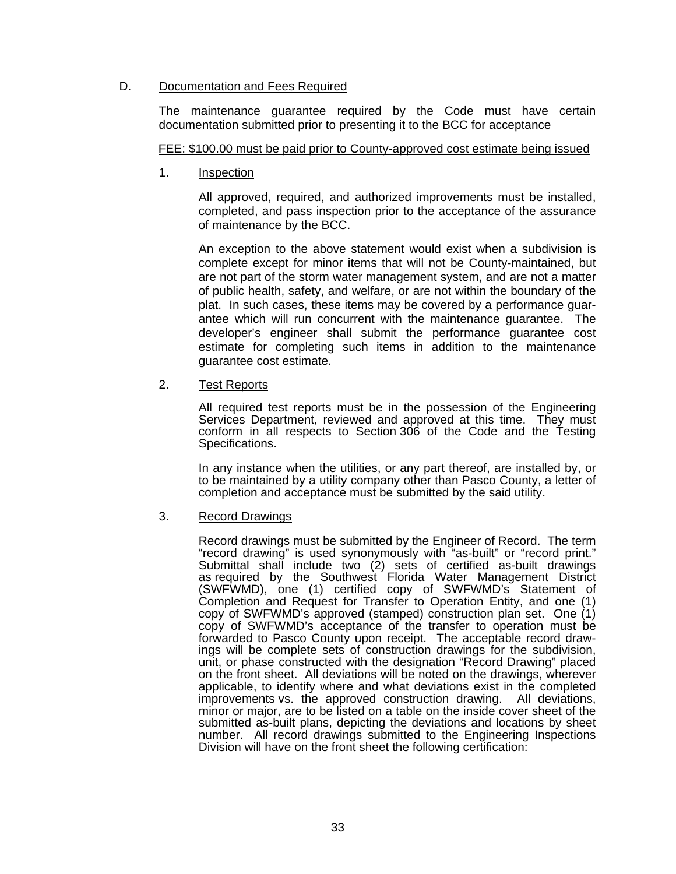#### D. Documentation and Fees Required

The maintenance guarantee required by the Code must have certain documentation submitted prior to presenting it to the BCC for acceptance

#### FEE: \$100.00 must be paid prior to County-approved cost estimate being issued

1. Inspection

 All approved, required, and authorized improvements must be installed, completed, and pass inspection prior to the acceptance of the assurance of maintenance by the BCC.

 An exception to the above statement would exist when a subdivision is complete except for minor items that will not be County-maintained, but are not part of the storm water management system, and are not a matter of public health, safety, and welfare, or are not within the boundary of the plat. In such cases, these items may be covered by a performance guarantee which will run concurrent with the maintenance guarantee. The developer's engineer shall submit the performance guarantee cost estimate for completing such items in addition to the maintenance guarantee cost estimate.

#### 2. Test Reports

 All required test reports must be in the possession of the Engineering Services Department, reviewed and approved at this time. They must conform in all respects to Section 306 of the Code and the Testing Specifications.

 In any instance when the utilities, or any part thereof, are installed by, or to be maintained by a utility company other than Pasco County, a letter of completion and acceptance must be submitted by the said utility.

#### 3. Record Drawings

 Record drawings must be submitted by the Engineer of Record. The term "record drawing" is used synonymously with "as-built" or "record print." Submittal shall include two (2) sets of certified as-built drawings as required by the Southwest Florida Water Management District (SWFWMD), one (1) certified copy of SWFWMD's Statement of Completion and Request for Transfer to Operation Entity, and one (1) copy of SWFWMD's approved (stamped) construction plan set. One (1) copy of SWFWMD's acceptance of the transfer to operation must be forwarded to Pasco County upon receipt. The acceptable record drawings will be complete sets of construction drawings for the subdivision, unit, or phase constructed with the designation "Record Drawing" placed on the front sheet. All deviations will be noted on the drawings, wherever applicable, to identify where and what deviations exist in the completed improvements vs. the approved construction drawing. All deviations, minor or major, are to be listed on a table on the inside cover sheet of the submitted as-built plans, depicting the deviations and locations by sheet number. All record drawings submitted to the Engineering Inspections Division will have on the front sheet the following certification: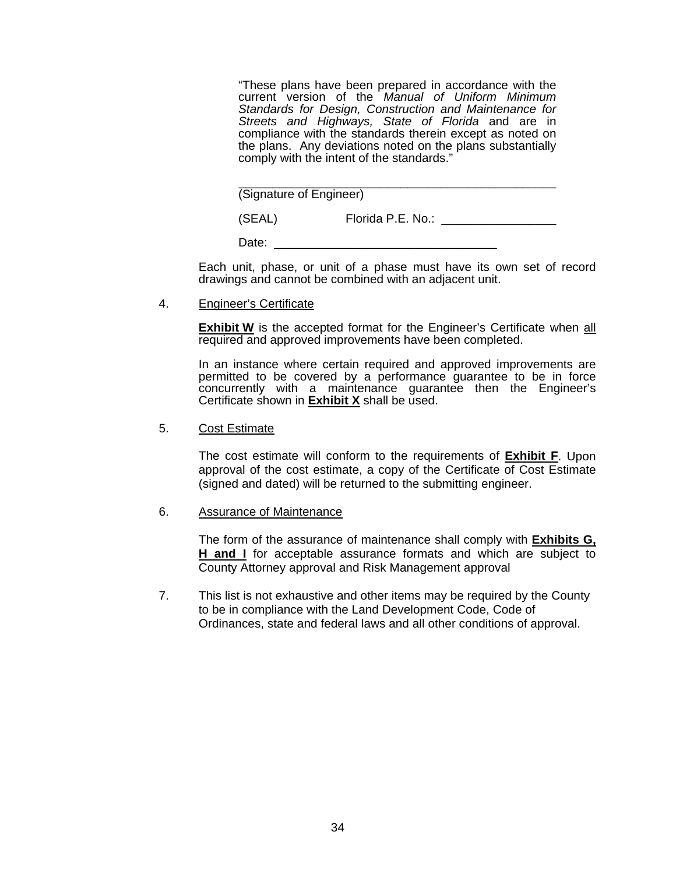"These plans have been prepared in accordance with the current version of the *Manual of Uniform Minimum Standards for Design, Construction and Maintenance for Streets and Highways, State of Florida* and are in compliance with the standards therein except as noted on the plans. Any deviations noted on the plans substantially comply with the intent of the standards."

| (Signature of Engineer) |  |
|-------------------------|--|

(SEAL) Florida P.E. No.: \_\_\_\_\_\_\_\_\_\_\_\_\_\_\_\_\_\_

Date:

 Each unit, phase, or unit of a phase must have its own set of record drawings and cannot be combined with an adjacent unit.

4. Engineer's Certificate

**Exhibit W** is the accepted format for the Engineer's Certificate when all required and approved improvements have been completed.

 In an instance where certain required and approved improvements are permitted to be covered by a performance guarantee to be in force concurrently with a maintenance guarantee then the Engineer's Certificate shown in **Exhibit X** shall be used.

5. Cost Estimate

 The cost estimate will conform to the requirements of **Exhibit F**. Upon approval of the cost estimate, a copy of the Certificate of Cost Estimate (signed and dated) will be returned to the submitting engineer.

### 6. Assurance of Maintenance

 The form of the assurance of maintenance shall comply with **Exhibits G, H and I** for acceptable assurance formats and which are subject to County Attorney approval and Risk Management approval

7. This list is not exhaustive and other items may be required by the County to be in compliance with the Land Development Code, Code of Ordinances, state and federal laws and all other conditions of approval.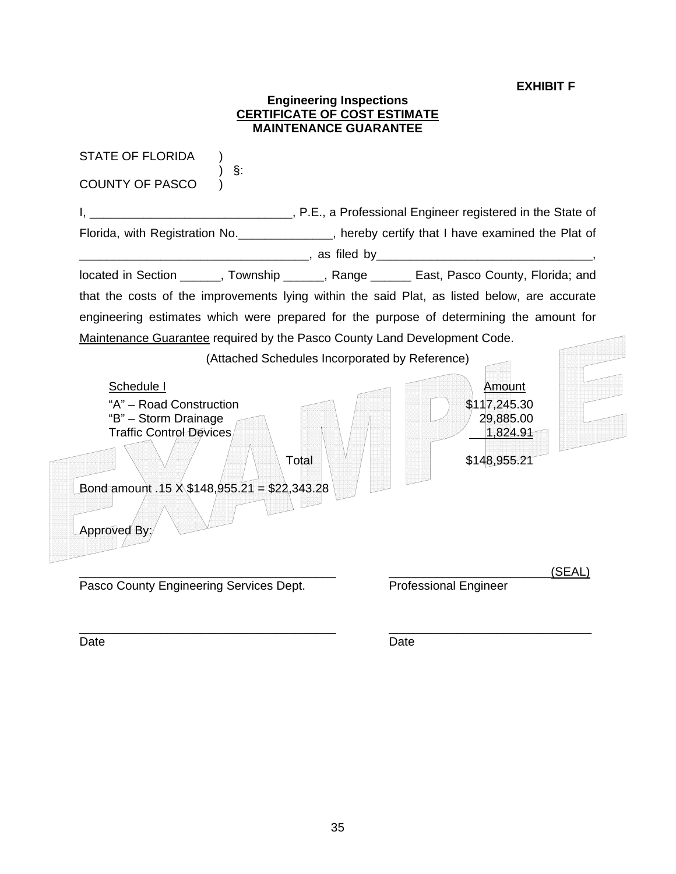### **EXHIBIT F**

#### **Engineering Inspections CERTIFICATE OF COST ESTIMATE MAINTENANCE GUARANTEE**

STATE OF FLORIDA )  $\sim$  ) §: COUNTY OF PASCO ) I, \_\_\_\_\_\_\_\_\_\_\_\_\_\_\_\_\_\_\_\_\_\_\_\_\_\_\_\_\_\_\_\_\_\_, P.E., a Professional Engineer registered in the State of Florida, with Registration No. \_\_\_\_\_\_\_\_\_\_\_\_\_\_, hereby certify that I have examined the Plat of \_\_\_\_\_\_\_\_\_\_\_\_\_\_\_\_\_\_\_\_\_\_\_\_\_\_\_\_\_\_\_\_\_\_, as filed by\_\_\_\_\_\_\_\_\_\_\_\_\_\_\_\_\_\_\_\_\_\_\_\_\_\_\_\_\_\_\_\_, located in Section \_\_\_\_\_\_, Township \_\_\_\_\_\_, Range \_\_\_\_\_\_ East, Pasco County, Florida; and that the costs of the improvements lying within the said Plat, as listed below, are accurate engineering estimates which were prepared for the purpose of determining the amount for Maintenance Guarantee required by the Pasco County Land Development Code. (Attached Schedules Incorporated by Reference) Schedule I Amount "A" – Road Construction  $\sim$   $\sim$   $\sim$   $\sim$   $\sim$   $\sim$  \$117,245.30 "B" – Storm Drainage  $\sim$  1  $/$   $/$   $/$   $/$   $/$   $/$  29,885.00 Traffic Control Devices 1,824.91 ł Total  $\left[\begin{array}{c|c} \vee & \vee \end{array}\right]$   $\left[\begin{array}{c|c} \vee & \vee \end{array}\right]$   $\left[\begin{array}{c|c} \circ & \circ \end{array}\right]$   $\left[\begin{array}{c|c} \circ & \circ \end{array}\right]$ Bond amount .15  $\angle$  \$148,955.21 = \$22,343 Approved By: \_\_\_\_\_\_\_\_\_\_\_\_\_\_\_\_\_\_\_\_\_\_\_\_\_\_\_\_\_\_\_\_\_\_\_\_\_\_ \_\_\_\_\_\_\_\_\_\_\_\_\_\_\_\_\_\_\_\_\_\_\_\_(SEAL) Pasco County Engineering Services Dept. Professional Engineer \_\_\_\_\_\_\_\_\_\_\_\_\_\_\_\_\_\_\_\_\_\_\_\_\_\_\_\_\_\_\_\_\_\_\_\_\_\_ \_\_\_\_\_\_\_\_\_\_\_\_\_\_\_\_\_\_\_\_\_\_\_\_\_\_\_\_\_\_

Date **Date Date Date Date Date Date**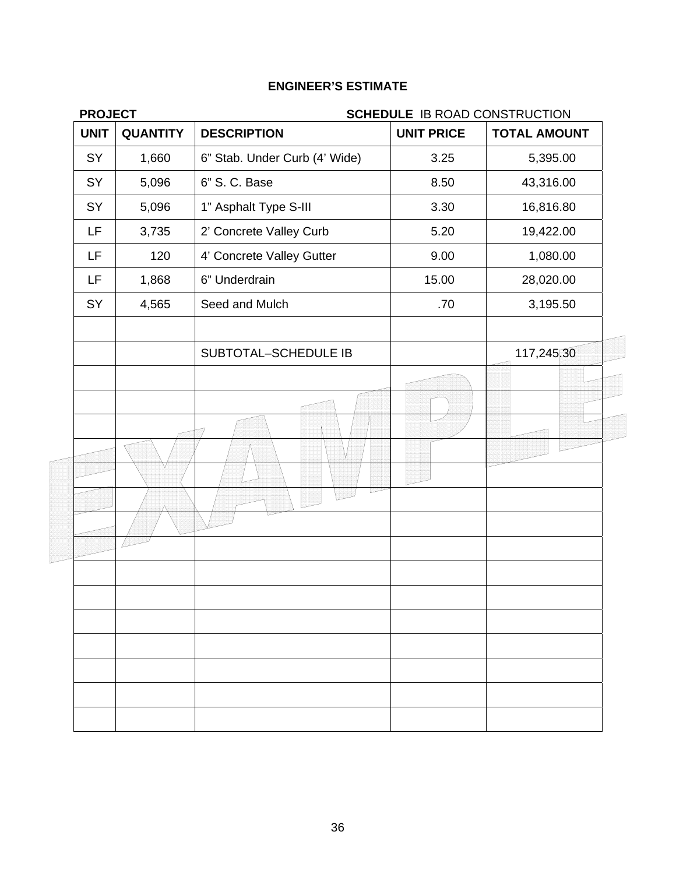| <b>PROJECT</b>                 | <b>SCHEDULE IB ROAD CONSTRUCTION</b> |                   |                     |  |  |
|--------------------------------|--------------------------------------|-------------------|---------------------|--|--|
| <b>UNIT</b><br><b>QUANTITY</b> | <b>DESCRIPTION</b>                   | <b>UNIT PRICE</b> | <b>TOTAL AMOUNT</b> |  |  |
| SY<br>1,660                    | 6" Stab. Under Curb (4' Wide)        | 3.25              | 5,395.00            |  |  |
| SY<br>5,096                    | 6" S. C. Base                        | 8.50              | 43,316.00           |  |  |
| SY<br>5,096                    | 1" Asphalt Type S-III                | 3.30              | 16,816.80           |  |  |
| LF<br>3,735                    | 2' Concrete Valley Curb              | 5.20              | 19,422.00           |  |  |
| LF<br>120                      | 4' Concrete Valley Gutter            | 9.00              | 1,080.00            |  |  |
| LF.<br>1,868                   | 6" Underdrain                        | 15.00             | 28,020.00           |  |  |
| SY<br>4,565                    | Seed and Mulch                       | .70               | 3,195.50            |  |  |
|                                | SUBTOTAL-SCHEDULE IB                 |                   | 117,245,30          |  |  |
|                                |                                      |                   |                     |  |  |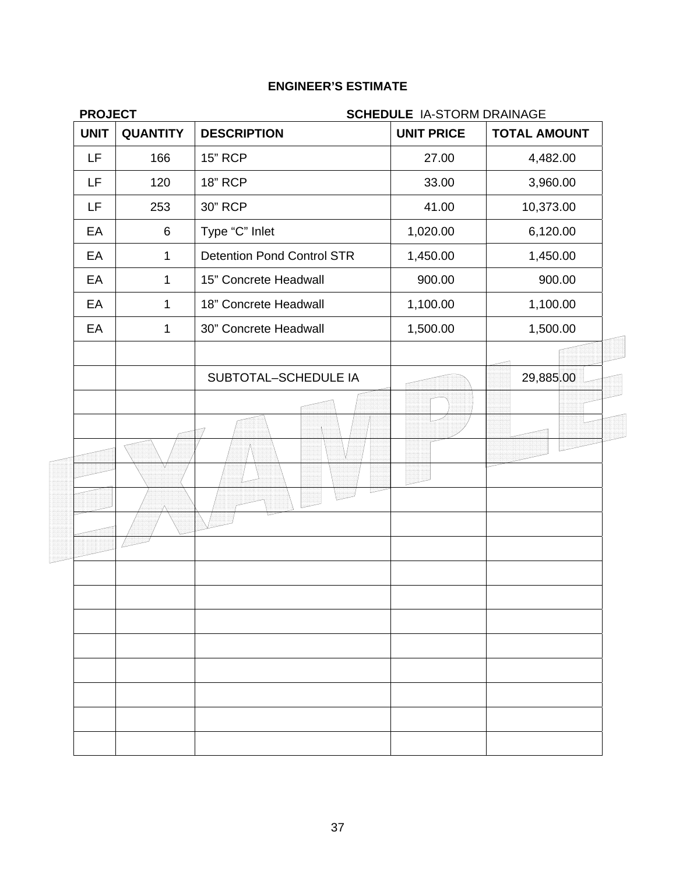| <b>SCHEDULE IA-STORM DRAINAGE</b> |                   |                     |  |  |
|-----------------------------------|-------------------|---------------------|--|--|
| <b>DESCRIPTION</b>                | <b>UNIT PRICE</b> | <b>TOTAL AMOUNT</b> |  |  |
| <b>15" RCP</b>                    | 27.00             | 4,482.00            |  |  |
| <b>18" RCP</b>                    | 33.00             | 3,960.00            |  |  |
| 30" RCP                           | 41.00             | 10,373.00           |  |  |
| Type "C" Inlet                    | 1,020.00          | 6,120.00            |  |  |
| <b>Detention Pond Control STR</b> | 1,450.00          | 1,450.00            |  |  |
| 15" Concrete Headwall             | 900.00            | 900.00              |  |  |
| 18" Concrete Headwall             | 1,100.00          | 1,100.00            |  |  |
| 30" Concrete Headwall             | 1,500.00          | 1,500.00            |  |  |
|                                   |                   |                     |  |  |
| SUBTOTAL-SCHEDULE IA              |                   | 29,885.00           |  |  |
|                                   |                   |                     |  |  |
|                                   |                   |                     |  |  |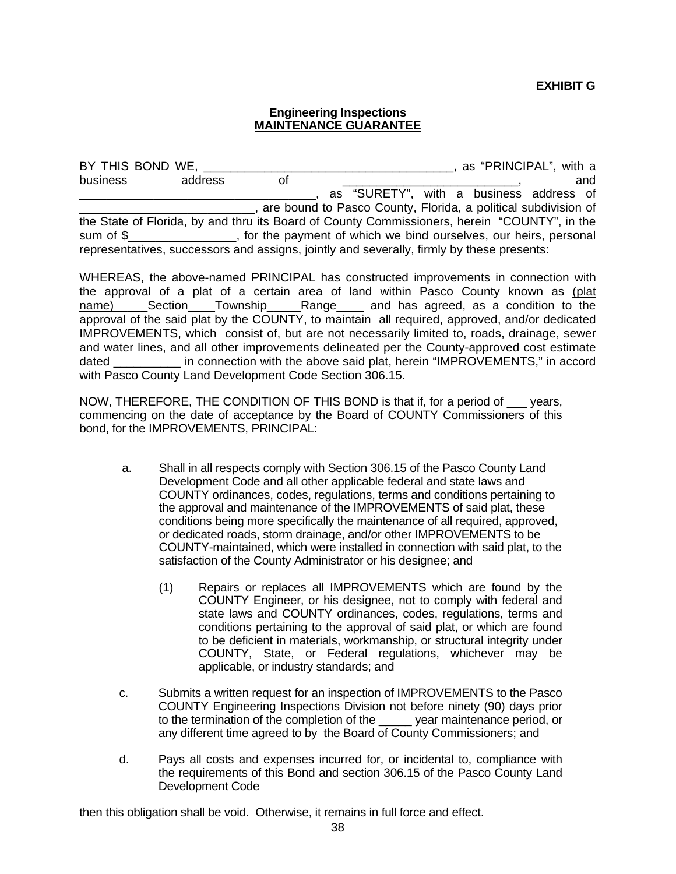#### **Engineering Inspections MAINTENANCE GUARANTEE**

BY THIS BOND WE, THIS BOND WE, THIS BOND WE, THIS BOND WE, THIS BOND WE, THIS BOND WE, THIS BOND WE ALL THIS BOND WE ALL THIS BOND WE ALL THIS BOND WE ALL THIS BOND WE ALL THIS BOND WE ALL THIS BOND WE ALL THIS BOND WE ALL business address of \_\_\_\_\_\_\_\_\_\_\_\_\_\_\_\_\_\_\_\_\_\_\_, and as "SURETY", with a business address of \_\_\_\_\_\_\_\_\_\_\_\_\_\_\_\_\_\_\_\_\_\_\_\_\_\_, are bound to Pasco County, Florida, a political subdivision of the State of Florida, by and thru its Board of County Commissioners, herein "COUNTY", in the sum of \$ The payment of which we bind ourselves, our heirs, personal representatives, successors and assigns, jointly and severally, firmly by these presents:

WHEREAS, the above-named PRINCIPAL has constructed improvements in connection with the approval of a plat of a certain area of land within Pasco County known as (plat name) Section Township Range and has agreed, as a condition to the approval of the said plat by the COUNTY, to maintain all required, approved, and/or dedicated IMPROVEMENTS, which consist of, but are not necessarily limited to, roads, drainage, sewer and water lines, and all other improvements delineated per the County-approved cost estimate dated \_\_\_\_\_\_\_\_\_\_ in connection with the above said plat, herein "IMPROVEMENTS," in accord with Pasco County Land Development Code Section 306.15.

NOW, THEREFORE, THE CONDITION OF THIS BOND is that if, for a period of \_\_\_ years, commencing on the date of acceptance by the Board of COUNTY Commissioners of this bond, for the IMPROVEMENTS, PRINCIPAL:

- a. Shall in all respects comply with Section 306.15 of the Pasco County Land Development Code and all other applicable federal and state laws and COUNTY ordinances, codes, regulations, terms and conditions pertaining to the approval and maintenance of the IMPROVEMENTS of said plat, these conditions being more specifically the maintenance of all required, approved, or dedicated roads, storm drainage, and/or other IMPROVEMENTS to be COUNTY-maintained, which were installed in connection with said plat, to the satisfaction of the County Administrator or his designee; and
	- (1) Repairs or replaces all IMPROVEMENTS which are found by the COUNTY Engineer, or his designee, not to comply with federal and state laws and COUNTY ordinances, codes, regulations, terms and conditions pertaining to the approval of said plat, or which are found to be deficient in materials, workmanship, or structural integrity under COUNTY, State, or Federal regulations, whichever may be applicable, or industry standards; and
- c. Submits a written request for an inspection of IMPROVEMENTS to the Pasco COUNTY Engineering Inspections Division not before ninety (90) days prior to the termination of the completion of the \_\_\_\_\_ year maintenance period, or any different time agreed to by the Board of County Commissioners; and
- d. Pays all costs and expenses incurred for, or incidental to, compliance with the requirements of this Bond and section 306.15 of the Pasco County Land Development Code

then this obligation shall be void. Otherwise, it remains in full force and effect.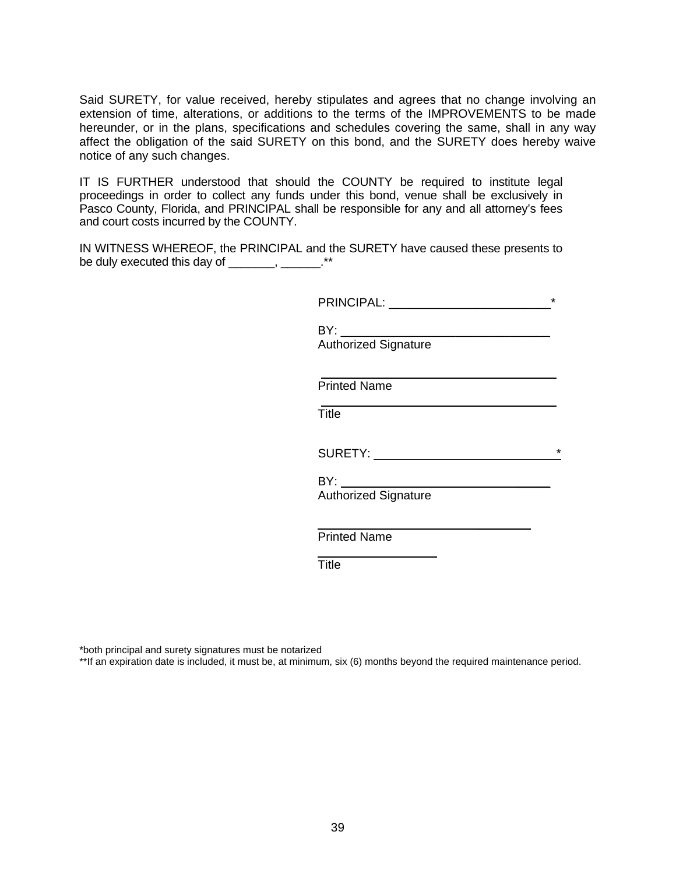Said SURETY, for value received, hereby stipulates and agrees that no change involving an extension of time, alterations, or additions to the terms of the IMPROVEMENTS to be made hereunder, or in the plans, specifications and schedules covering the same, shall in any way affect the obligation of the said SURETY on this bond, and the SURETY does hereby waive notice of any such changes.

IT IS FURTHER understood that should the COUNTY be required to institute legal proceedings in order to collect any funds under this bond, venue shall be exclusively in Pasco County, Florida, and PRINCIPAL shall be responsible for any and all attorney's fees and court costs incurred by the COUNTY.

IN WITNESS WHEREOF, the PRINCIPAL and the SURETY have caused these presents to be duly executed this day of \_\_\_\_\_\_, \_\_\_\_\_\_.\*\*

|                                                                      | $\star$ |
|----------------------------------------------------------------------|---------|
| <b>Authorized Signature</b>                                          |         |
| <b>Printed Name</b>                                                  |         |
| <u> 1989 - Johann Stoff, amerikansk politiker (d. 1989)</u><br>Title |         |
| SURETY: New York CONTENTS AND THE SURFETY:                           | $\star$ |
| <b>Authorized Signature</b>                                          |         |
| <b>Printed Name</b>                                                  |         |
| <b>Title</b>                                                         |         |

\*both principal and surety signatures must be notarized

\*\*If an expiration date is included, it must be, at minimum, six (6) months beyond the required maintenance period.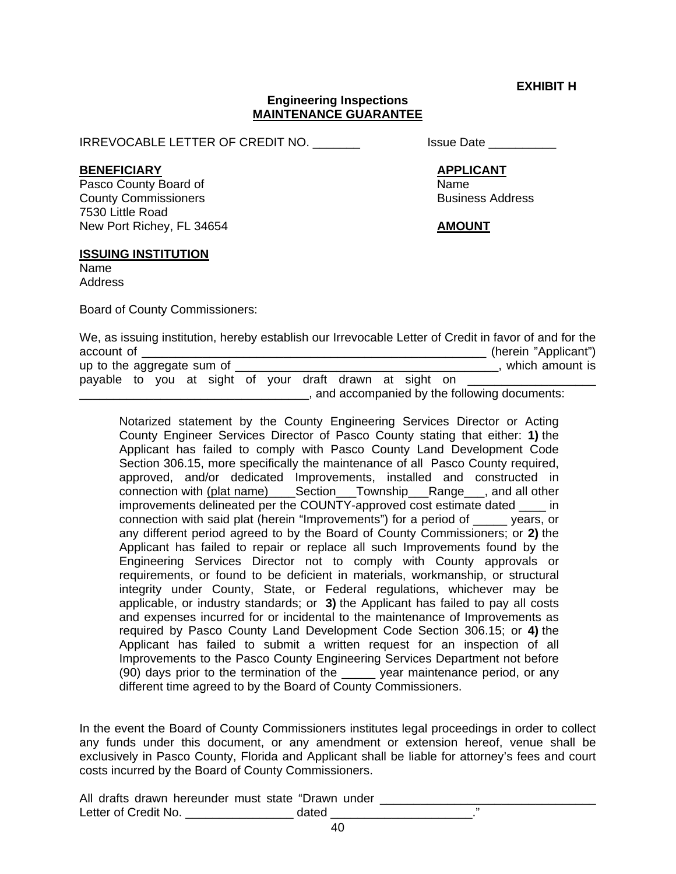**EXHIBIT H** 

#### **Engineering Inspections MAINTENANCE GUARANTEE**

IRREVOCABLE LETTER OF CREDIT NO. \_\_\_\_\_\_\_\_ Issue Date \_\_\_\_\_\_\_\_\_

#### **BENEFICIARY APPLICANT**

Pasco County Board of Name **County Commissioners Business Address Business Address** 7530 Little Road New Port Richey, FL 34654 **AMOUNT**

### **ISSUING INSTITUTION**

Name Address

Board of County Commissioners:

|                                                         |  |  |  |  |  | We, as issuing institution, hereby establish our Irrevocable Letter of Credit in favor of and for the |
|---------------------------------------------------------|--|--|--|--|--|-------------------------------------------------------------------------------------------------------|
| account of                                              |  |  |  |  |  | (herein "Applicant")                                                                                  |
| up to the aggregate sum of                              |  |  |  |  |  | which amount is                                                                                       |
| payable to you at sight of your draft drawn at sight on |  |  |  |  |  |                                                                                                       |
|                                                         |  |  |  |  |  | and accompanied by the following documents:                                                           |

 Notarized statement by the County Engineering Services Director or Acting County Engineer Services Director of Pasco County stating that either: **1)** the Applicant has failed to comply with Pasco County Land Development Code Section 306.15, more specifically the maintenance of all Pasco County required, approved, and/or dedicated Improvements, installed and constructed in connection with (plat name)\_\_\_\_Section\_\_\_Township\_\_\_Range\_\_\_, and all other improvements delineated per the COUNTY-approved cost estimate dated \_\_\_\_ in connection with said plat (herein "Improvements") for a period of \_\_\_\_\_ years, or any different period agreed to by the Board of County Commissioners; or **2)** the Applicant has failed to repair or replace all such Improvements found by the Engineering Services Director not to comply with County approvals or requirements, or found to be deficient in materials, workmanship, or structural integrity under County, State, or Federal regulations, whichever may be applicable, or industry standards; or **3)** the Applicant has failed to pay all costs and expenses incurred for or incidental to the maintenance of Improvements as required by Pasco County Land Development Code Section 306.15; or **4)** the Applicant has failed to submit a written request for an inspection of all Improvements to the Pasco County Engineering Services Department not before (90) days prior to the termination of the \_\_\_\_\_ year maintenance period, or any different time agreed to by the Board of County Commissioners.

In the event the Board of County Commissioners institutes legal proceedings in order to collect any funds under this document, or any amendment or extension hereof, venue shall be exclusively in Pasco County, Florida and Applicant shall be liable for attorney's fees and court costs incurred by the Board of County Commissioners.

All drafts drawn hereunder must state "Drawn under \_\_\_\_\_\_\_\_\_\_\_\_\_\_\_\_\_\_\_\_\_\_\_\_\_\_\_\_\_ Letter of Credit No. \_\_\_\_\_\_\_\_\_\_\_\_\_\_\_\_\_\_\_\_\_ dated \_\_\_\_\_\_\_\_\_\_\_\_\_\_\_\_\_\_\_\_\_\_\_.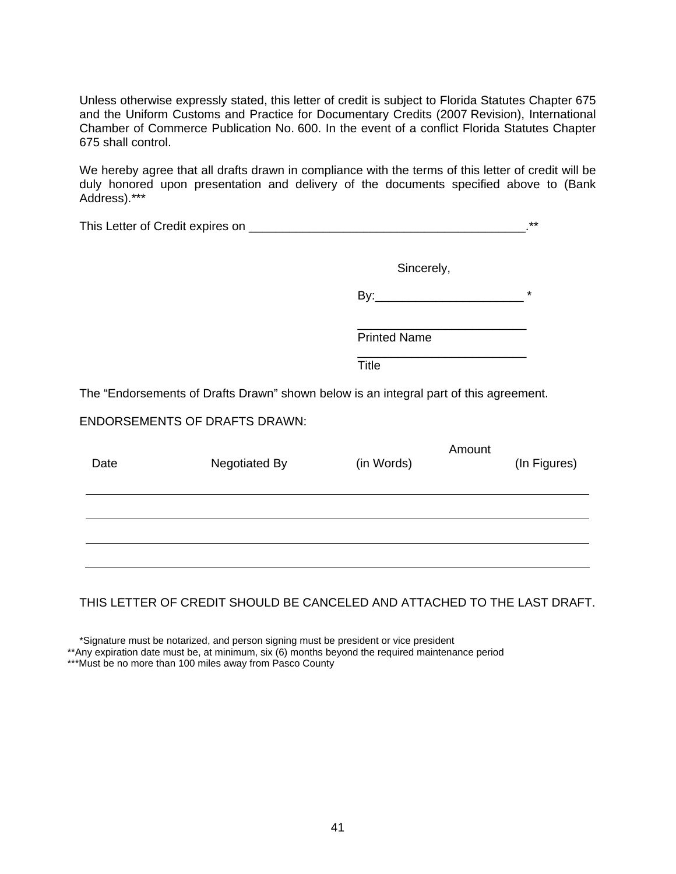Unless otherwise expressly stated, this letter of credit is subject to Florida Statutes Chapter 675 and the Uniform Customs and Practice for Documentary Credits (2007 Revision), International Chamber of Commerce Publication No. 600. In the event of a conflict Florida Statutes Chapter 675 shall control.

We hereby agree that all drafts drawn in compliance with the terms of this letter of credit will be duly honored upon presentation and delivery of the documents specified above to (Bank Address).\*\*\*

|      |                                                                                       |                     |        | $***$        |
|------|---------------------------------------------------------------------------------------|---------------------|--------|--------------|
|      |                                                                                       | Sincerely,          |        |              |
|      |                                                                                       |                     |        | $\star$      |
|      |                                                                                       | <b>Printed Name</b> |        |              |
|      |                                                                                       | <b>Title</b>        |        |              |
|      | The "Endorsements of Drafts Drawn" shown below is an integral part of this agreement. |                     |        |              |
|      | <b>ENDORSEMENTS OF DRAFTS DRAWN:</b>                                                  |                     |        |              |
| Date | Negotiated By                                                                         | (in Words)          | Amount | (In Figures) |
|      |                                                                                       |                     |        |              |
|      |                                                                                       |                     |        |              |
|      |                                                                                       |                     |        |              |
|      |                                                                                       |                     |        |              |

## THIS LETTER OF CREDIT SHOULD BE CANCELED AND ATTACHED TO THE LAST DRAFT.

\*Signature must be notarized, and person signing must be president or vice president

\*\*Any expiration date must be, at minimum, six (6) months beyond the required maintenance period

\*\*\*Must be no more than 100 miles away from Pasco County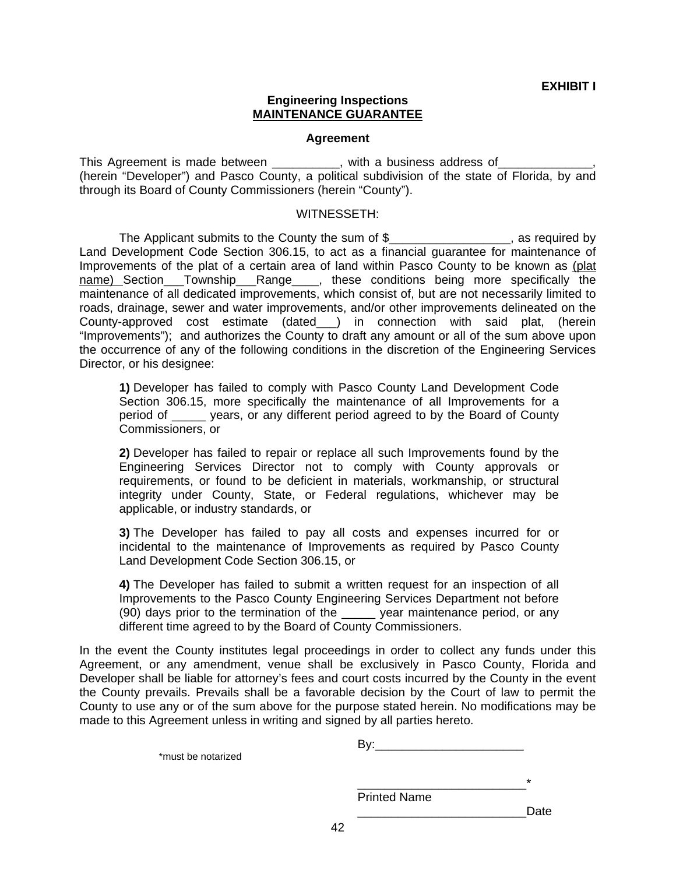#### **Engineering Inspections MAINTENANCE GUARANTEE**

#### **Agreement**

This Agreement is made between \_\_\_\_\_\_\_\_\_, with a business address of \_\_\_\_\_\_\_ (herein "Developer") and Pasco County, a political subdivision of the state of Florida, by and through its Board of County Commissioners (herein "County").

#### WITNESSETH:

The Applicant submits to the County the sum of \$\_\_\_\_\_\_\_\_\_\_\_\_\_\_\_\_\_\_, as required by Land Development Code Section 306.15, to act as a financial guarantee for maintenance of Improvements of the plat of a certain area of land within Pasco County to be known as (plat name) Section\_\_\_Township\_\_\_Range\_\_\_\_, these conditions being more specifically the maintenance of all dedicated improvements, which consist of, but are not necessarily limited to roads, drainage, sewer and water improvements, and/or other improvements delineated on the County-approved cost estimate (dated\_\_\_) in connection with said plat, (herein "Improvements"); and authorizes the County to draft any amount or all of the sum above upon the occurrence of any of the following conditions in the discretion of the Engineering Services Director, or his designee:

**1)** Developer has failed to comply with Pasco County Land Development Code Section 306.15, more specifically the maintenance of all Improvements for a period of \_\_\_\_\_ years, or any different period agreed to by the Board of County Commissioners, or

**2)** Developer has failed to repair or replace all such Improvements found by the Engineering Services Director not to comply with County approvals or requirements, or found to be deficient in materials, workmanship, or structural integrity under County, State, or Federal regulations, whichever may be applicable, or industry standards, or

**3)** The Developer has failed to pay all costs and expenses incurred for or incidental to the maintenance of Improvements as required by Pasco County Land Development Code Section 306.15, or

**4)** The Developer has failed to submit a written request for an inspection of all Improvements to the Pasco County Engineering Services Department not before (90) days prior to the termination of the \_\_\_\_\_ year maintenance period, or any different time agreed to by the Board of County Commissioners.

In the event the County institutes legal proceedings in order to collect any funds under this Agreement, or any amendment, venue shall be exclusively in Pasco County, Florida and Developer shall be liable for attorney's fees and court costs incurred by the County in the event the County prevails. Prevails shall be a favorable decision by the Court of law to permit the County to use any or of the sum above for the purpose stated herein. No modifications may be made to this Agreement unless in writing and signed by all parties hereto.

|                    | Bv: |  |
|--------------------|-----|--|
| *must be notarized |     |  |
|                    |     |  |
|                    | ÷   |  |

Printed Name

\_\_\_\_\_\_\_\_\_\_\_\_\_\_\_\_\_\_\_\_\_\_\_\_\_Date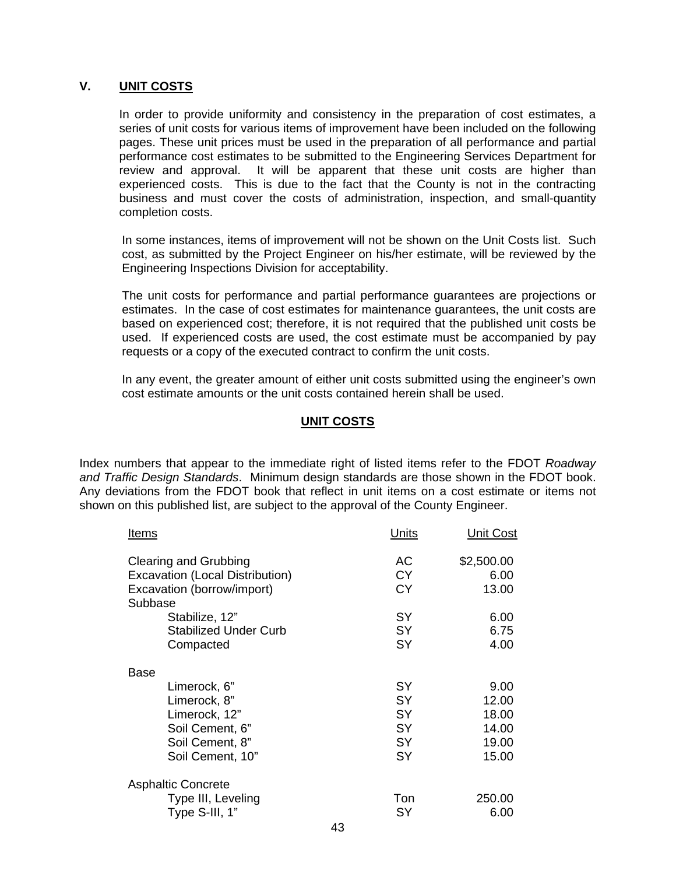## **V. UNIT COSTS**

In order to provide uniformity and consistency in the preparation of cost estimates, a series of unit costs for various items of improvement have been included on the following pages. These unit prices must be used in the preparation of all performance and partial performance cost estimates to be submitted to the Engineering Services Department for review and approval. It will be apparent that these unit costs are higher than experienced costs. This is due to the fact that the County is not in the contracting business and must cover the costs of administration, inspection, and small-quantity completion costs.

 In some instances, items of improvement will not be shown on the Unit Costs list. Such cost, as submitted by the Project Engineer on his/her estimate, will be reviewed by the Engineering Inspections Division for acceptability.

 The unit costs for performance and partial performance guarantees are projections or estimates. In the case of cost estimates for maintenance guarantees, the unit costs are based on experienced cost; therefore, it is not required that the published unit costs be used. If experienced costs are used, the cost estimate must be accompanied by pay requests or a copy of the executed contract to confirm the unit costs.

 In any event, the greater amount of either unit costs submitted using the engineer's own cost estimate amounts or the unit costs contained herein shall be used.

## **UNIT COSTS**

Index numbers that appear to the immediate right of listed items refer to the FDOT *Roadway and Traffic Design Standards*. Minimum design standards are those shown in the FDOT book. Any deviations from the FDOT book that reflect in unit items on a cost estimate or items not shown on this published list, are subject to the approval of the County Engineer.

| <u>Items</u>                                                                                      | Units                        | <u>Unit Cost</u>            |
|---------------------------------------------------------------------------------------------------|------------------------------|-----------------------------|
| Clearing and Grubbing<br>Excavation (Local Distribution)<br>Excavation (borrow/import)<br>Subbase | АC<br><b>CY</b><br><b>CY</b> | \$2,500.00<br>6.00<br>13.00 |
| Stabilize, 12"                                                                                    | <b>SY</b>                    | 6.00                        |
| <b>Stabilized Under Curb</b>                                                                      | <b>SY</b>                    | 6.75                        |
| Compacted                                                                                         | <b>SY</b>                    | 4.00                        |
| Base                                                                                              |                              |                             |
| Limerock, 6"                                                                                      | <b>SY</b>                    | 9.00                        |
| Limerock, 8"                                                                                      | <b>SY</b>                    | 12.00                       |
| Limerock, 12"                                                                                     | <b>SY</b>                    | 18.00                       |
| Soil Cement, 6"                                                                                   | <b>SY</b>                    | 14.00                       |
| Soil Cement, 8"                                                                                   | <b>SY</b>                    | 19.00                       |
| Soil Cement, 10"                                                                                  | SY                           | 15.00                       |
| <b>Asphaltic Concrete</b>                                                                         |                              |                             |
| Type III, Leveling                                                                                | Ton                          | 250.00                      |
| Type S-III, 1"                                                                                    | SY                           | 6.00                        |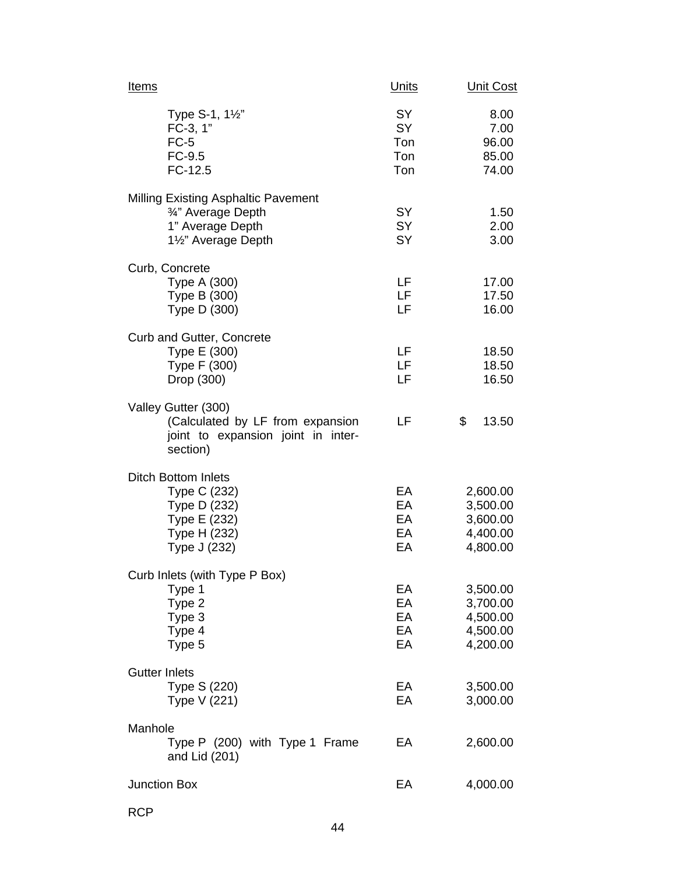| <u>Items</u>                                                                                               | <b>Units</b>                         | <b>Unit Cost</b>                                         |
|------------------------------------------------------------------------------------------------------------|--------------------------------------|----------------------------------------------------------|
| Type S-1, 11/2"<br>FC-3, 1"<br>$FC-5$<br>FC-9.5<br>$FC-12.5$                                               | SY<br><b>SY</b><br>Ton<br>Ton<br>Ton | 8.00<br>7.00<br>96.00<br>85.00<br>74.00                  |
| Milling Existing Asphaltic Pavement<br>3/4" Average Depth<br>1" Average Depth<br>1½" Average Depth         | <b>SY</b><br><b>SY</b><br><b>SY</b>  | 1.50<br>2.00<br>3.00                                     |
| Curb, Concrete<br>Type A (300)<br>Type B (300)<br>Type D (300)                                             | LF<br>LF<br>LF                       | 17.00<br>17.50<br>16.00                                  |
| Curb and Gutter, Concrete<br>Type E (300)<br>Type F (300)<br>Drop (300)                                    | LF<br>LF<br>LF                       | 18.50<br>18.50<br>16.50                                  |
| Valley Gutter (300)<br>(Calculated by LF from expansion<br>joint to expansion joint in inter-<br>section)  | LF                                   | \$<br>13.50                                              |
| <b>Ditch Bottom Inlets</b><br>Type C (232)<br>Type D (232)<br>Type E (232)<br>Type H (232)<br>Type J (232) | EA<br>EA<br>EA<br>EA<br>EA           | 2,600.00<br>3,500.00<br>3,600.00<br>4,400.00<br>4,800.00 |
| Curb Inlets (with Type P Box)<br>Type 1<br>Type 2<br>Type 3<br>Type 4<br>Type 5                            | EA<br>EA<br>EA<br>EA<br>EA           | 3,500.00<br>3,700.00<br>4,500.00<br>4,500.00<br>4,200.00 |
| <b>Gutter Inlets</b><br>Type S (220)<br>Type V (221)                                                       | EA<br>EA                             | 3,500.00<br>3,000.00                                     |
| Manhole<br>Type P (200) with Type 1 Frame<br>and Lid (201)                                                 | EA                                   | 2,600.00                                                 |
| <b>Junction Box</b>                                                                                        | EA                                   | 4,000.00                                                 |

RCP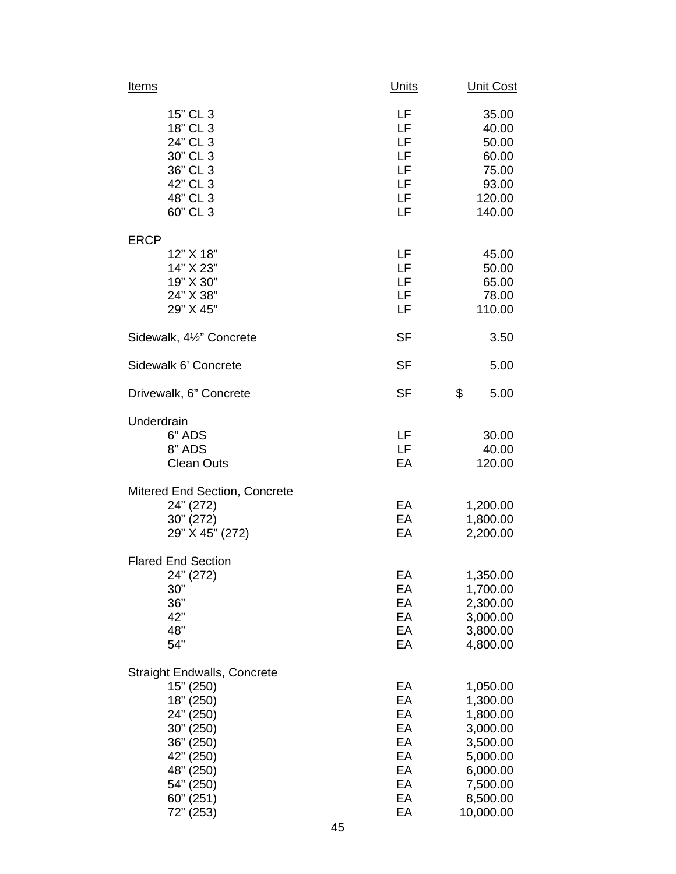| <u>Items</u>                                                                                                                                                         | <b>Units</b>                                             | <u>Unit Cost</u>                                                                                                      |
|----------------------------------------------------------------------------------------------------------------------------------------------------------------------|----------------------------------------------------------|-----------------------------------------------------------------------------------------------------------------------|
| 15" CL 3<br>18" CL 3<br>24" CL 3<br>30" CL 3<br>36" CL 3<br>42" CL 3<br>48" CL 3<br>60" CL 3                                                                         | LF<br>LF<br>LF<br>LF<br>LF<br>LF<br>LF<br>LF             | 35.00<br>40.00<br>50.00<br>60.00<br>75.00<br>93.00<br>120.00<br>140.00                                                |
| <b>ERCP</b><br>12" X 18"<br>14" X 23"<br>19" X 30"<br>24" X 38"<br>29" X 45"                                                                                         | LF<br>LF<br>LF<br>LF<br>LF                               | 45.00<br>50.00<br>65.00<br>78.00<br>110.00                                                                            |
| Sidewalk, 41/2" Concrete                                                                                                                                             | <b>SF</b>                                                | 3.50                                                                                                                  |
| Sidewalk 6' Concrete                                                                                                                                                 | <b>SF</b>                                                | 5.00                                                                                                                  |
| Drivewalk, 6" Concrete                                                                                                                                               | <b>SF</b>                                                | \$<br>5.00                                                                                                            |
| Underdrain<br>6" ADS<br>8" ADS<br><b>Clean Outs</b>                                                                                                                  | LF<br>LF<br>EA                                           | 30.00<br>40.00<br>120.00                                                                                              |
| Mitered End Section, Concrete<br>24" (272)<br>30" (272)<br>29" X 45" (272)                                                                                           | EA<br>EA<br>EA                                           | 1,200.00<br>1,800.00<br>2,200.00                                                                                      |
| <b>Flared End Section</b><br>24" (272)<br>$30"$<br>36"<br>42"<br>48"<br>54"                                                                                          | EА<br>EA<br>EA<br>EA<br>EA<br>EA                         | 1,350.00<br>1,700.00<br>2,300.00<br>3,000.00<br>3,800.00<br>4,800.00                                                  |
| <b>Straight Endwalls, Concrete</b><br>15" (250)<br>18" (250)<br>24" (250)<br>30" (250)<br>36" (250)<br>42" (250)<br>48" (250)<br>54" (250)<br>60" (251)<br>72" (253) | EA<br>EA<br>EA<br>EA<br>EA<br>EA<br>EA<br>EA<br>EA<br>EA | 1,050.00<br>1,300.00<br>1,800.00<br>3,000.00<br>3,500.00<br>5,000.00<br>6,000.00<br>7,500.00<br>8,500.00<br>10,000.00 |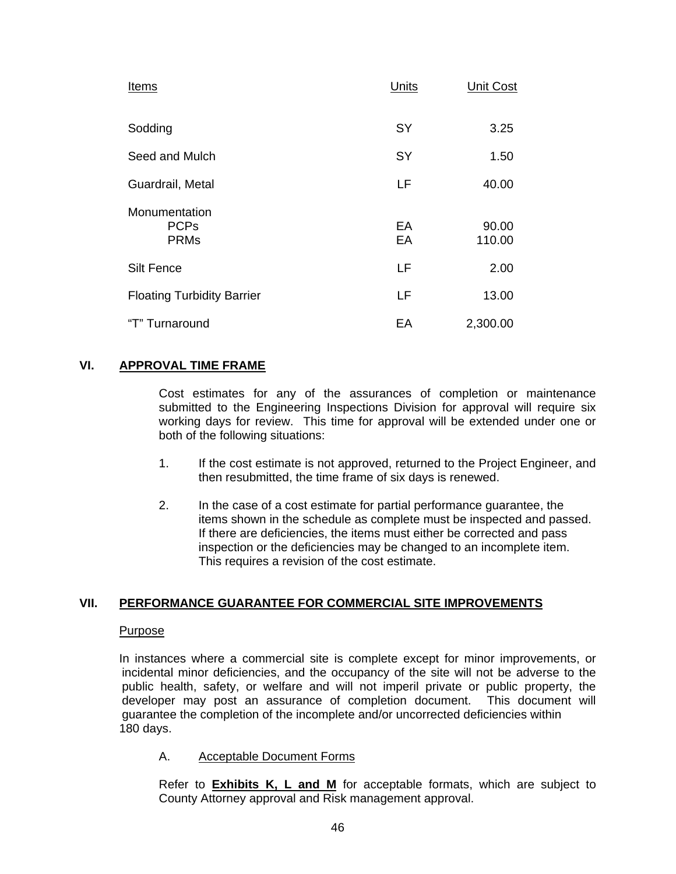| <b>Items</b>                                | Units    | <b>Unit Cost</b> |
|---------------------------------------------|----------|------------------|
| Sodding                                     | SY       | 3.25             |
| Seed and Mulch                              | SY       | 1.50             |
| Guardrail, Metal                            | LF       | 40.00            |
| Monumentation<br><b>PCPs</b><br><b>PRMs</b> | EA<br>EA | 90.00<br>110.00  |
| <b>Silt Fence</b>                           | LF       | 2.00             |
| <b>Floating Turbidity Barrier</b>           | LF       | 13.00            |
| "T" Turnaround                              | EA       | 2,300.00         |

## **VI. APPROVAL TIME FRAME**

 Cost estimates for any of the assurances of completion or maintenance submitted to the Engineering Inspections Division for approval will require six working days for review. This time for approval will be extended under one or both of the following situations:

- 1. If the cost estimate is not approved, returned to the Project Engineer, and then resubmitted, the time frame of six days is renewed.
- 2. In the case of a cost estimate for partial performance guarantee, the items shown in the schedule as complete must be inspected and passed. If there are deficiencies, the items must either be corrected and pass inspection or the deficiencies may be changed to an incomplete item. This requires a revision of the cost estimate.

## **VII. PERFORMANCE GUARANTEE FOR COMMERCIAL SITE IMPROVEMENTS**

## Purpose

In instances where a commercial site is complete except for minor improvements, or incidental minor deficiencies, and the occupancy of the site will not be adverse to the public health, safety, or welfare and will not imperil private or public property, the developer may post an assurance of completion document. This document will guarantee the completion of the incomplete and/or uncorrected deficiencies within 180 days.

### A. Acceptable Document Forms

Refer to **Exhibits K, L and M** for acceptable formats, which are subject to County Attorney approval and Risk management approval.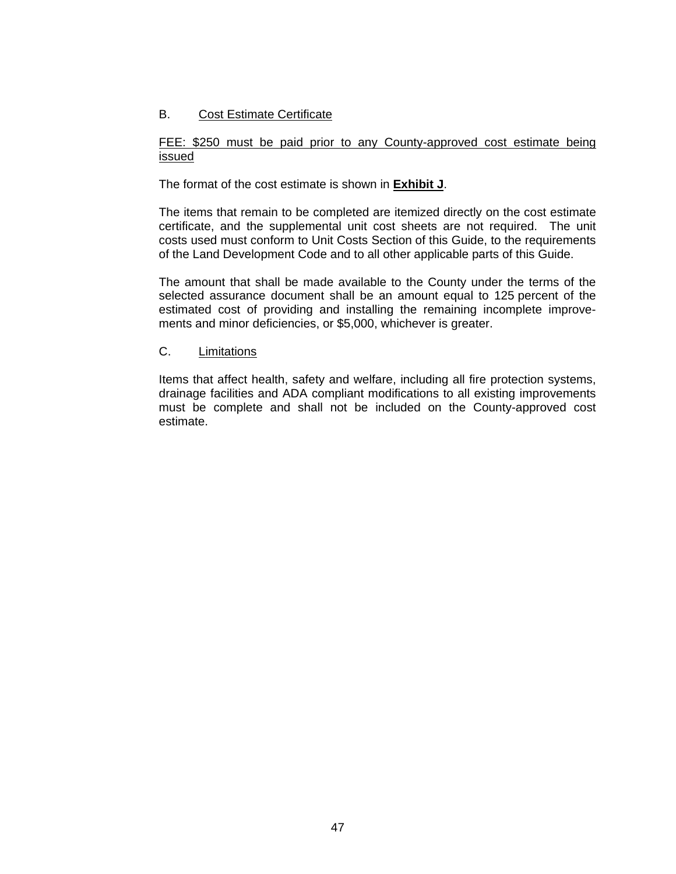## B. Cost Estimate Certificate

## FEE: \$250 must be paid prior to any County-approved cost estimate being issued

The format of the cost estimate is shown in **Exhibit J**.

 The items that remain to be completed are itemized directly on the cost estimate certificate, and the supplemental unit cost sheets are not required. The unit costs used must conform to Unit Costs Section of this Guide, to the requirements of the Land Development Code and to all other applicable parts of this Guide.

 The amount that shall be made available to the County under the terms of the selected assurance document shall be an amount equal to 125 percent of the estimated cost of providing and installing the remaining incomplete improvements and minor deficiencies, or \$5,000, whichever is greater.

## C. Limitations

Items that affect health, safety and welfare, including all fire protection systems, drainage facilities and ADA compliant modifications to all existing improvements must be complete and shall not be included on the County-approved cost estimate.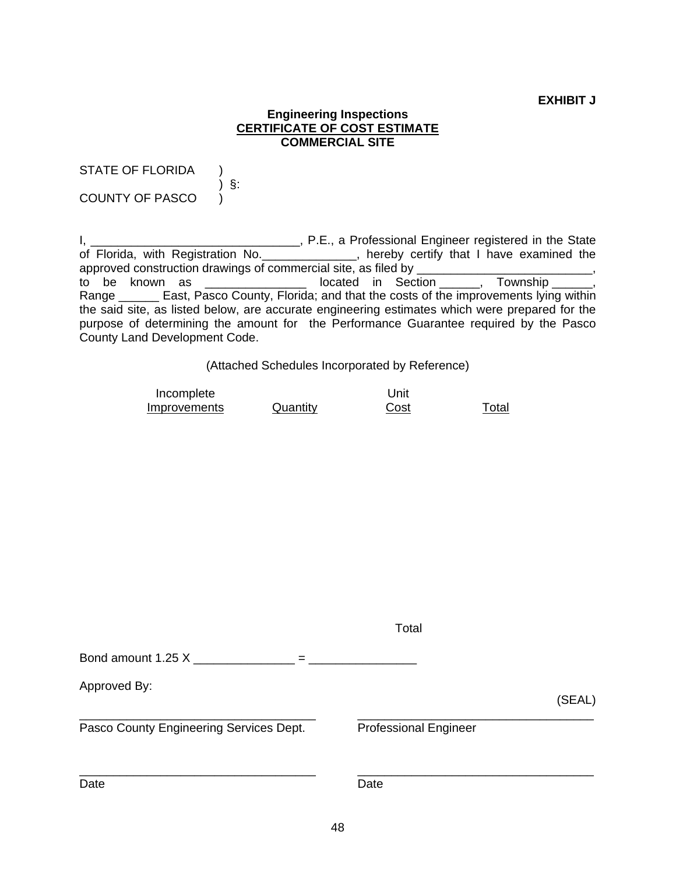**EXHIBIT J** 

### **Engineering Inspections CERTIFICATE OF COST ESTIMATE COMMERCIAL SITE**

STATE OF FLORIDA )

COUNTY OF PASCO )

) §:

I, \_\_\_\_\_\_\_\_\_\_\_\_\_\_\_\_\_\_\_\_\_\_\_\_\_\_\_\_\_\_\_\_\_\_, P.E., a Professional Engineer registered in the State of Florida, with Registration No. \_\_\_\_\_\_\_\_\_\_\_\_\_, hereby certify that I have examined the approved construction drawings of commercial site, as filed by \_\_\_\_\_\_\_\_\_\_\_\_\_\_\_\_\_,<br>to be known as \_\_\_\_\_\_\_\_\_\_\_\_\_\_\_\_\_\_\_ located in Section \_\_\_\_\_\_, Township \_\_\_\_\_\_, to be known as  $\frac{1}{\sqrt{1-\frac{1}{n}}}$  located in Section \_\_\_\_\_, Range \_\_\_\_\_\_\_ East, Pasco County, Florida; and that the costs of the improvements lying within the said site, as listed below, are accurate engineering estimates which were prepared for the purpose of determining the amount for the Performance Guarantee required by the Pasco County Land Development Code.

(Attached Schedules Incorporated by Reference)

| Incomplete   |          | Unit |       |
|--------------|----------|------|-------|
| Improvements | Quantity | Cost | Total |

|                                         | Total                        |        |
|-----------------------------------------|------------------------------|--------|
| Bond amount 1.25 X<br>$=$               |                              |        |
| Approved By:                            |                              | (SEAL) |
| Pasco County Engineering Services Dept. | <b>Professional Engineer</b> |        |
| Date                                    | Date                         |        |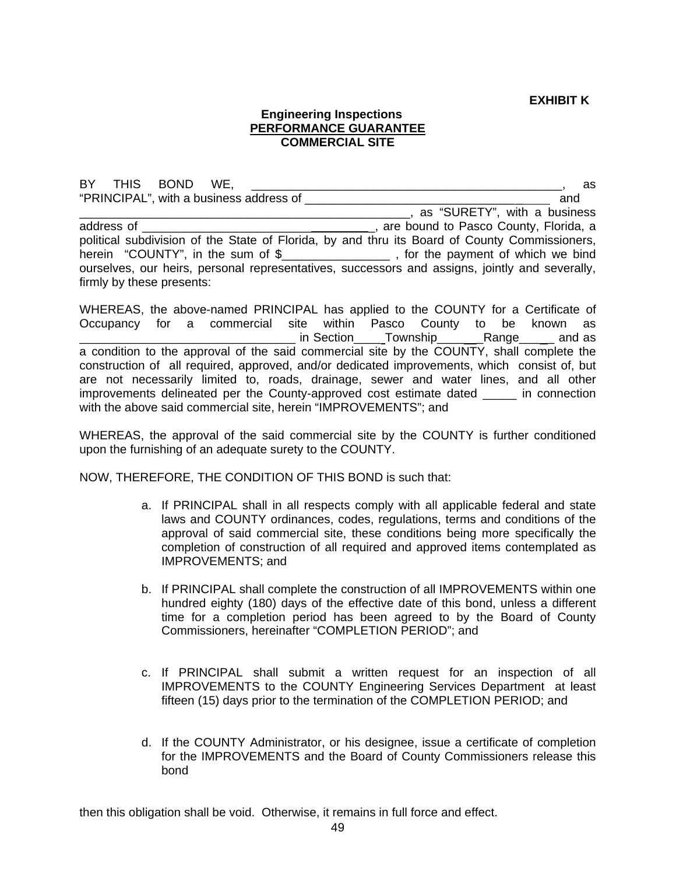**EXHIBIT K** 

### **Engineering Inspections PERFORMANCE GUARANTEE COMMERCIAL SITE**

BY THIS BOND WE, the contract of the contract of the contract of the contract of the contract of the contract of the contract of the contract of the contract of the contract of the contract of the contract of the contract "PRINCIPAL", with a business address of \_\_\_\_\_\_\_\_\_\_\_\_\_\_\_\_\_\_\_\_\_\_\_\_\_\_\_\_\_\_\_ \_ and . as "SURETY", with a business address of \_\_\_\_\_\_\_\_\_\_\_\_\_\_\_\_\_\_\_\_\_\_\_\_\_ \_, are bound to Pasco County, Florida, a political subdivision of the State of Florida, by and thru its Board of County Commissioners, herein "COUNTY", in the sum of \$\_\_\_\_\_\_\_\_\_\_\_\_\_\_\_\_\_\_, for the payment of which we bind ourselves, our heirs, personal representatives, successors and assigns, jointly and severally, firmly by these presents:

WHEREAS, the above-named PRINCIPAL has applied to the COUNTY for a Certificate of Occupancy for a commercial site within Pasco County to be known as Loom Lin Section Lownship Line Range And as a condition to the approval of the said commercial site by the COUNTY, shall complete the construction of all required, approved, and/or dedicated improvements, which consist of, but are not necessarily limited to, roads, drainage, sewer and water lines, and all other improvements delineated per the County-approved cost estimate dated \_\_\_\_\_ in connection with the above said commercial site, herein "IMPROVEMENTS"; and

WHEREAS, the approval of the said commercial site by the COUNTY is further conditioned upon the furnishing of an adequate surety to the COUNTY.

NOW, THEREFORE, THE CONDITION OF THIS BOND is such that:

- a. If PRINCIPAL shall in all respects comply with all applicable federal and state laws and COUNTY ordinances, codes, regulations, terms and conditions of the approval of said commercial site, these conditions being more specifically the completion of construction of all required and approved items contemplated as IMPROVEMENTS; and
- b. If PRINCIPAL shall complete the construction of all IMPROVEMENTS within one hundred eighty (180) days of the effective date of this bond, unless a different time for a completion period has been agreed to by the Board of County Commissioners, hereinafter "COMPLETION PERIOD"; and
- c. If PRINCIPAL shall submit a written request for an inspection of all IMPROVEMENTS to the COUNTY Engineering Services Department at least fifteen (15) days prior to the termination of the COMPLETION PERIOD; and
- d. If the COUNTY Administrator, or his designee, issue a certificate of completion for the IMPROVEMENTS and the Board of County Commissioners release this bond

then this obligation shall be void. Otherwise, it remains in full force and effect.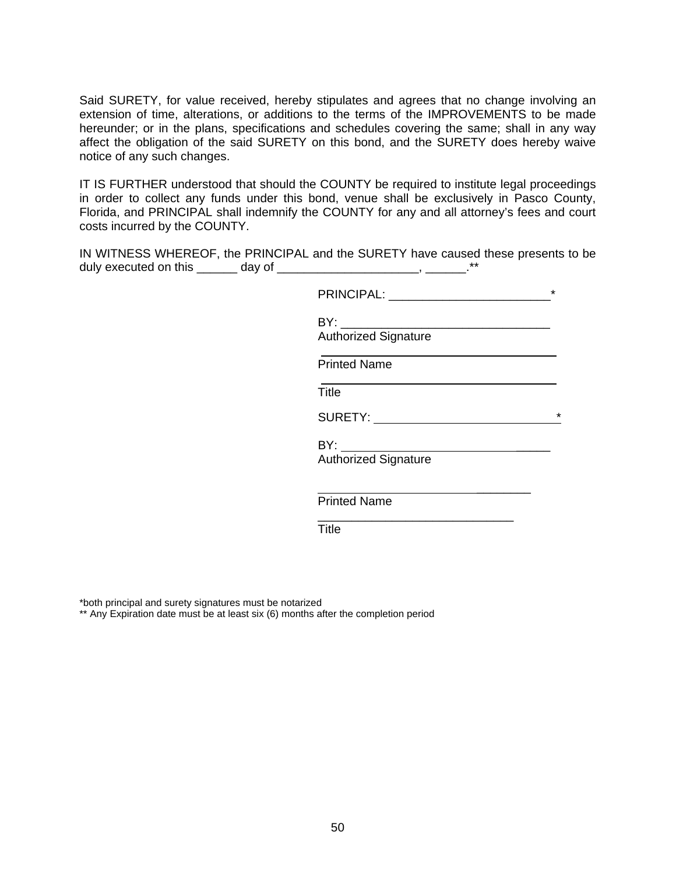Said SURETY, for value received, hereby stipulates and agrees that no change involving an extension of time, alterations, or additions to the terms of the IMPROVEMENTS to be made hereunder; or in the plans, specifications and schedules covering the same; shall in any way affect the obligation of the said SURETY on this bond, and the SURETY does hereby waive notice of any such changes.

IT IS FURTHER understood that should the COUNTY be required to institute legal proceedings in order to collect any funds under this bond, venue shall be exclusively in Pasco County, Florida, and PRINCIPAL shall indemnify the COUNTY for any and all attorney's fees and court costs incurred by the COUNTY.

IN WITNESS WHEREOF, the PRINCIPAL and the SURETY have caused these presents to be duly executed on this \_\_\_\_\_\_\_ day of \_\_\_\_\_\_\_\_\_\_\_\_\_\_\_\_\_\_\_\_\_\_\_\_\_, \_\_\_\_\_\_\_.\*\*

PRINCIPAL: \_\_\_\_\_\_\_\_\_\_\_\_\_\_\_\_\_\_\_\_\_\_\_\_\*

BY: \_\_\_\_\_\_\_\_\_\_\_\_\_\_\_\_\_\_\_\_\_\_\_\_\_\_\_\_\_\_\_

Authorized Signature

Printed Name

**Title The Community of Title** 

SURETY: \*

 $BY:$ 

 $\mathcal{L}_\text{max}$  and  $\mathcal{L}_\text{max}$  are the set of  $\mathcal{L}_\text{max}$  . The set of  $\mathcal{L}_\text{max}$ 

 $\overline{\phantom{a}}$  , and the contract of the contract of the contract of the contract of the contract of the contract of the contract of the contract of the contract of the contract of the contract of the contract of the contrac

Authorized Signature

Printed Name

**Title The Community of Title** 

\*both principal and surety signatures must be notarized

\*\* Any Expiration date must be at least six (6) months after the completion period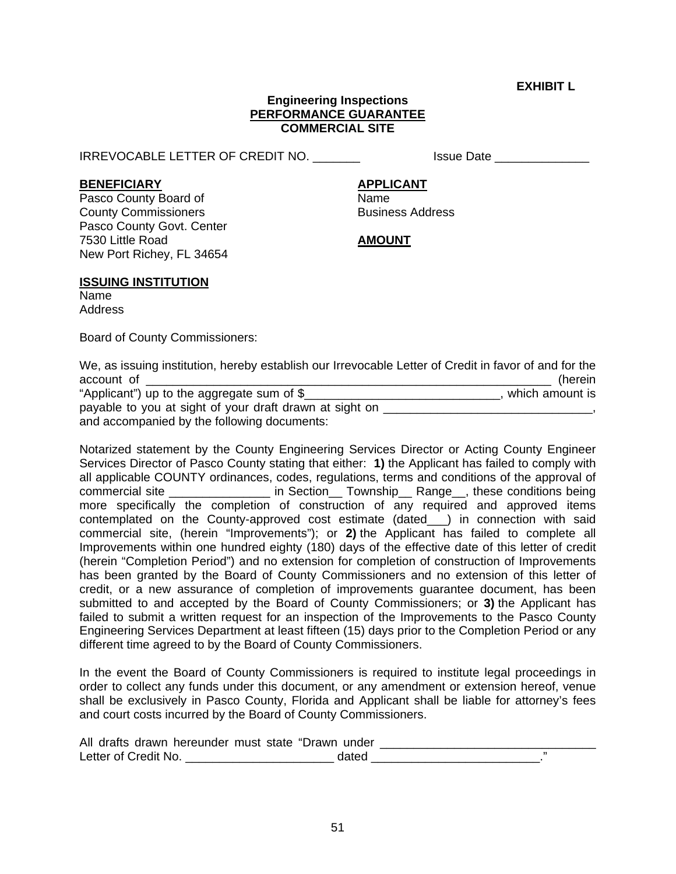**EXHIBIT L** 

#### **Engineering Inspections PERFORMANCE GUARANTEE COMMERCIAL SITE**

IRREVOCABLE LETTER OF CREDIT NO. The same of the set of the set of the set of the set of the set of the set of

### **BENEFICIARY APPLICANT**

Pasco County Board of Name **County Commissioners Business Address** Pasco County Govt. Center 7530 Little Road **AMOUNT** New Port Richey, FL 34654

### **ISSUING INSTITUTION**

Name Address

Board of County Commissioners:

|                                            | We, as issuing institution, hereby establish our Irrevocable Letter of Credit in favor of and for the |
|--------------------------------------------|-------------------------------------------------------------------------------------------------------|
| account of                                 | (herein                                                                                               |
| "Applicant") up to the aggregate sum of \$ | which amount is                                                                                       |

| $\mu$ replicant $\mu$ ap to the aggregate sum of $\psi$ | , wilioii allivulit io |
|---------------------------------------------------------|------------------------|
| payable to you at sight of your draft drawn at sight on |                        |
| and accompanied by the following documents:             |                        |

Notarized statement by the County Engineering Services Director or Acting County Engineer Services Director of Pasco County stating that either: **1)** the Applicant has failed to comply with all applicable COUNTY ordinances, codes, regulations, terms and conditions of the approval of commercial site \_\_\_\_\_\_\_\_\_\_\_\_\_\_\_\_ in Section\_\_ Township\_\_ Range\_\_, these conditions being more specifically the completion of construction of any required and approved items contemplated on the County-approved cost estimate (dated\_\_\_) in connection with said commercial site, (herein "Improvements"); or **2)** the Applicant has failed to complete all Improvements within one hundred eighty (180) days of the effective date of this letter of credit (herein "Completion Period") and no extension for completion of construction of Improvements has been granted by the Board of County Commissioners and no extension of this letter of credit, or a new assurance of completion of improvements guarantee document, has been submitted to and accepted by the Board of County Commissioners; or **3)** the Applicant has failed to submit a written request for an inspection of the Improvements to the Pasco County Engineering Services Department at least fifteen (15) days prior to the Completion Period or any different time agreed to by the Board of County Commissioners.

In the event the Board of County Commissioners is required to institute legal proceedings in order to collect any funds under this document, or any amendment or extension hereof, venue shall be exclusively in Pasco County, Florida and Applicant shall be liable for attorney's fees and court costs incurred by the Board of County Commissioners.

| All drafts drawn hereunder must state "Drawn under |  |
|----------------------------------------------------|--|
| Letter of Credit No.                               |  |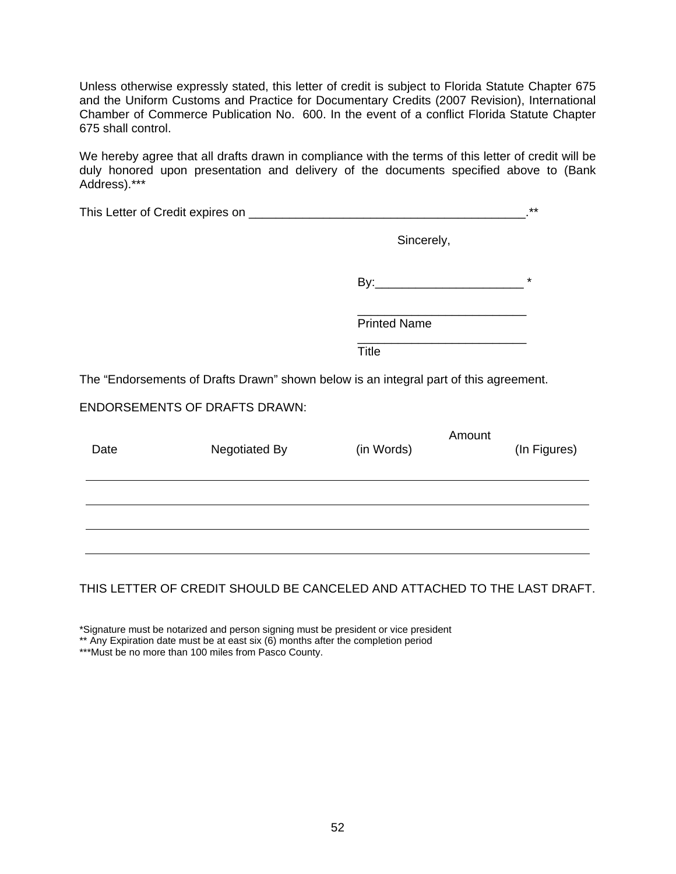Unless otherwise expressly stated, this letter of credit is subject to Florida Statute Chapter 675 and the Uniform Customs and Practice for Documentary Credits (2007 Revision), International Chamber of Commerce Publication No. 600. In the event of a conflict Florida Statute Chapter 675 shall control.

We hereby agree that all drafts drawn in compliance with the terms of this letter of credit will be duly honored upon presentation and delivery of the documents specified above to (Bank Address).\*\*\*

|      |                                                                                       |                     |        | $***$        |
|------|---------------------------------------------------------------------------------------|---------------------|--------|--------------|
|      |                                                                                       | Sincerely,          |        |              |
|      |                                                                                       |                     |        | $^\star$     |
|      |                                                                                       | <b>Printed Name</b> |        |              |
|      |                                                                                       | <b>Title</b>        |        |              |
|      | The "Endorsements of Drafts Drawn" shown below is an integral part of this agreement. |                     |        |              |
|      | <b>ENDORSEMENTS OF DRAFTS DRAWN:</b>                                                  |                     |        |              |
| Date | Negotiated By                                                                         | (in Words)          | Amount | (In Figures) |
|      |                                                                                       |                     |        |              |
|      |                                                                                       |                     |        |              |

## THIS LETTER OF CREDIT SHOULD BE CANCELED AND ATTACHED TO THE LAST DRAFT.

\*Signature must be notarized and person signing must be president or vice president

\*\* Any Expiration date must be at east six (6) months after the completion period

\*\*\*Must be no more than 100 miles from Pasco County.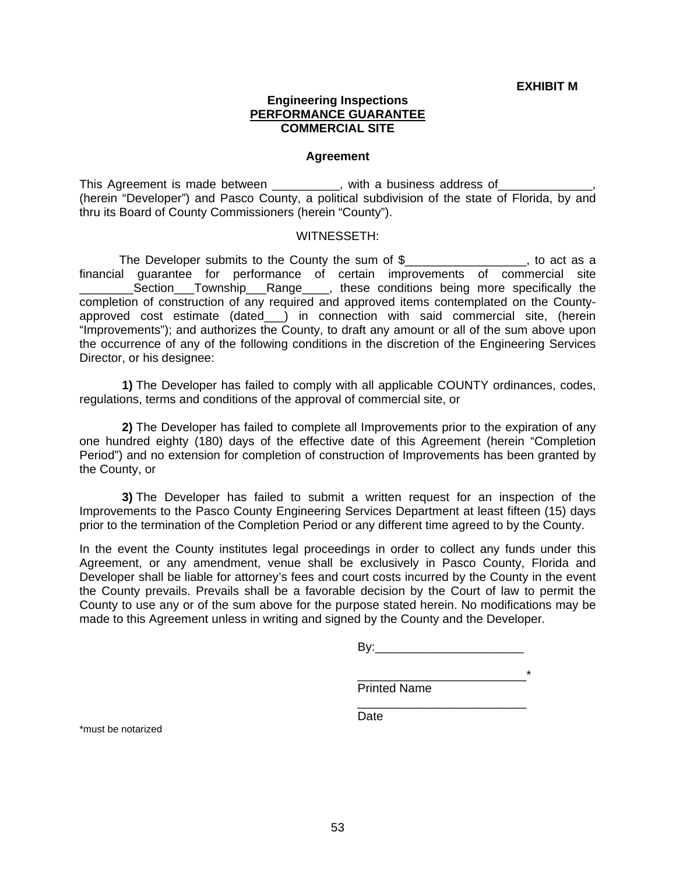**EXHIBIT M** 

#### **Engineering Inspections PERFORMANCE GUARANTEE COMMERCIAL SITE**

#### **Agreement**

This Agreement is made between \_\_\_\_\_\_\_\_\_\_, with a business address of\_\_ (herein "Developer") and Pasco County, a political subdivision of the state of Florida, by and thru its Board of County Commissioners (herein "County").

#### WITNESSETH:

The Developer submits to the County the sum of \$\_\_\_\_\_\_\_\_\_\_\_\_\_\_\_\_\_\_, to act as a financial guarantee for performance of certain improvements of commercial site \_Section\_\_\_Township\_\_\_Range\_\_\_\_, these conditions being more specifically the completion of construction of any required and approved items contemplated on the Countyapproved cost estimate (dated\_\_\_) in connection with said commercial site, (herein "Improvements"); and authorizes the County, to draft any amount or all of the sum above upon the occurrence of any of the following conditions in the discretion of the Engineering Services Director, or his designee:

**1)** The Developer has failed to comply with all applicable COUNTY ordinances, codes, regulations, terms and conditions of the approval of commercial site, or

 **2)** The Developer has failed to complete all Improvements prior to the expiration of any one hundred eighty (180) days of the effective date of this Agreement (herein "Completion Period") and no extension for completion of construction of Improvements has been granted by the County, or

 **3)** The Developer has failed to submit a written request for an inspection of the Improvements to the Pasco County Engineering Services Department at least fifteen (15) days prior to the termination of the Completion Period or any different time agreed to by the County.

In the event the County institutes legal proceedings in order to collect any funds under this Agreement, or any amendment, venue shall be exclusively in Pasco County, Florida and Developer shall be liable for attorney's fees and court costs incurred by the County in the event the County prevails. Prevails shall be a favorable decision by the Court of law to permit the County to use any or of the sum above for the purpose stated herein. No modifications may be made to this Agreement unless in writing and signed by the County and the Developer.

 $\overbrace{\phantom{xxxxx}}^{*}$ 

 $\overline{\phantom{a}}$  , and the contract of the contract of the contract of the contract of the contract of the contract of the contract of the contract of the contract of the contract of the contract of the contract of the contrac

Printed Name

**Date Date Date** 

\*must be notarized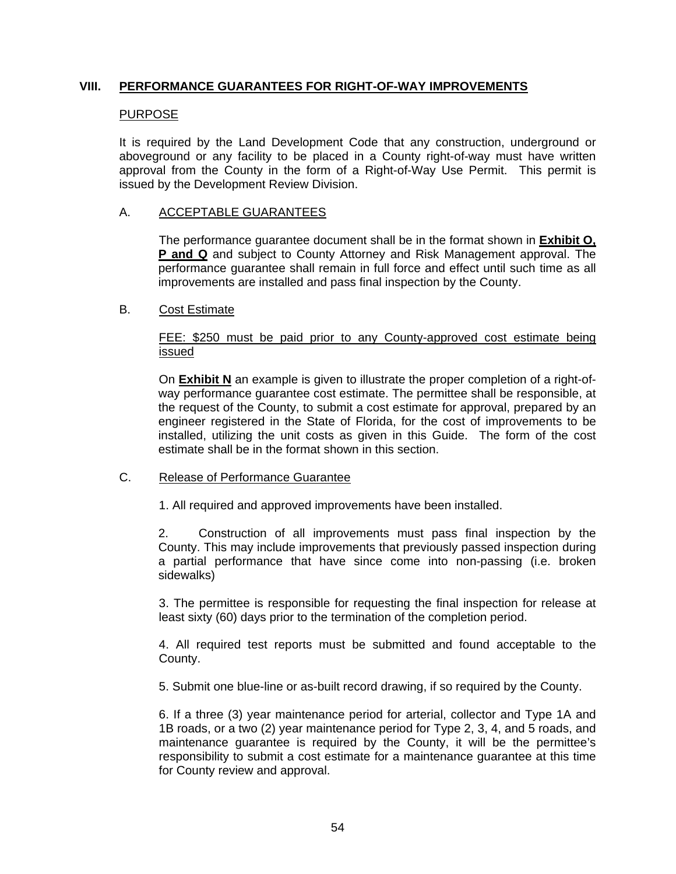## **VIII. PERFORMANCE GUARANTEES FOR RIGHT-OF-WAY IMPROVEMENTS**

## PURPOSE

It is required by the Land Development Code that any construction, underground or aboveground or any facility to be placed in a County right-of-way must have written approval from the County in the form of a Right-of-Way Use Permit. This permit is issued by the Development Review Division.

## A. ACCEPTABLE GUARANTEES

The performance guarantee document shall be in the format shown in **Exhibit O, P and Q** and subject to County Attorney and Risk Management approval. The performance guarantee shall remain in full force and effect until such time as all improvements are installed and pass final inspection by the County.

## B. Cost Estimate

## FEE: \$250 must be paid prior to any County-approved cost estimate being issued

On **Exhibit N** an example is given to illustrate the proper completion of a right-ofway performance guarantee cost estimate. The permittee shall be responsible, at the request of the County, to submit a cost estimate for approval, prepared by an engineer registered in the State of Florida, for the cost of improvements to be installed, utilizing the unit costs as given in this Guide. The form of the cost estimate shall be in the format shown in this section.

## C. Release of Performance Guarantee

1. All required and approved improvements have been installed.

2. Construction of all improvements must pass final inspection by the County. This may include improvements that previously passed inspection during a partial performance that have since come into non-passing (i.e. broken sidewalks)

3. The permittee is responsible for requesting the final inspection for release at least sixty (60) days prior to the termination of the completion period.

4. All required test reports must be submitted and found acceptable to the County.

5. Submit one blue-line or as-built record drawing, if so required by the County.

6. If a three (3) year maintenance period for arterial, collector and Type 1A and 1B roads, or a two (2) year maintenance period for Type 2, 3, 4, and 5 roads, and maintenance guarantee is required by the County, it will be the permittee's responsibility to submit a cost estimate for a maintenance guarantee at this time for County review and approval.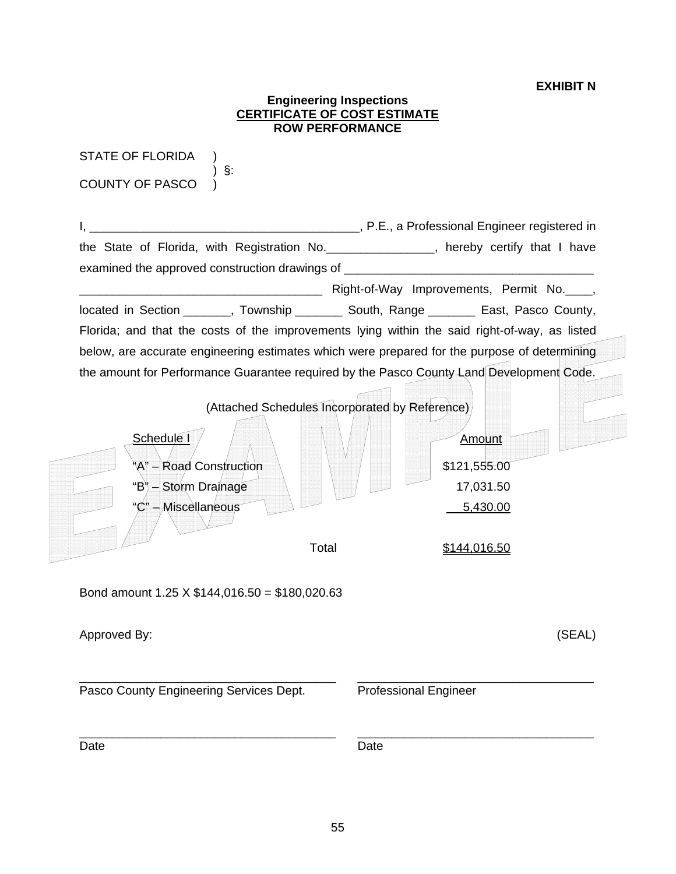## **EXHIBIT N**

|                                                | <b>CERTIFICATE OF COST ESTIMATE</b><br><b>ROW PERFORMANCE</b> |                                                                                                                                                                             |
|------------------------------------------------|---------------------------------------------------------------|-----------------------------------------------------------------------------------------------------------------------------------------------------------------------------|
| <b>STATE OF FLORIDA</b><br>§:                  |                                                               |                                                                                                                                                                             |
| <b>COUNTY OF PASCO</b>                         |                                                               |                                                                                                                                                                             |
|                                                |                                                               | Letter Letter School and The P.E., a Professional Engineer registered in                                                                                                    |
|                                                |                                                               | the State of Florida, with Registration No. _______________, hereby certify that I have<br>examined the approved construction drawings of _________________________________ |
|                                                |                                                               | Right-of-Way Improvements, Permit No.                                                                                                                                       |
|                                                |                                                               | located in Section _______, Township _________ South, Range ________ East, Pasco County,                                                                                    |
|                                                |                                                               | Florida; and that the costs of the improvements lying within the said right-of-way, as listed                                                                               |
|                                                |                                                               | below, are accurate engineering estimates which were prepared for the purpose of determining                                                                                |
|                                                |                                                               | the amount for Performance Guarantee required by the Pasco County Land Development Code.                                                                                    |
|                                                | (Attached Schedules Incorporated by Reference)                |                                                                                                                                                                             |
| Schedule I                                     |                                                               | <b>Amount</b>                                                                                                                                                               |
|                                                |                                                               |                                                                                                                                                                             |
| 'A" – Road Construction                        |                                                               | \$121,555.00                                                                                                                                                                |
| "B" - Storm Drainage                           |                                                               | 17,031.50                                                                                                                                                                   |
| - <i>/</i> Miscèllan⁄eous                      |                                                               | 5,430.00                                                                                                                                                                    |
|                                                | Total                                                         |                                                                                                                                                                             |
|                                                |                                                               | \$144,016.50                                                                                                                                                                |
| Bond amount 1.25 X $$144,016.50 = $180,020.63$ |                                                               |                                                                                                                                                                             |
| Approved By:                                   |                                                               | (SEAL)                                                                                                                                                                      |
| Pasco County Engineering Services Dept.        |                                                               | <b>Professional Engineer</b>                                                                                                                                                |
|                                                |                                                               |                                                                                                                                                                             |
|                                                |                                                               |                                                                                                                                                                             |

**Engineering Inspections**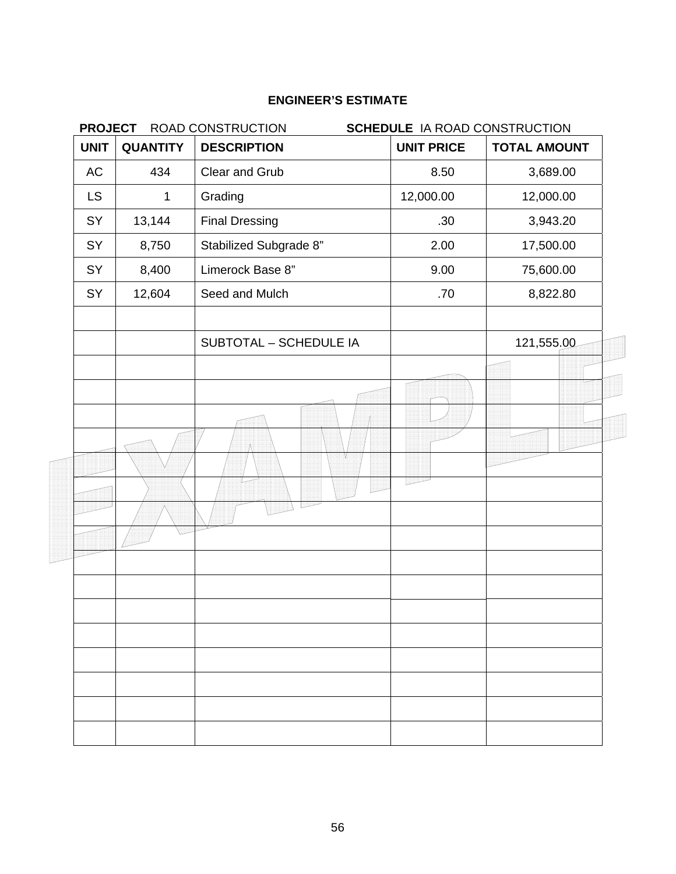| <b>PROJECT</b> | ROAD CONSTRUCTION<br><b>SCHEDULE IA ROAD CONSTRUCTION</b> |                               |                   |                     |
|----------------|-----------------------------------------------------------|-------------------------------|-------------------|---------------------|
| <b>UNIT</b>    | <b>QUANTITY</b>                                           | <b>DESCRIPTION</b>            | <b>UNIT PRICE</b> | <b>TOTAL AMOUNT</b> |
| AC             | 434                                                       | Clear and Grub                | 8.50              | 3,689.00            |
| <b>LS</b>      | 1                                                         | Grading                       | 12,000.00         | 12,000.00           |
| SY             | 13,144                                                    | <b>Final Dressing</b>         | .30               | 3,943.20            |
| SY             | 8,750                                                     | Stabilized Subgrade 8"        | 2.00              | 17,500.00           |
| SY             | 8,400                                                     | Limerock Base 8"              | 9.00              | 75,600.00           |
| SY             | 12,604                                                    | Seed and Mulch                | .70               | 8,822.80            |
|                |                                                           | <b>SUBTOTAL - SCHEDULE IA</b> |                   | 121,555.00          |
|                |                                                           |                               |                   |                     |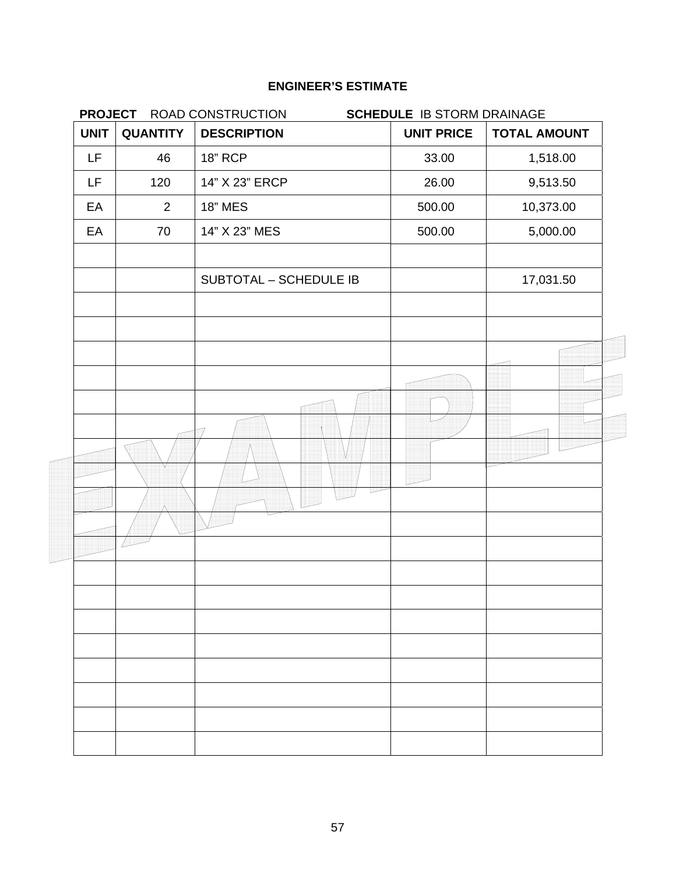|             |                 | PROJECT ROAD CONSTRUCTION | <b>SCHEDULE IB STORM DRAINAGE</b> |                     |
|-------------|-----------------|---------------------------|-----------------------------------|---------------------|
| <b>UNIT</b> | <b>QUANTITY</b> | <b>DESCRIPTION</b>        | <b>UNIT PRICE</b>                 | <b>TOTAL AMOUNT</b> |
| <b>LF</b>   | 46              | <b>18" RCP</b>            | 33.00                             | 1,518.00            |
| LF          | 120             | 14" X 23" ERCP            | 26.00                             | 9,513.50            |
| EA          | $\overline{2}$  | <b>18" MES</b>            | 500.00                            | 10,373.00           |
| EA          | 70              | 14" X 23" MES             | 500.00                            | 5,000.00            |
|             |                 | SUBTOTAL - SCHEDULE IB    |                                   | 17,031.50           |
|             |                 |                           |                                   |                     |
|             |                 |                           |                                   |                     |
|             |                 |                           |                                   |                     |
|             |                 |                           |                                   |                     |
|             |                 |                           |                                   |                     |
|             |                 |                           |                                   |                     |
|             |                 |                           |                                   |                     |
|             |                 |                           |                                   |                     |
|             |                 |                           |                                   |                     |
|             |                 |                           |                                   |                     |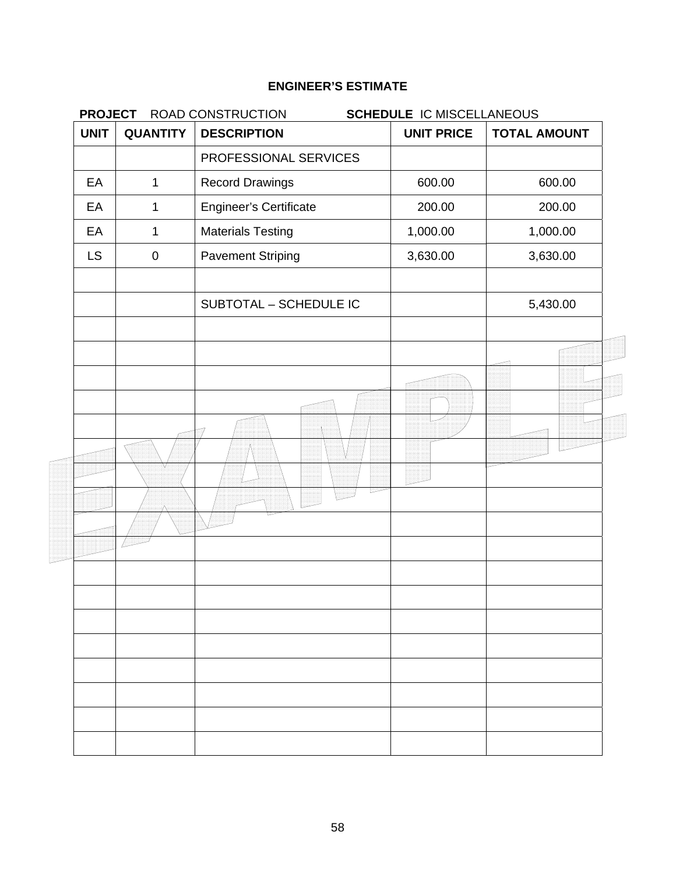| <b>PROJECT</b> |                 | ROAD CONSTRUCTION<br><b>SCHEDULE IC MISCELLANEOUS</b> |                   |                     |
|----------------|-----------------|-------------------------------------------------------|-------------------|---------------------|
| <b>UNIT</b>    | <b>QUANTITY</b> | <b>DESCRIPTION</b>                                    | <b>UNIT PRICE</b> | <b>TOTAL AMOUNT</b> |
|                |                 | PROFESSIONAL SERVICES                                 |                   |                     |
| EA             | $\mathbf 1$     | <b>Record Drawings</b>                                | 600.00            | 600.00              |
| EA             | 1               | <b>Engineer's Certificate</b>                         | 200.00            | 200.00              |
| EA             | $\mathbf 1$     | <b>Materials Testing</b>                              | 1,000.00          | 1,000.00            |
| <b>LS</b>      | $\pmb{0}$       | <b>Pavement Striping</b>                              | 3,630.00          | 3,630.00            |
|                |                 | SUBTOTAL - SCHEDULE IC                                |                   | 5,430.00            |
|                |                 |                                                       |                   |                     |
|                |                 |                                                       |                   |                     |
|                |                 |                                                       |                   |                     |
|                |                 |                                                       |                   |                     |
|                |                 |                                                       |                   |                     |
|                |                 |                                                       |                   |                     |
|                |                 |                                                       |                   |                     |
|                |                 |                                                       |                   |                     |
|                |                 |                                                       |                   |                     |
|                |                 |                                                       |                   |                     |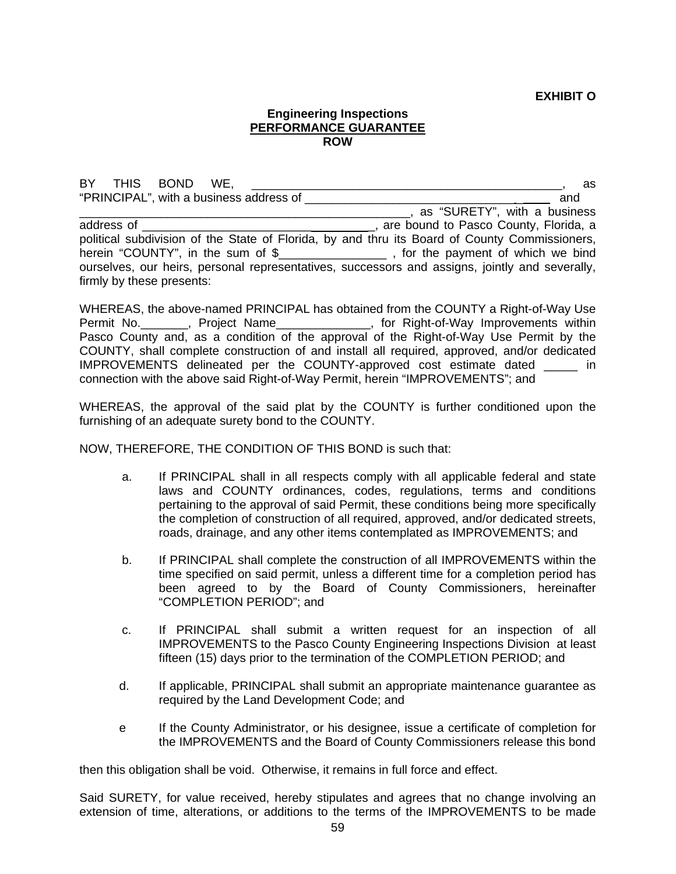**EXHIBIT O** 

#### **Engineering Inspections PERFORMANCE GUARANTEE ROW**

BY THIS BOND WE, the state of the state of the state of the state of the state of the state of the state of the state of the state of the state of the state of the state of the state of the state of the state of the state "PRINCIPAL", with a business address of \_\_\_\_\_\_\_\_\_\_\_\_\_\_\_\_\_\_\_\_\_\_\_\_\_\_\_\_\_\_\_ \_ and \_\_\_\_\_\_\_\_\_\_\_\_\_\_\_\_\_\_\_\_\_\_\_\_\_\_\_\_\_\_\_\_\_\_\_\_\_\_\_\_\_\_\_\_\_\_\_\_\_, as "SURETY", with a business address of **Example 2** and the proposition of the state of the state of the state of the state of the state of the state of the state of the state of the state of the state of the state of the state of the state of the sta political subdivision of the State of Florida, by and thru its Board of County Commissioners, herein "COUNTY", in the sum of \$\_\_\_\_\_\_\_\_\_\_\_\_\_\_\_\_\_\_, for the payment of which we bind ourselves, our heirs, personal representatives, successors and assigns, jointly and severally, firmly by these presents:

WHEREAS, the above-named PRINCIPAL has obtained from the COUNTY a Right-of-Way Use Permit No.\_\_\_\_\_\_\_, Project Name\_\_\_\_\_\_\_\_\_\_\_\_\_\_, for Right-of-Way Improvements within Pasco County and, as a condition of the approval of the Right-of-Way Use Permit by the COUNTY, shall complete construction of and install all required, approved, and/or dedicated IMPROVEMENTS delineated per the COUNTY-approved cost estimate dated \_\_\_\_\_ in connection with the above said Right-of-Way Permit, herein "IMPROVEMENTS"; and

WHEREAS, the approval of the said plat by the COUNTY is further conditioned upon the furnishing of an adequate surety bond to the COUNTY.

NOW, THEREFORE, THE CONDITION OF THIS BOND is such that:

- a. If PRINCIPAL shall in all respects comply with all applicable federal and state laws and COUNTY ordinances, codes, regulations, terms and conditions pertaining to the approval of said Permit, these conditions being more specifically the completion of construction of all required, approved, and/or dedicated streets, roads, drainage, and any other items contemplated as IMPROVEMENTS; and
- b. If PRINCIPAL shall complete the construction of all IMPROVEMENTS within the time specified on said permit, unless a different time for a completion period has been agreed to by the Board of County Commissioners, hereinafter "COMPLETION PERIOD"; and
- c. If PRINCIPAL shall submit a written request for an inspection of all IMPROVEMENTS to the Pasco County Engineering Inspections Division at least fifteen (15) days prior to the termination of the COMPLETION PERIOD; and
- d. If applicable, PRINCIPAL shall submit an appropriate maintenance guarantee as required by the Land Development Code; and
- e If the County Administrator, or his designee, issue a certificate of completion for the IMPROVEMENTS and the Board of County Commissioners release this bond

then this obligation shall be void. Otherwise, it remains in full force and effect.

Said SURETY, for value received, hereby stipulates and agrees that no change involving an extension of time, alterations, or additions to the terms of the IMPROVEMENTS to be made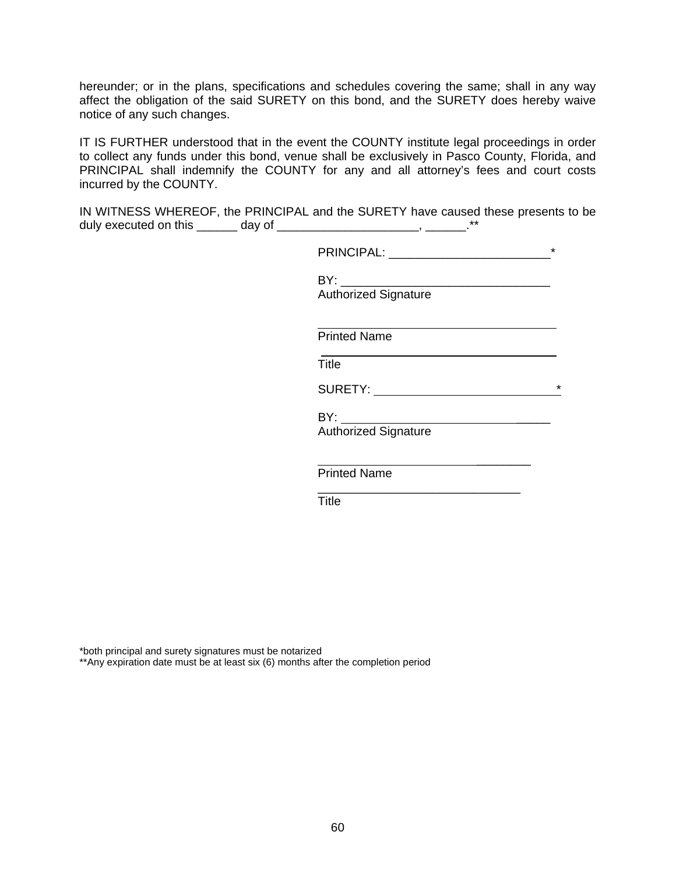hereunder; or in the plans, specifications and schedules covering the same; shall in any way affect the obligation of the said SURETY on this bond, and the SURETY does hereby waive notice of any such changes.

IT IS FURTHER understood that in the event the COUNTY institute legal proceedings in order to collect any funds under this bond, venue shall be exclusively in Pasco County, Florida, and PRINCIPAL shall indemnify the COUNTY for any and all attorney's fees and court costs incurred by the COUNTY.

IN WITNESS WHEREOF, the PRINCIPAL and the SURETY have caused these presents to be duly executed on this \_\_\_\_\_\_\_ day of \_\_\_\_\_\_\_\_\_\_\_\_\_\_\_\_\_\_\_\_\_\_\_\_\_, \_\_\_\_\_\_\_\_.\*\*

| <b>DDINICIDAL</b><br>--<br>.<br>, , , , , , , , , , , | $\sim$<br>$\sim$ |
|-------------------------------------------------------|------------------|
|                                                       |                  |

 BY: \_\_\_\_\_\_\_\_\_\_\_\_\_\_\_\_\_\_\_\_\_\_\_\_\_\_\_\_\_\_\_ Authorized Signature

Printed Name

**Title The Community of the Community of Title** 

SURETY: \*

BY: \_\_\_\_\_

Authorized Signature

 $\frac{1}{\sqrt{2}}$  ,  $\frac{1}{\sqrt{2}}$  ,  $\frac{1}{\sqrt{2}}$  ,  $\frac{1}{\sqrt{2}}$  ,  $\frac{1}{\sqrt{2}}$  ,  $\frac{1}{\sqrt{2}}$  ,  $\frac{1}{\sqrt{2}}$  ,  $\frac{1}{\sqrt{2}}$  ,  $\frac{1}{\sqrt{2}}$  ,  $\frac{1}{\sqrt{2}}$  ,  $\frac{1}{\sqrt{2}}$  ,  $\frac{1}{\sqrt{2}}$  ,  $\frac{1}{\sqrt{2}}$  ,  $\frac{1}{\sqrt{2}}$  ,  $\frac{1}{\sqrt{2}}$ Printed Name

**Title The Community of the Community of Title** 

 $\frac{1}{\sqrt{2\pi}}$  , which is a set of the set of the set of the set of the set of the set of the set of the set of the set of the set of the set of the set of the set of the set of the set of the set of the set of the set of

\*both principal and surety signatures must be notarized \*\*Any expiration date must be at least six (6) months after the completion period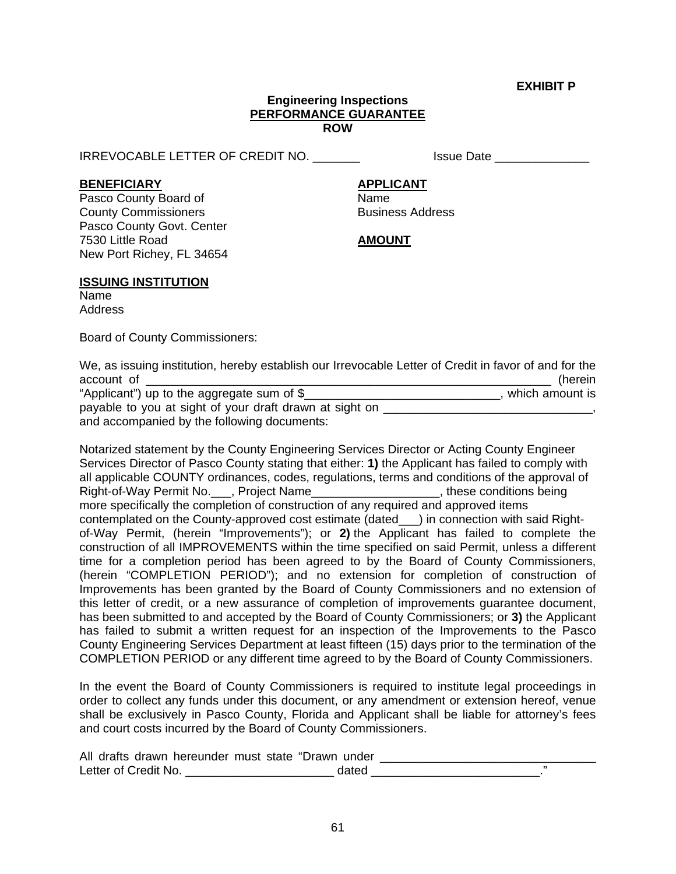**EXHIBIT P** 

#### **Engineering Inspections PERFORMANCE GUARANTEE ROW**

IRREVOCABLE LETTER OF CREDIT NO. \_\_\_\_\_\_\_ Issue Date \_\_\_\_\_\_\_\_\_\_\_\_\_\_

**BENEFICIARY APPLICANT**

Pasco County Board of Name **County Commissioners Business Address** Pasco County Govt. Center 7530 Little Road **AMOUNT** New Port Richey, FL 34654

### **ISSUING INSTITUTION**

Name Address

Board of County Commissioners:

We, as issuing institution, hereby establish our Irrevocable Letter of Credit in favor of and for the account of \_\_\_\_\_\_\_\_\_\_\_\_\_\_\_\_\_\_\_\_\_\_\_\_\_\_\_\_\_\_\_\_\_\_\_\_\_\_\_\_\_\_\_\_\_\_\_\_\_\_\_\_\_\_\_\_\_\_\_\_ (herein

| "Applicant") up to the aggregate sum of $\S$            | which amount is |
|---------------------------------------------------------|-----------------|
| payable to you at sight of your draft drawn at sight on |                 |
| and accompanied by the following documents:             |                 |

Notarized statement by the County Engineering Services Director or Acting County Engineer Services Director of Pasco County stating that either: **1)** the Applicant has failed to comply with all applicable COUNTY ordinances, codes, regulations, terms and conditions of the approval of Right-of-Way Permit No. \_\_\_, Project Name\_\_\_\_\_\_\_\_\_\_\_\_\_\_\_\_\_\_\_\_, these conditions being more specifically the completion of construction of any required and approved items contemplated on the County-approved cost estimate (dated\_\_\_) in connection with said Rightof-Way Permit, (herein "Improvements"); or **2)** the Applicant has failed to complete the construction of all IMPROVEMENTS within the time specified on said Permit, unless a different time for a completion period has been agreed to by the Board of County Commissioners, (herein "COMPLETION PERIOD"); and no extension for completion of construction of Improvements has been granted by the Board of County Commissioners and no extension of this letter of credit, or a new assurance of completion of improvements guarantee document, has been submitted to and accepted by the Board of County Commissioners; or **3)** the Applicant has failed to submit a written request for an inspection of the Improvements to the Pasco County Engineering Services Department at least fifteen (15) days prior to the termination of the COMPLETION PERIOD or any different time agreed to by the Board of County Commissioners.

In the event the Board of County Commissioners is required to institute legal proceedings in order to collect any funds under this document, or any amendment or extension hereof, venue shall be exclusively in Pasco County, Florida and Applicant shall be liable for attorney's fees and court costs incurred by the Board of County Commissioners.

| All drafts drawn hereunder must state "Drawn under |  |
|----------------------------------------------------|--|
| Letter of Credit No.                               |  |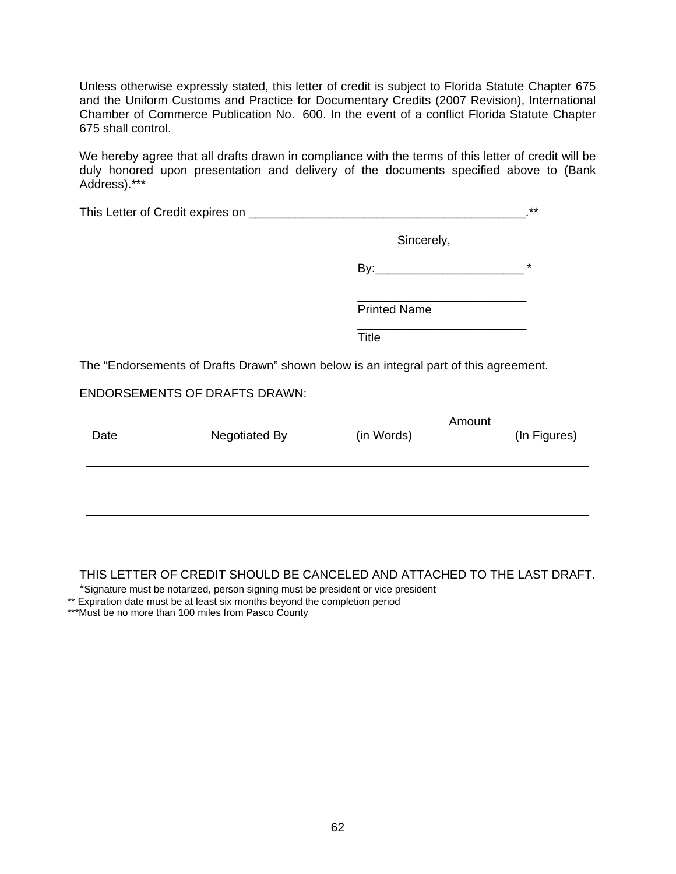Unless otherwise expressly stated, this letter of credit is subject to Florida Statute Chapter 675 and the Uniform Customs and Practice for Documentary Credits (2007 Revision), International Chamber of Commerce Publication No. 600. In the event of a conflict Florida Statute Chapter 675 shall control.

We hereby agree that all drafts drawn in compliance with the terms of this letter of credit will be duly honored upon presentation and delivery of the documents specified above to (Bank Address).\*\*\*

|      |                                                                                       |                     |        | $***$        |
|------|---------------------------------------------------------------------------------------|---------------------|--------|--------------|
|      |                                                                                       | Sincerely,          |        |              |
|      |                                                                                       |                     |        | $\star$      |
|      |                                                                                       | <b>Printed Name</b> |        |              |
|      |                                                                                       | <b>Title</b>        |        |              |
|      | The "Endorsements of Drafts Drawn" shown below is an integral part of this agreement. |                     |        |              |
|      | <b>ENDORSEMENTS OF DRAFTS DRAWN:</b>                                                  |                     |        |              |
| Date | Negotiated By                                                                         | (in Words)          | Amount | (In Figures) |
|      |                                                                                       |                     |        |              |
|      |                                                                                       |                     |        |              |
|      |                                                                                       |                     |        |              |

### THIS LETTER OF CREDIT SHOULD BE CANCELED AND ATTACHED TO THE LAST DRAFT.

\*Signature must be notarized, person signing must be president or vice president

\*\* Expiration date must be at least six months beyond the completion period

\*\*\*Must be no more than 100 miles from Pasco County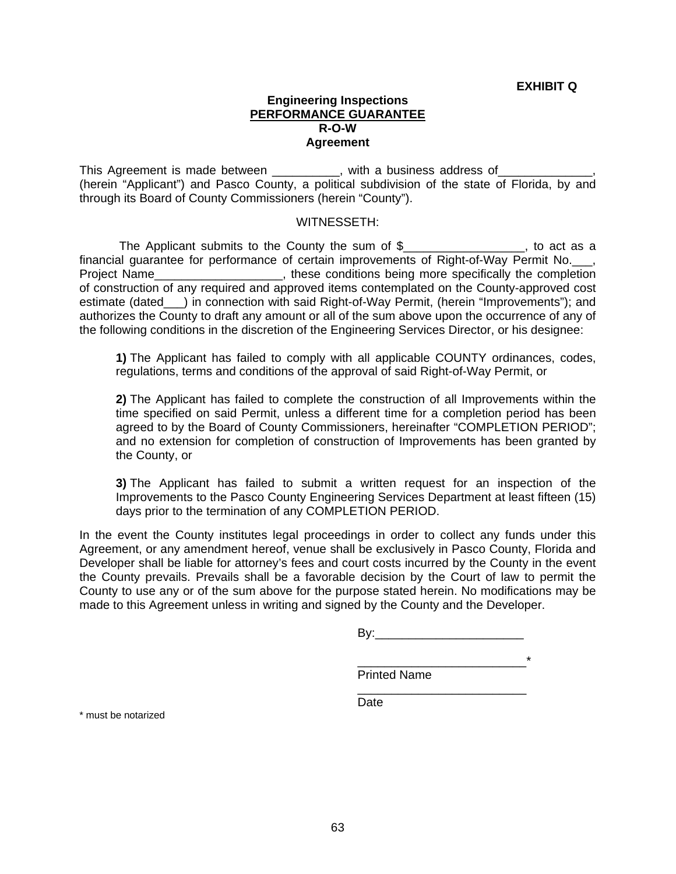### **Engineering Inspections PERFORMANCE GUARANTEE R-O-W Agreement**

This Agreement is made between exactled with a business address of (herein "Applicant") and Pasco County, a political subdivision of the state of Florida, by and through its Board of County Commissioners (herein "County").

### WITNESSETH:

The Applicant submits to the County the sum of \$\_\_\_\_\_\_\_\_\_\_\_\_\_\_\_\_\_, to act as a financial guarantee for performance of certain improvements of Right-of-Way Permit No.\_\_\_, Project Name\_\_\_\_\_\_\_\_\_\_\_\_\_\_\_\_\_\_\_\_, these conditions being more specifically the completion of construction of any required and approved items contemplated on the County-approved cost estimate (dated\_\_\_) in connection with said Right-of-Way Permit, (herein "Improvements"); and authorizes the County to draft any amount or all of the sum above upon the occurrence of any of the following conditions in the discretion of the Engineering Services Director, or his designee:

**1)** The Applicant has failed to comply with all applicable COUNTY ordinances, codes, regulations, terms and conditions of the approval of said Right-of-Way Permit, or

**2)** The Applicant has failed to complete the construction of all Improvements within the time specified on said Permit, unless a different time for a completion period has been agreed to by the Board of County Commissioners, hereinafter "COMPLETION PERIOD"; and no extension for completion of construction of Improvements has been granted by the County, or

**3)** The Applicant has failed to submit a written request for an inspection of the Improvements to the Pasco County Engineering Services Department at least fifteen (15) days prior to the termination of any COMPLETION PERIOD.

In the event the County institutes legal proceedings in order to collect any funds under this Agreement, or any amendment hereof, venue shall be exclusively in Pasco County, Florida and Developer shall be liable for attorney's fees and court costs incurred by the County in the event the County prevails. Prevails shall be a favorable decision by the Court of law to permit the County to use any or of the sum above for the purpose stated herein. No modifications may be made to this Agreement unless in writing and signed by the County and the Developer.

 $\overline{\phantom{a}}$  , and the contract of the contract of the contract of the contract of the contract of the contract of the contract of the contract of the contract of the contract of the contract of the contract of the contrac

By:\_\_\_\_\_\_\_\_\_\_\_\_\_\_\_\_\_\_\_\_\_\_

 $\overline{\phantom{a}}$  , and the contract of the contract of the contract of the contract of the contract of the contract of the contract of the contract of the contract of the contract of the contract of the contract of the contrac Printed Name

**Date Date Date Date** 

\* must be notarized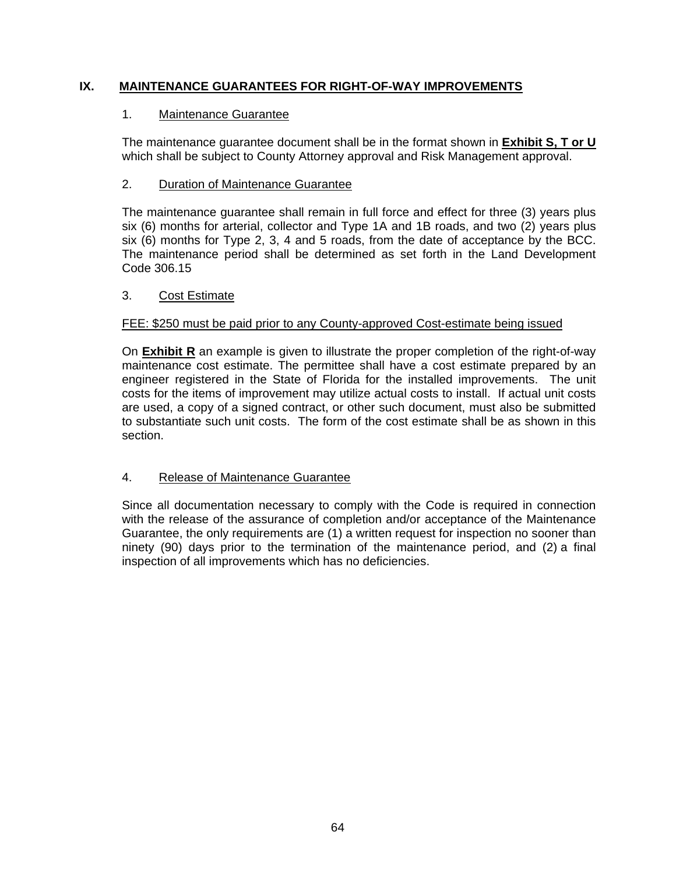## **IX. MAINTENANCE GUARANTEES FOR RIGHT-OF-WAY IMPROVEMENTS**

## 1. Maintenance Guarantee

 The maintenance guarantee document shall be in the format shown in **Exhibit S, T or U** which shall be subject to County Attorney approval and Risk Management approval.

## 2. Duration of Maintenance Guarantee

 The maintenance guarantee shall remain in full force and effect for three (3) years plus six (6) months for arterial, collector and Type 1A and 1B roads, and two (2) years plus six (6) months for Type 2, 3, 4 and 5 roads, from the date of acceptance by the BCC. The maintenance period shall be determined as set forth in the Land Development Code 306.15

## 3. Cost Estimate

## FEE: \$250 must be paid prior to any County-approved Cost-estimate being issued

 On **Exhibit R** an example is given to illustrate the proper completion of the right-of-way maintenance cost estimate. The permittee shall have a cost estimate prepared by an engineer registered in the State of Florida for the installed improvements. The unit costs for the items of improvement may utilize actual costs to install. If actual unit costs are used, a copy of a signed contract, or other such document, must also be submitted to substantiate such unit costs. The form of the cost estimate shall be as shown in this section.

## 4. Release of Maintenance Guarantee

 Since all documentation necessary to comply with the Code is required in connection with the release of the assurance of completion and/or acceptance of the Maintenance Guarantee, the only requirements are (1) a written request for inspection no sooner than ninety (90) days prior to the termination of the maintenance period, and (2) a final inspection of all improvements which has no deficiencies.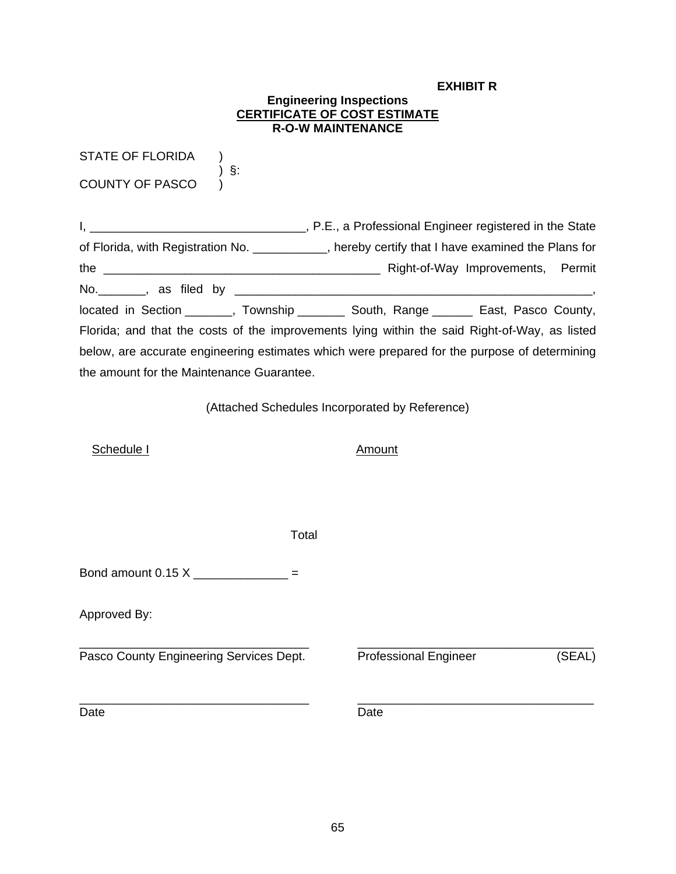#### **EXHIBIT R**

#### **Engineering Inspections CERTIFICATE OF COST ESTIMATE R-O-W MAINTENANCE**

STATE OF FLORIDA ) COUNTY OF PASCO )

) §:

I, \_\_\_\_\_\_\_\_\_\_\_\_\_\_\_\_\_\_\_\_\_\_\_\_\_\_\_\_\_\_\_\_, P.E., a Professional Engineer registered in the State of Florida, with Registration No. \_\_\_\_\_\_\_\_\_\_\_, hereby certify that I have examined the Plans for the \_\_\_\_\_\_\_\_\_\_\_\_\_\_\_\_\_\_\_\_\_\_\_\_\_\_\_\_\_\_\_\_\_\_\_\_\_\_\_\_\_ Right-of-Way Improvements, Permit No.\_\_\_\_\_\_\_, as filed by \_\_\_\_\_\_\_\_\_\_\_\_\_\_\_\_\_\_\_\_\_\_\_\_\_\_\_\_\_\_\_\_\_\_\_\_\_\_\_\_\_\_\_\_\_\_\_\_\_\_\_\_\_, located in Section \_\_\_\_\_\_, Township \_\_\_\_\_\_\_ South, Range \_\_\_\_\_\_ East, Pasco County, Florida; and that the costs of the improvements lying within the said Right-of-Way, as listed below, are accurate engineering estimates which were prepared for the purpose of determining the amount for the Maintenance Guarantee.

(Attached Schedules Incorporated by Reference)

Schedule I Amount

Total

Bond amount  $0.15 \text{ X}$  =

Approved By:

\_\_\_\_\_\_\_\_\_\_\_\_\_\_\_\_\_\_\_\_\_\_\_\_\_\_\_\_\_\_\_\_\_\_ \_\_\_\_\_\_\_\_\_\_\_\_\_\_\_\_\_\_\_\_\_\_\_\_\_\_\_\_\_\_\_\_\_\_\_ Pasco County Engineering Services Dept. Professional Engineer (SEAL)

Date **Date Date Date Date Date** 

\_\_\_\_\_\_\_\_\_\_\_\_\_\_\_\_\_\_\_\_\_\_\_\_\_\_\_\_\_\_\_\_\_\_ \_\_\_\_\_\_\_\_\_\_\_\_\_\_\_\_\_\_\_\_\_\_\_\_\_\_\_\_\_\_\_\_\_\_\_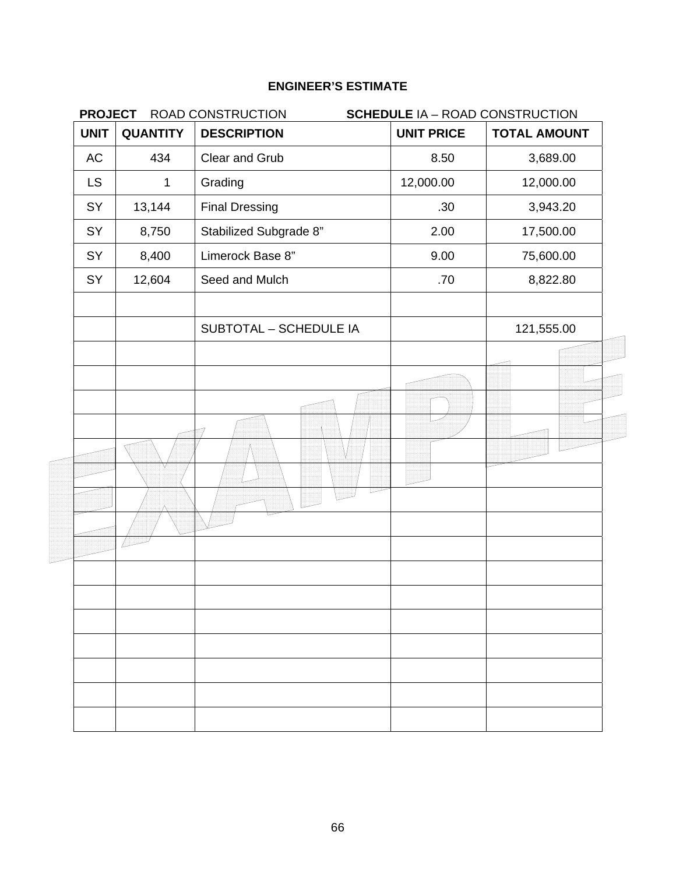| <b>PROJECT</b><br>ROAD CONSTRUCTION<br><b>SCHEDULE IA - ROAD CONSTRUCTION</b> |                 |                               |                   |                     |
|-------------------------------------------------------------------------------|-----------------|-------------------------------|-------------------|---------------------|
| <b>UNIT</b>                                                                   | <b>QUANTITY</b> | <b>DESCRIPTION</b>            | <b>UNIT PRICE</b> | <b>TOTAL AMOUNT</b> |
| AC                                                                            | 434             | Clear and Grub                | 8.50              | 3,689.00            |
| <b>LS</b>                                                                     | 1               | Grading                       | 12,000.00         | 12,000.00           |
| SY                                                                            | 13,144          | <b>Final Dressing</b>         | .30               | 3,943.20            |
| SY                                                                            | 8,750           | Stabilized Subgrade 8"        | 2.00              | 17,500.00           |
| SY                                                                            | 8,400           | Limerock Base 8"              | 9.00              | 75,600.00           |
| SY                                                                            | 12,604          | Seed and Mulch                | .70               | 8,822.80            |
|                                                                               |                 | <b>SUBTOTAL - SCHEDULE IA</b> |                   | 121,555.00          |
|                                                                               |                 |                               |                   |                     |
|                                                                               |                 |                               |                   |                     |
|                                                                               |                 |                               |                   |                     |
|                                                                               |                 |                               |                   |                     |
|                                                                               |                 |                               |                   |                     |
|                                                                               |                 |                               |                   |                     |
|                                                                               |                 |                               |                   |                     |
|                                                                               |                 |                               |                   |                     |
|                                                                               |                 |                               |                   |                     |
|                                                                               |                 |                               |                   |                     |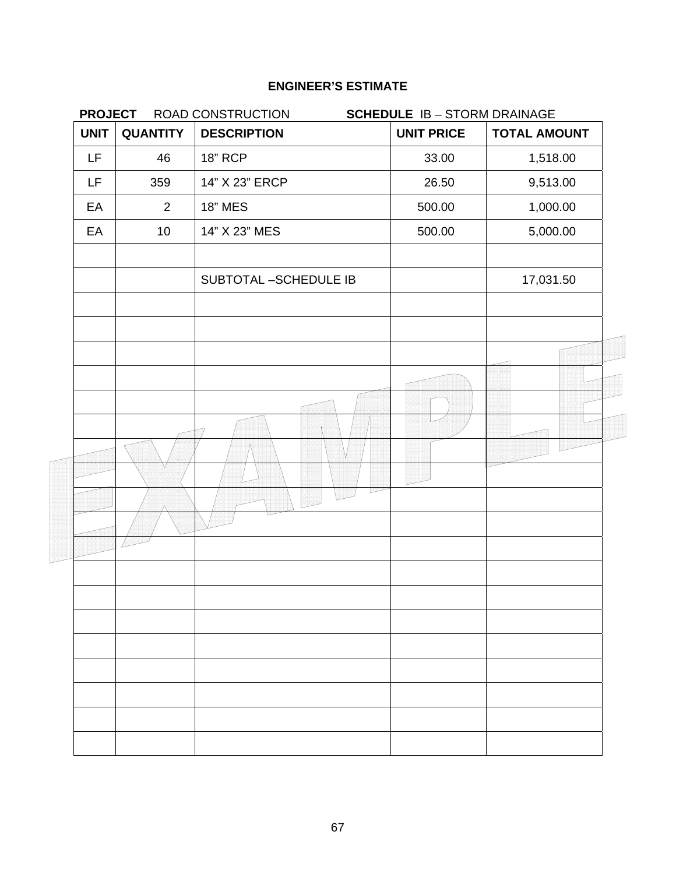|                       | <b>PROJECT</b><br>ROAD CONSTRUCTION<br><b>SCHEDULE IB - STORM DRAINAGE</b> |                      |                   |                     |
|-----------------------|----------------------------------------------------------------------------|----------------------|-------------------|---------------------|
| <b>UNIT</b>           | <b>QUANTITY</b>                                                            | <b>DESCRIPTION</b>   | <b>UNIT PRICE</b> | <b>TOTAL AMOUNT</b> |
| LF                    | 46                                                                         | <b>18" RCP</b>       | 33.00             | 1,518.00            |
| LF                    | 359                                                                        | 14" X 23" ERCP       | 26.50             | 9,513.00            |
| EA                    | 2                                                                          | <b>18" MES</b>       | 500.00            | 1,000.00            |
| EA<br>10 <sup>°</sup> | 14" X 23" MES                                                              | 500.00               | 5,000.00          |                     |
|                       |                                                                            | SUBTOTAL-SCHEDULE IB |                   | 17,031.50           |
|                       |                                                                            |                      |                   |                     |
|                       |                                                                            |                      |                   |                     |
|                       |                                                                            |                      |                   |                     |
|                       |                                                                            |                      |                   |                     |
|                       |                                                                            |                      |                   |                     |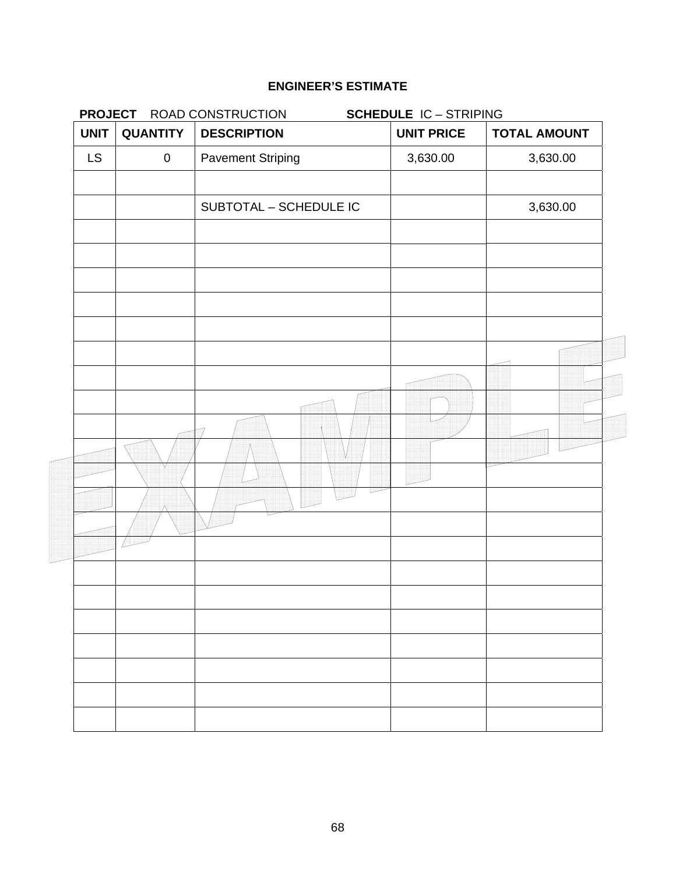| <b>PROJECT</b><br><b>UNIT</b> | <b>QUANTITY</b> | ROAD CONSTRUCTION<br><b>DESCRIPTION</b> | <b>SCHEDULE IC-STRIPING</b><br><b>UNIT PRICE</b> | <b>TOTAL AMOUNT</b> |  |
|-------------------------------|-----------------|-----------------------------------------|--------------------------------------------------|---------------------|--|
| <b>LS</b>                     | $\pmb{0}$       | <b>Pavement Striping</b>                | 3,630.00                                         | 3,630.00            |  |
|                               |                 |                                         |                                                  |                     |  |
|                               |                 | SUBTOTAL - SCHEDULE IC                  |                                                  | 3,630.00            |  |
|                               |                 |                                         |                                                  |                     |  |
|                               |                 |                                         |                                                  |                     |  |
|                               |                 |                                         |                                                  |                     |  |
|                               |                 |                                         |                                                  |                     |  |
|                               |                 |                                         |                                                  |                     |  |
|                               |                 |                                         |                                                  |                     |  |
|                               |                 |                                         |                                                  |                     |  |
|                               |                 |                                         |                                                  |                     |  |
|                               |                 |                                         |                                                  |                     |  |
|                               |                 |                                         |                                                  |                     |  |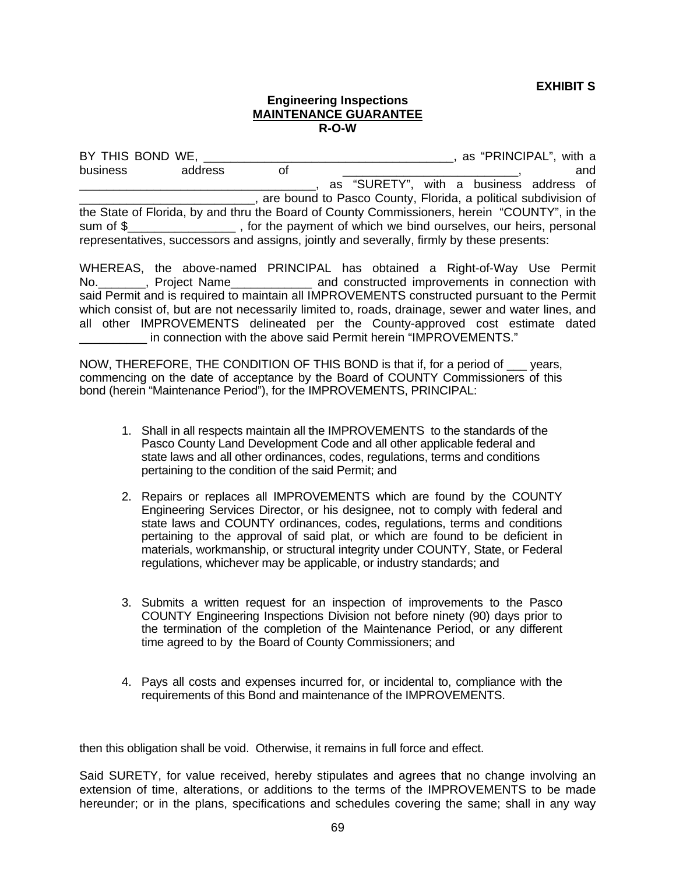**EXHIBIT S**

#### **Engineering Inspections MAINTENANCE GUARANTEE R-O-W**

BY THIS BOND WE, \_\_\_\_\_\_\_\_\_\_\_\_\_\_\_\_\_\_\_\_\_\_\_\_\_\_\_\_\_\_\_\_\_\_\_\_\_, as "PRINCIPAL", with a business address of  $\overline{a}$  and  $\overline{b}$  and  $\overline{a}$ \_\_\_\_\_\_\_\_\_\_\_\_\_\_\_\_\_\_\_\_\_\_\_\_\_\_\_\_\_\_\_\_\_\_\_, as "SURETY", with a business address of \_\_\_\_\_\_\_\_\_\_\_\_\_\_\_\_\_\_\_\_\_\_\_\_\_\_, are bound to Pasco County, Florida, a political subdivision of the State of Florida, by and thru the Board of County Commissioners, herein "COUNTY", in the sum of \$\_\_\_\_\_\_\_\_\_\_\_\_\_\_\_\_\_\_\_, for the payment of which we bind ourselves, our heirs, personal representatives, successors and assigns, jointly and severally, firmly by these presents:

WHEREAS, the above-named PRINCIPAL has obtained a Right-of-Way Use Permit No.\_\_\_\_\_\_\_, Project Name\_\_\_\_\_\_\_\_\_\_\_\_ and constructed improvements in connection with said Permit and is required to maintain all IMPROVEMENTS constructed pursuant to the Permit which consist of, but are not necessarily limited to, roads, drainage, sewer and water lines, and all other IMPROVEMENTS delineated per the County-approved cost estimate dated \_\_\_\_\_\_\_\_\_\_ in connection with the above said Permit herein "IMPROVEMENTS."

NOW, THEREFORE, THE CONDITION OF THIS BOND is that if, for a period of \_\_\_ years, commencing on the date of acceptance by the Board of COUNTY Commissioners of this bond (herein "Maintenance Period"), for the IMPROVEMENTS, PRINCIPAL:

- 1. Shall in all respects maintain all the IMPROVEMENTS to the standards of the Pasco County Land Development Code and all other applicable federal and state laws and all other ordinances, codes, regulations, terms and conditions pertaining to the condition of the said Permit; and
- 2. Repairs or replaces all IMPROVEMENTS which are found by the COUNTY Engineering Services Director, or his designee, not to comply with federal and state laws and COUNTY ordinances, codes, regulations, terms and conditions pertaining to the approval of said plat, or which are found to be deficient in materials, workmanship, or structural integrity under COUNTY, State, or Federal regulations, whichever may be applicable, or industry standards; and
- 3. Submits a written request for an inspection of improvements to the Pasco COUNTY Engineering Inspections Division not before ninety (90) days prior to the termination of the completion of the Maintenance Period, or any different time agreed to by the Board of County Commissioners; and
- 4. Pays all costs and expenses incurred for, or incidental to, compliance with the requirements of this Bond and maintenance of the IMPROVEMENTS.

then this obligation shall be void. Otherwise, it remains in full force and effect.

Said SURETY, for value received, hereby stipulates and agrees that no change involving an extension of time, alterations, or additions to the terms of the IMPROVEMENTS to be made hereunder; or in the plans, specifications and schedules covering the same; shall in any way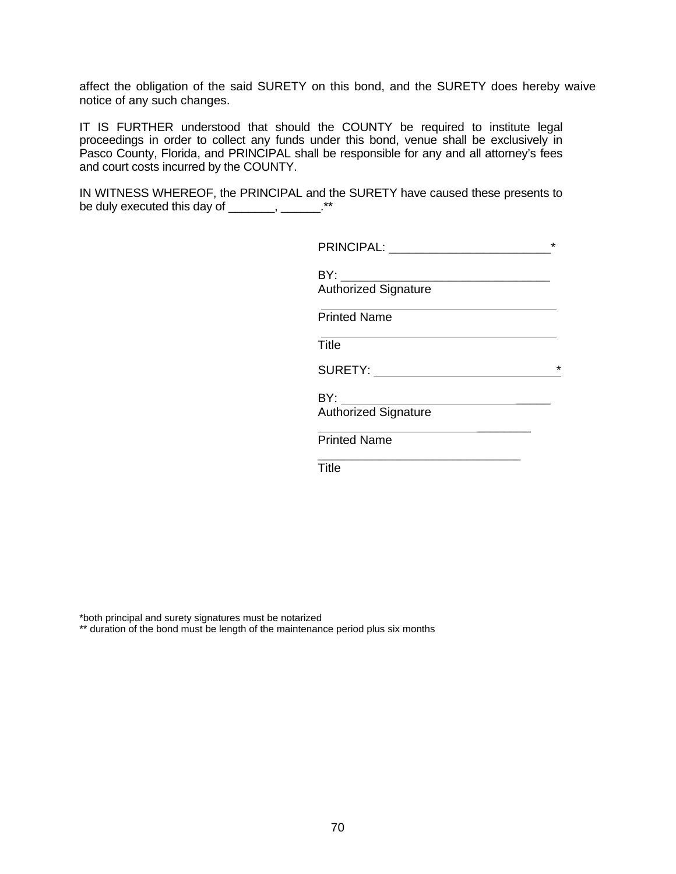affect the obligation of the said SURETY on this bond, and the SURETY does hereby waive notice of any such changes.

IT IS FURTHER understood that should the COUNTY be required to institute legal proceedings in order to collect any funds under this bond, venue shall be exclusively in Pasco County, Florida, and PRINCIPAL shall be responsible for any and all attorney's fees and court costs incurred by the COUNTY.

IN WITNESS WHEREOF, the PRINCIPAL and the SURETY have caused these presents to be duly executed this day of \_\_\_\_\_\_, \_\_\_\_\_\_.\*\*

|                                                 | $\star$    |
|-------------------------------------------------|------------|
| <b>Authorized Signature</b>                     |            |
| <b>Printed Name</b>                             |            |
| Title                                           |            |
| SURETY: New York Products and SURETY:           | $^{\star}$ |
| BY: ____________<br><b>Authorized Signature</b> |            |
| <b>Printed Name</b>                             |            |
| <b>Title</b>                                    |            |
|                                                 |            |

\*both principal and surety signatures must be notarized

\*\* duration of the bond must be length of the maintenance period plus six months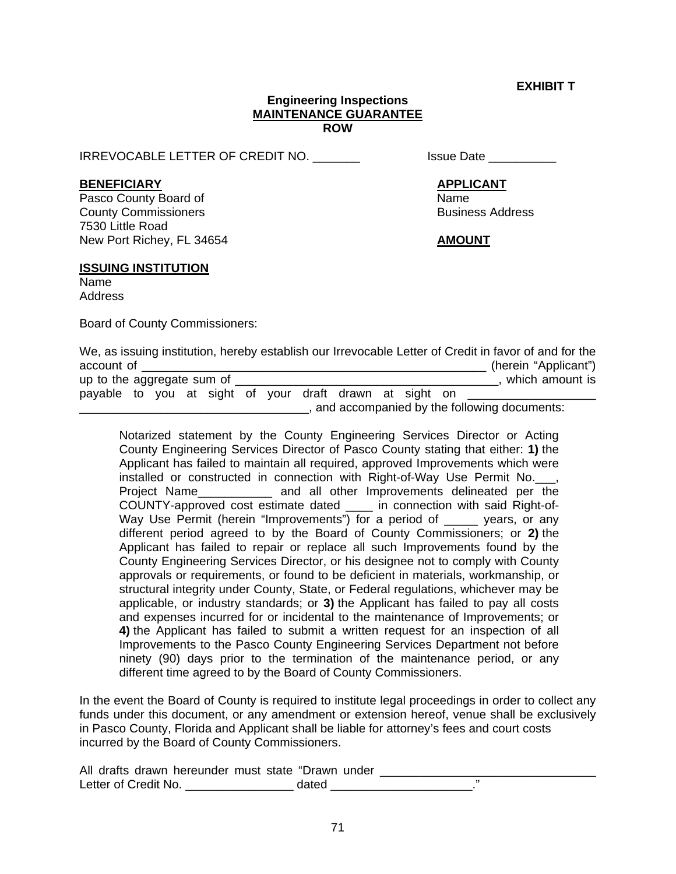**EXHIBIT T** 

#### **Engineering Inspections MAINTENANCE GUARANTEE ROW**

IRREVOCABLE LETTER OF CREDIT NO.  $\qquad \qquad$  Issue Date

#### **BENEFICIARY APPLICANT**

Pasco County Board of Name **County Commissioners Business Address Business Address** 7530 Little Road New Port Richey, FL 34654 **AMOUNT** 

#### **ISSUING INSTITUTION**

Name Address

Board of County Commissioners:

|                                                         |                                             |  |  |  |  |  |  |  |  | We, as issuing institution, hereby establish our Irrevocable Letter of Credit in favor of and for the |
|---------------------------------------------------------|---------------------------------------------|--|--|--|--|--|--|--|--|-------------------------------------------------------------------------------------------------------|
| account of                                              |                                             |  |  |  |  |  |  |  |  | (herein "Applicant")                                                                                  |
| up to the aggregate sum of                              |                                             |  |  |  |  |  |  |  |  | which amount is                                                                                       |
| payable to you at sight of your draft drawn at sight on |                                             |  |  |  |  |  |  |  |  |                                                                                                       |
|                                                         | and accompanied by the following documents: |  |  |  |  |  |  |  |  |                                                                                                       |

 Notarized statement by the County Engineering Services Director or Acting County Engineering Services Director of Pasco County stating that either: **1)** the Applicant has failed to maintain all required, approved Improvements which were installed or constructed in connection with Right-of-Way Use Permit No. . Project Name\_\_\_\_\_\_\_\_\_\_\_ and all other Improvements delineated per the COUNTY-approved cost estimate dated \_\_\_\_ in connection with said Right-of-Way Use Permit (herein "Improvements") for a period of \_\_\_\_\_ years, or any different period agreed to by the Board of County Commissioners; or **2)** the Applicant has failed to repair or replace all such Improvements found by the County Engineering Services Director, or his designee not to comply with County approvals or requirements, or found to be deficient in materials, workmanship, or structural integrity under County, State, or Federal regulations, whichever may be applicable, or industry standards; or **3)** the Applicant has failed to pay all costs and expenses incurred for or incidental to the maintenance of Improvements; or **4)** the Applicant has failed to submit a written request for an inspection of all Improvements to the Pasco County Engineering Services Department not before ninety (90) days prior to the termination of the maintenance period, or any different time agreed to by the Board of County Commissioners.

In the event the Board of County is required to institute legal proceedings in order to collect any funds under this document, or any amendment or extension hereof, venue shall be exclusively in Pasco County, Florida and Applicant shall be liable for attorney's fees and court costs incurred by the Board of County Commissioners.

| All drafts drawn hereunder must state "Drawn under |       |  |
|----------------------------------------------------|-------|--|
| Letter of Credit No.                               | dated |  |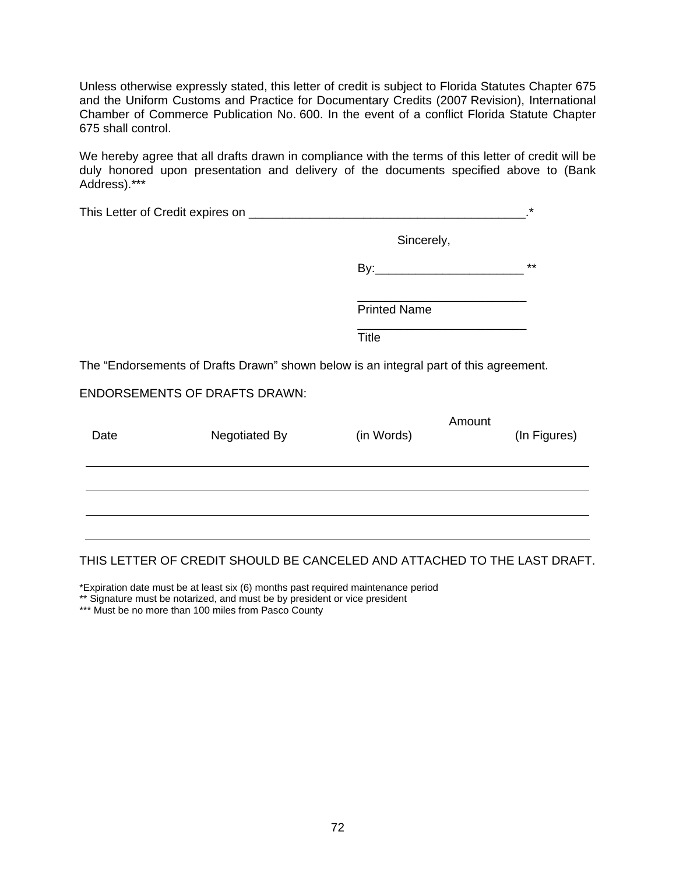Unless otherwise expressly stated, this letter of credit is subject to Florida Statutes Chapter 675 and the Uniform Customs and Practice for Documentary Credits (2007 Revision), International Chamber of Commerce Publication No. 600. In the event of a conflict Florida Statute Chapter 675 shall control.

We hereby agree that all drafts drawn in compliance with the terms of this letter of credit will be duly honored upon presentation and delivery of the documents specified above to (Bank Address).\*\*\*

|      |                                                                                       |                     |        | *            |
|------|---------------------------------------------------------------------------------------|---------------------|--------|--------------|
|      |                                                                                       | Sincerely,          |        |              |
|      |                                                                                       |                     |        | $***$        |
|      |                                                                                       | <b>Printed Name</b> |        |              |
|      |                                                                                       | <b>Title</b>        |        |              |
|      | The "Endorsements of Drafts Drawn" shown below is an integral part of this agreement. |                     |        |              |
|      | <b>ENDORSEMENTS OF DRAFTS DRAWN:</b>                                                  |                     |        |              |
| Date | Negotiated By                                                                         | (in Words)          | Amount | (In Figures) |
|      |                                                                                       |                     |        |              |
|      |                                                                                       |                     |        |              |
|      |                                                                                       |                     |        |              |

# THIS LETTER OF CREDIT SHOULD BE CANCELED AND ATTACHED TO THE LAST DRAFT.

\*Expiration date must be at least six (6) months past required maintenance period

\*\* Signature must be notarized, and must be by president or vice president

\*\*\* Must be no more than 100 miles from Pasco County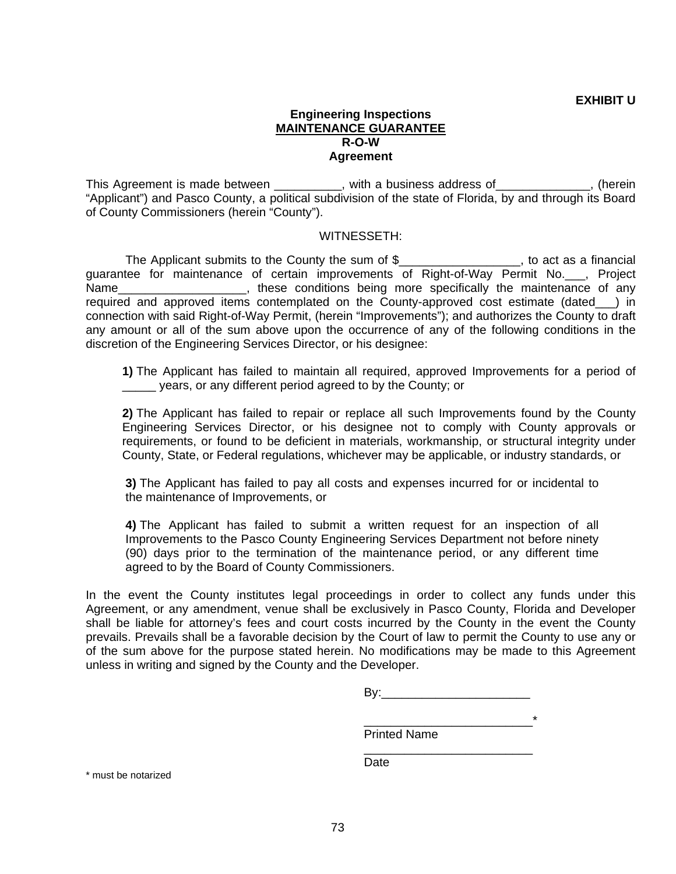## **Engineering Inspections MAINTENANCE GUARANTEE R-O-W Agreement**

This Agreement is made between \_\_\_\_\_\_\_\_\_, with a business address of\_\_\_\_\_\_\_\_\_\_\_\_, (herein "Applicant") and Pasco County, a political subdivision of the state of Florida, by and through its Board of County Commissioners (herein "County").

#### WITNESSETH:

The Applicant submits to the County the sum of \$\_\_\_\_\_\_\_\_\_\_\_\_\_\_\_\_\_, to act as a financial guarantee for maintenance of certain improvements of Right-of-Way Permit No.\_\_\_, Project Name\_\_\_\_\_\_\_\_\_\_\_\_\_\_\_\_\_\_\_\_\_, these conditions being more specifically the maintenance of any required and approved items contemplated on the County-approved cost estimate (dated\_\_\_) in connection with said Right-of-Way Permit, (herein "Improvements"); and authorizes the County to draft any amount or all of the sum above upon the occurrence of any of the following conditions in the discretion of the Engineering Services Director, or his designee:

**1)** The Applicant has failed to maintain all required, approved Improvements for a period of years, or any different period agreed to by the County; or

**2)** The Applicant has failed to repair or replace all such Improvements found by the County Engineering Services Director, or his designee not to comply with County approvals or requirements, or found to be deficient in materials, workmanship, or structural integrity under County, State, or Federal regulations, whichever may be applicable, or industry standards, or

**3)** The Applicant has failed to pay all costs and expenses incurred for or incidental to the maintenance of Improvements, or

**4)** The Applicant has failed to submit a written request for an inspection of all Improvements to the Pasco County Engineering Services Department not before ninety (90) days prior to the termination of the maintenance period, or any different time agreed to by the Board of County Commissioners.

In the event the County institutes legal proceedings in order to collect any funds under this Agreement, or any amendment, venue shall be exclusively in Pasco County, Florida and Developer shall be liable for attorney's fees and court costs incurred by the County in the event the County prevails. Prevails shall be a favorable decision by the Court of law to permit the County to use any or of the sum above for the purpose stated herein. No modifications may be made to this Agreement unless in writing and signed by the County and the Developer.

 $\overline{\phantom{a}}$  , and the contract of the contract of the contract of the contract of the contract of the contract of the contract of the contract of the contract of the contract of the contract of the contract of the contrac Printed Name

**Date Date Date** 

\* must be notarized

 $\overline{\phantom{a}}$  , and the contract of the contract of the contract of the contract of the contract of the contract of the contract of the contract of the contract of the contract of the contract of the contract of the contrac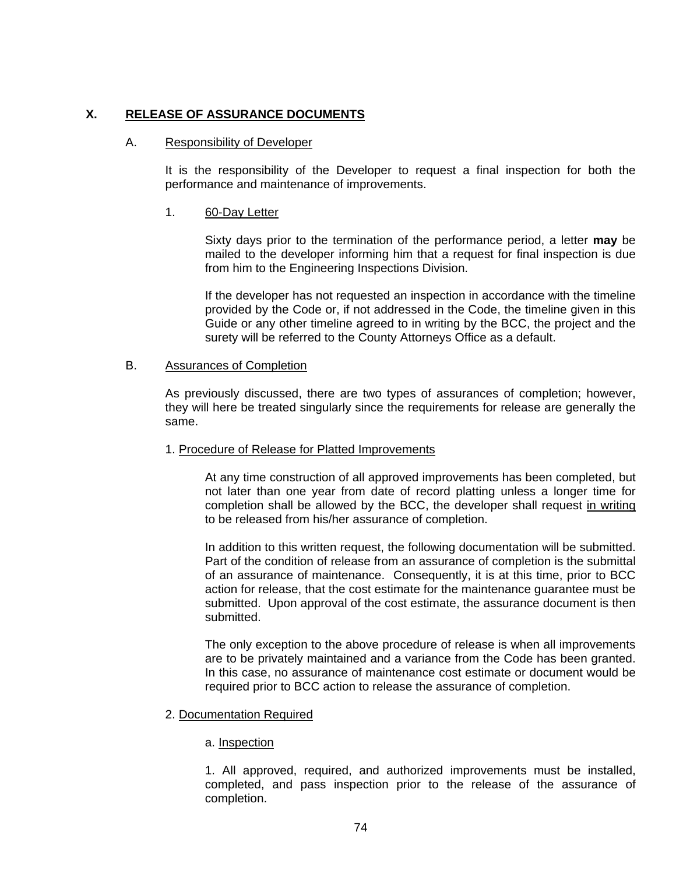# **X. RELEASE OF ASSURANCE DOCUMENTS**

## A. Responsibility of Developer

It is the responsibility of the Developer to request a final inspection for both the performance and maintenance of improvements.

## 1. 60-Day Letter

Sixty days prior to the termination of the performance period, a letter **may** be mailed to the developer informing him that a request for final inspection is due from him to the Engineering Inspections Division.

 If the developer has not requested an inspection in accordance with the timeline provided by the Code or, if not addressed in the Code, the timeline given in this Guide or any other timeline agreed to in writing by the BCC, the project and the surety will be referred to the County Attorneys Office as a default.

#### B. Assurances of Completion

As previously discussed, there are two types of assurances of completion; however, they will here be treated singularly since the requirements for release are generally the same.

# 1. Procedure of Release for Platted Improvements

At any time construction of all approved improvements has been completed, but not later than one year from date of record platting unless a longer time for completion shall be allowed by the BCC, the developer shall request in writing to be released from his/her assurance of completion.

 In addition to this written request, the following documentation will be submitted. Part of the condition of release from an assurance of completion is the submittal of an assurance of maintenance. Consequently, it is at this time, prior to BCC action for release, that the cost estimate for the maintenance guarantee must be submitted. Upon approval of the cost estimate, the assurance document is then submitted.

 The only exception to the above procedure of release is when all improvements are to be privately maintained and a variance from the Code has been granted. In this case, no assurance of maintenance cost estimate or document would be required prior to BCC action to release the assurance of completion.

# 2. Documentation Required

#### a. Inspection

1. All approved, required, and authorized improvements must be installed, completed, and pass inspection prior to the release of the assurance of completion.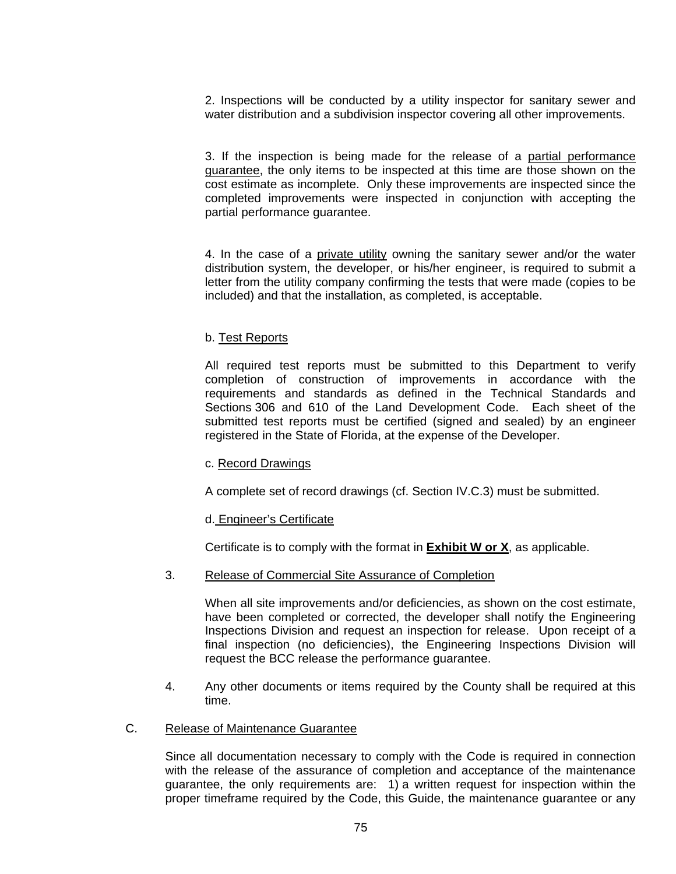2. Inspections will be conducted by a utility inspector for sanitary sewer and water distribution and a subdivision inspector covering all other improvements.

3. If the inspection is being made for the release of a partial performance guarantee, the only items to be inspected at this time are those shown on the cost estimate as incomplete. Only these improvements are inspected since the completed improvements were inspected in conjunction with accepting the partial performance guarantee.

4. In the case of a private utility owning the sanitary sewer and/or the water distribution system, the developer, or his/her engineer, is required to submit a letter from the utility company confirming the tests that were made (copies to be included) and that the installation, as completed, is acceptable.

## b. Test Reports

All required test reports must be submitted to this Department to verify completion of construction of improvements in accordance with the requirements and standards as defined in the Technical Standards and Sections 306 and 610 of the Land Development Code. Each sheet of the submitted test reports must be certified (signed and sealed) by an engineer registered in the State of Florida, at the expense of the Developer.

#### c. Record Drawings

A complete set of record drawings (cf. Section IV.C.3) must be submitted.

# d. Engineer's Certificate

Certificate is to comply with the format in **Exhibit W or X**, as applicable.

# 3. Release of Commercial Site Assurance of Completion

When all site improvements and/or deficiencies, as shown on the cost estimate, have been completed or corrected, the developer shall notify the Engineering Inspections Division and request an inspection for release. Upon receipt of a final inspection (no deficiencies), the Engineering Inspections Division will request the BCC release the performance guarantee.

4. Any other documents or items required by the County shall be required at this time.

# C. Release of Maintenance Guarantee

Since all documentation necessary to comply with the Code is required in connection with the release of the assurance of completion and acceptance of the maintenance guarantee, the only requirements are: 1) a written request for inspection within the proper timeframe required by the Code, this Guide, the maintenance guarantee or any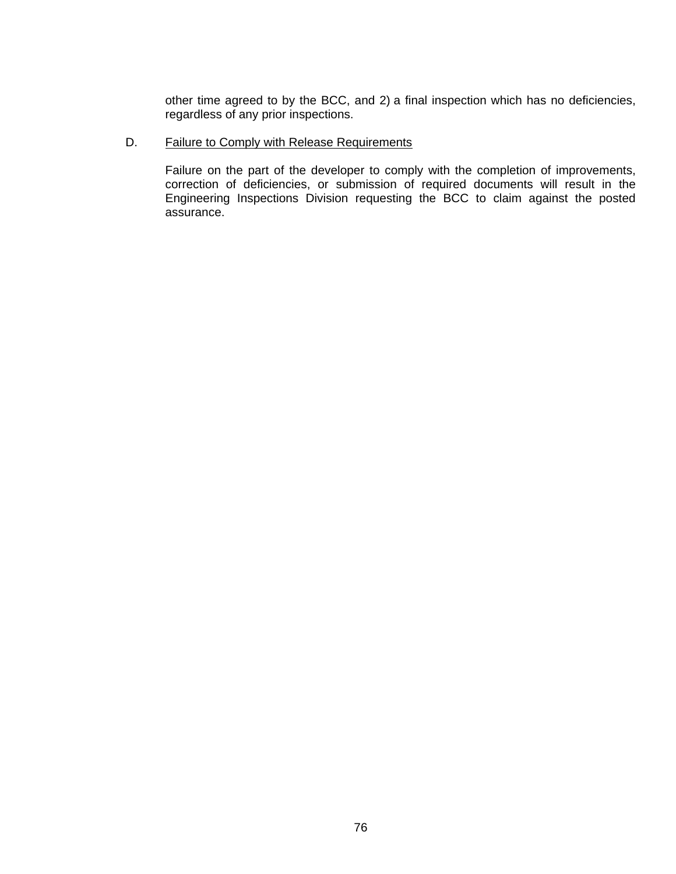other time agreed to by the BCC, and 2) a final inspection which has no deficiencies, regardless of any prior inspections.

# D. Failure to Comply with Release Requirements

Failure on the part of the developer to comply with the completion of improvements, correction of deficiencies, or submission of required documents will result in the Engineering Inspections Division requesting the BCC to claim against the posted assurance.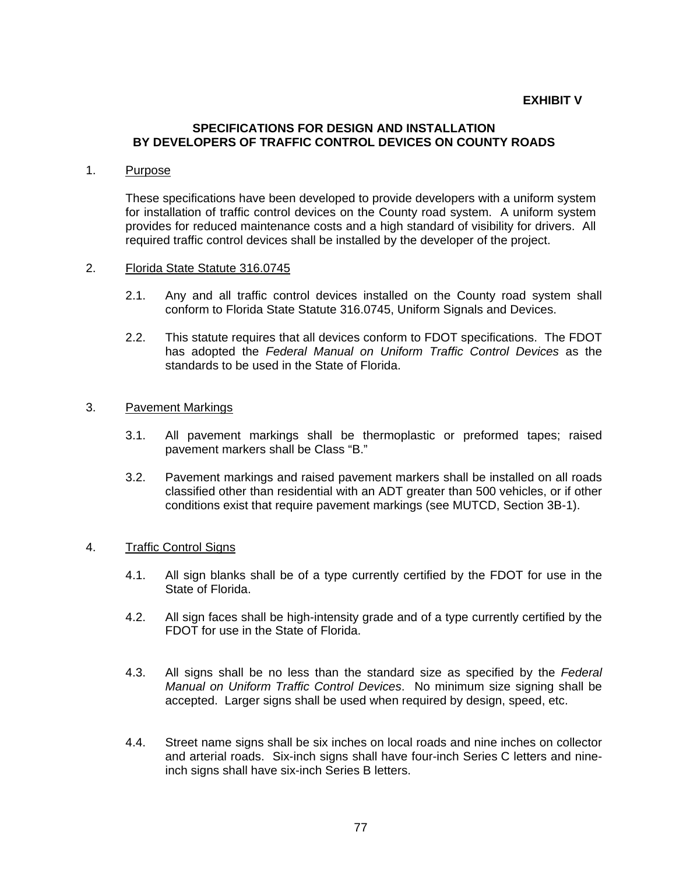### **EXHIBIT V**

## **SPECIFICATIONS FOR DESIGN AND INSTALLATION BY DEVELOPERS OF TRAFFIC CONTROL DEVICES ON COUNTY ROADS**

#### 1. Purpose

These specifications have been developed to provide developers with a uniform system for installation of traffic control devices on the County road system. A uniform system provides for reduced maintenance costs and a high standard of visibility for drivers. All required traffic control devices shall be installed by the developer of the project.

#### 2. Florida State Statute 316.0745

- 2.1. Any and all traffic control devices installed on the County road system shall conform to Florida State Statute 316.0745, Uniform Signals and Devices.
- 2.2. This statute requires that all devices conform to FDOT specifications. The FDOT has adopted the *Federal Manual on Uniform Traffic Control Devices* as the standards to be used in the State of Florida.

#### 3. Pavement Markings

- 3.1. All pavement markings shall be thermoplastic or preformed tapes; raised pavement markers shall be Class "B."
- 3.2. Pavement markings and raised pavement markers shall be installed on all roads classified other than residential with an ADT greater than 500 vehicles, or if other conditions exist that require pavement markings (see MUTCD, Section 3B-1).

## 4. Traffic Control Signs

- 4.1. All sign blanks shall be of a type currently certified by the FDOT for use in the State of Florida.
- 4.2. All sign faces shall be high-intensity grade and of a type currently certified by the FDOT for use in the State of Florida.
- 4.3. All signs shall be no less than the standard size as specified by the *Federal Manual on Uniform Traffic Control Devices*. No minimum size signing shall be accepted. Larger signs shall be used when required by design, speed, etc.
- 4.4. Street name signs shall be six inches on local roads and nine inches on collector and arterial roads. Six-inch signs shall have four-inch Series C letters and nineinch signs shall have six-inch Series B letters.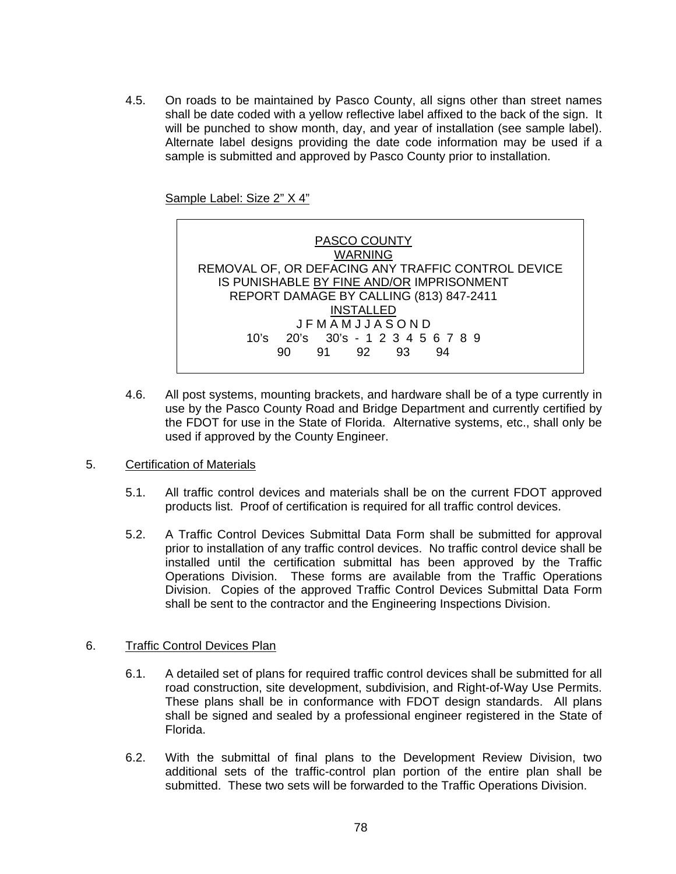4.5. On roads to be maintained by Pasco County, all signs other than street names shall be date coded with a yellow reflective label affixed to the back of the sign. It will be punched to show month, day, and year of installation (see sample label). Alternate label designs providing the date code information may be used if a sample is submitted and approved by Pasco County prior to installation.

Sample Label: Size 2" X 4"



- 4.6. All post systems, mounting brackets, and hardware shall be of a type currently in use by the Pasco County Road and Bridge Department and currently certified by the FDOT for use in the State of Florida. Alternative systems, etc., shall only be used if approved by the County Engineer.
- 5. Certification of Materials
	- 5.1. All traffic control devices and materials shall be on the current FDOT approved products list. Proof of certification is required for all traffic control devices.
	- 5.2. A Traffic Control Devices Submittal Data Form shall be submitted for approval prior to installation of any traffic control devices. No traffic control device shall be installed until the certification submittal has been approved by the Traffic Operations Division. These forms are available from the Traffic Operations Division. Copies of the approved Traffic Control Devices Submittal Data Form shall be sent to the contractor and the Engineering Inspections Division.

# 6. Traffic Control Devices Plan

- 6.1. A detailed set of plans for required traffic control devices shall be submitted for all road construction, site development, subdivision, and Right-of-Way Use Permits. These plans shall be in conformance with FDOT design standards. All plans shall be signed and sealed by a professional engineer registered in the State of Florida.
- 6.2. With the submittal of final plans to the Development Review Division, two additional sets of the traffic-control plan portion of the entire plan shall be submitted. These two sets will be forwarded to the Traffic Operations Division.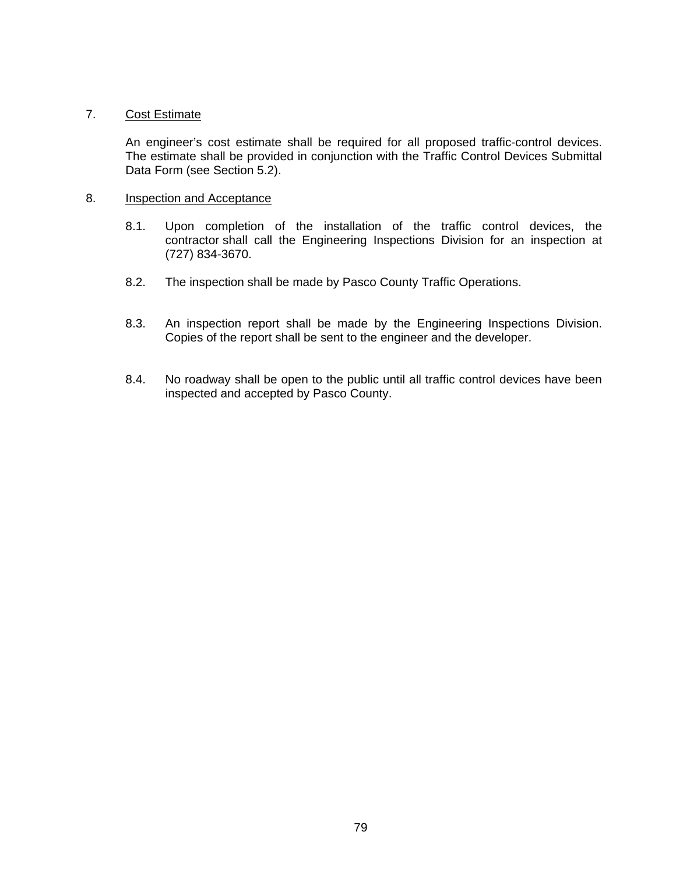## 7. Cost Estimate

An engineer's cost estimate shall be required for all proposed traffic-control devices. The estimate shall be provided in conjunction with the Traffic Control Devices Submittal Data Form (see Section 5.2).

#### 8. Inspection and Acceptance

- 8.1. Upon completion of the installation of the traffic control devices, the contractor shall call the Engineering Inspections Division for an inspection at (727) 834-3670.
- 8.2. The inspection shall be made by Pasco County Traffic Operations.
- 8.3. An inspection report shall be made by the Engineering Inspections Division. Copies of the report shall be sent to the engineer and the developer.
- 8.4. No roadway shall be open to the public until all traffic control devices have been inspected and accepted by Pasco County.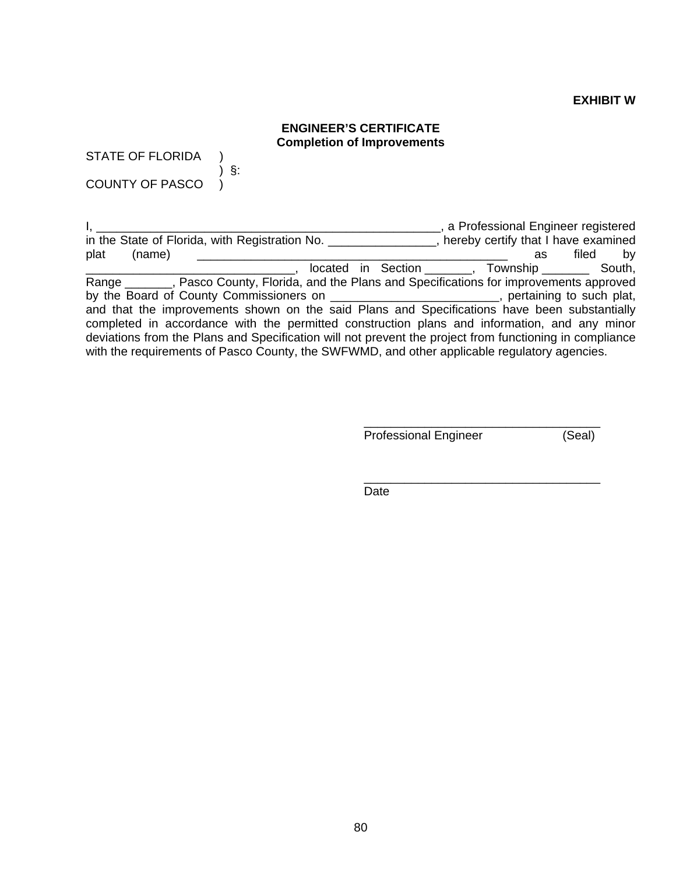#### **EXHIBIT W**

# **ENGINEER'S CERTIFICATE Completion of Improvements**

STATE OF FLORIDA ) ) §:

COUNTY OF PASCO )

I, \_\_\_\_\_\_\_\_\_\_\_\_\_\_\_\_\_\_\_\_\_\_\_\_\_\_\_\_\_\_\_\_\_\_\_\_\_\_\_\_\_\_\_\_\_\_\_\_\_\_\_, a Professional Engineer registered in the State of Florida, with Registration No. \_\_\_\_\_\_\_\_\_\_\_\_\_\_\_\_, hereby certify that I have examined plat (name) \_\_\_\_\_\_\_\_\_\_\_\_\_\_\_\_\_\_\_\_\_\_\_\_\_\_\_\_\_\_\_\_\_\_\_\_\_\_\_\_\_\_\_\_\_\_ as filed by \_\_\_\_\_\_\_\_\_\_\_\_\_\_\_\_\_\_\_\_\_\_\_\_\_\_\_\_\_\_\_, located in Section \_\_\_\_\_\_\_, Township \_\_\_\_\_\_\_ South, Range \_\_\_\_\_\_, Pasco County, Florida, and the Plans and Specifications for improvements approved by the Board of County Commissioners on \_\_\_\_\_\_\_\_\_\_\_\_\_\_\_\_\_\_\_\_\_\_\_\_\_\_, pertaining to such plat, and that the improvements shown on the said Plans and Specifications have been substantially completed in accordance with the permitted construction plans and information, and any minor deviations from the Plans and Specification will not prevent the project from functioning in compliance with the requirements of Pasco County, the SWFWMD, and other applicable regulatory agencies.

 $\overline{\phantom{a}}$  , which is a set of the contract of the contract of the contract of the contract of the contract of the contract of the contract of the contract of the contract of the contract of the contract of the contract

 $\overline{\phantom{a}}$  , which is a set of the set of the set of the set of the set of the set of the set of the set of the set of the set of the set of the set of the set of the set of the set of the set of the set of the set of th

Professional Engineer (Seal)

**Date Date Date Date**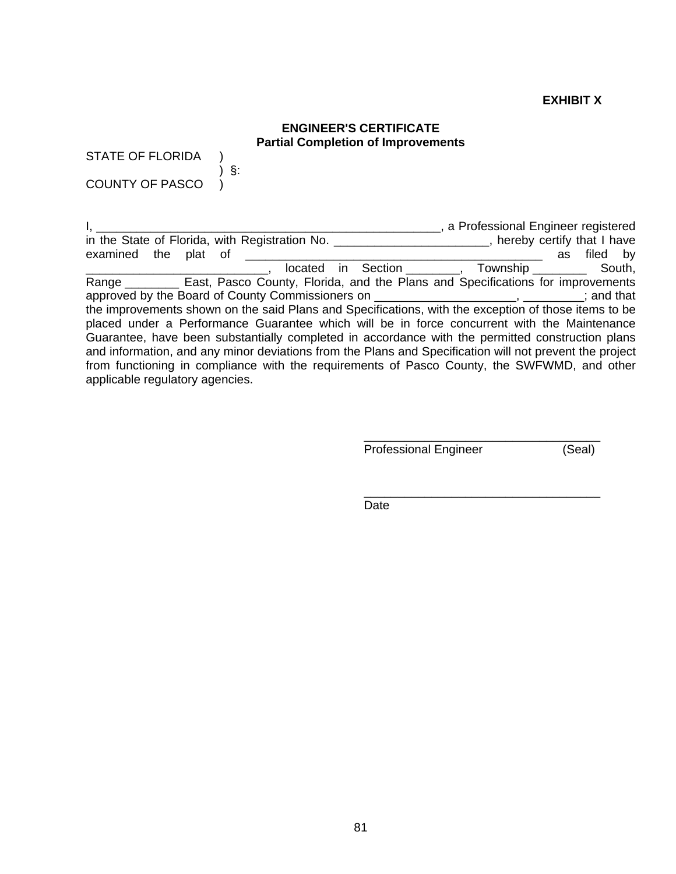# **EXHIBIT X**

# **ENGINEER'S CERTIFICATE Partial Completion of Improvements**

STATE OF FLORIDA )

) §:

COUNTY OF PASCO )

|                                                                                                         | a Professional Engineer registered      |    |          |  |
|---------------------------------------------------------------------------------------------------------|-----------------------------------------|----|----------|--|
| in the State of Florida, with Registration No. __                                                       | _, hereby certify that I have           |    |          |  |
| examined the plat of                                                                                    |                                         | as | filed by |  |
|                                                                                                         | located in Section (1), Township South, |    |          |  |
| Range ___________ East, Pasco County, Florida, and the Plans and Specifications for improvements        |                                         |    |          |  |
| approved by the Board of County Commissioners on _______________________________; and that              |                                         |    |          |  |
| the improvements shown on the said Plans and Specifications, with the exception of those items to be    |                                         |    |          |  |
| placed under a Performance Guarantee which will be in force concurrent with the Maintenance             |                                         |    |          |  |
| Guarantee, have been substantially completed in accordance with the permitted construction plans        |                                         |    |          |  |
| and information, and any minor deviations from the Plans and Specification will not prevent the project |                                         |    |          |  |
| from functioning in compliance with the requirements of Pasco County, the SWFWMD, and other             |                                         |    |          |  |
| applicable regulatory agencies.                                                                         |                                         |    |          |  |

 $\overline{\phantom{a}}$  , which is a set of the contract of the contract of the contract of the contract of the contract of the contract of the contract of the contract of the contract of the contract of the contract of the contract Professional Engineer (Seal)

**Date Date Date Date** 

 $\overline{\phantom{a}}$  , which is a set of the contract of the contract of the contract of the contract of the contract of the contract of the contract of the contract of the contract of the contract of the contract of the contract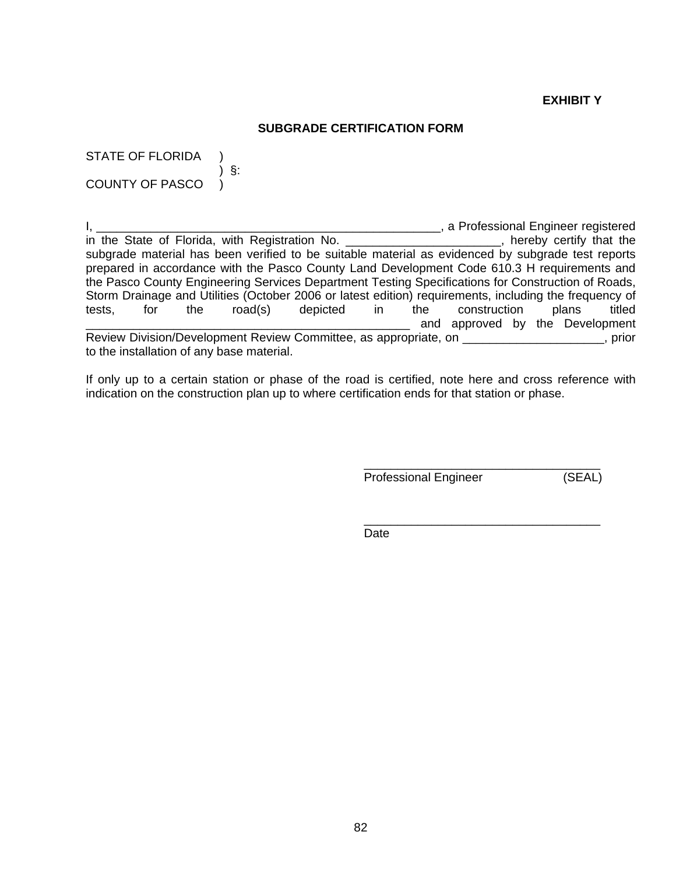# **EXHIBIT Y**

#### **SUBGRADE CERTIFICATION FORM**

STATE OF FLORIDA ) ) §: COUNTY OF PASCO )

I, 1. 1. 2008 1. 2018 1. 2018 1. 2019 1. 1. 2019 1. 2019 1. 2019 1. 2019 1. 2019 1. 2019 1. 2019 1. 2019 1. 201<br>
In the State of Florida, with Registration No. 2018 2. 2019 2. 2019 1. 2019 1. 2019 1. 2019 1. 2019 1. 2019 1 in the State of Florida, with Registration No. subgrade material has been verified to be suitable material as evidenced by subgrade test reports prepared in accordance with the Pasco County Land Development Code 610.3 H requirements and the Pasco County Engineering Services Department Testing Specifications for Construction of Roads, Storm Drainage and Utilities (October 2006 or latest edition) requirements, including the frequency of tests, for the road(s) depicted in the construction plans titled and approved by the Development Review Division/Development Review Committee, as appropriate, on \_\_\_\_\_\_\_\_\_\_\_\_\_\_\_\_\_\_\_\_\_, prior to the installation of any base material.

If only up to a certain station or phase of the road is certified, note here and cross reference with indication on the construction plan up to where certification ends for that station or phase.

 $\overline{\phantom{a}}$  , which is a set of the set of the set of the set of the set of the set of the set of the set of the set of the set of the set of the set of the set of the set of the set of the set of the set of the set of th

 $\overline{\phantom{a}}$  , which is a set of the set of the set of the set of the set of the set of the set of the set of the set of the set of the set of the set of the set of the set of the set of the set of the set of the set of th

Professional Engineer (SEAL)

**Date Date Date Date**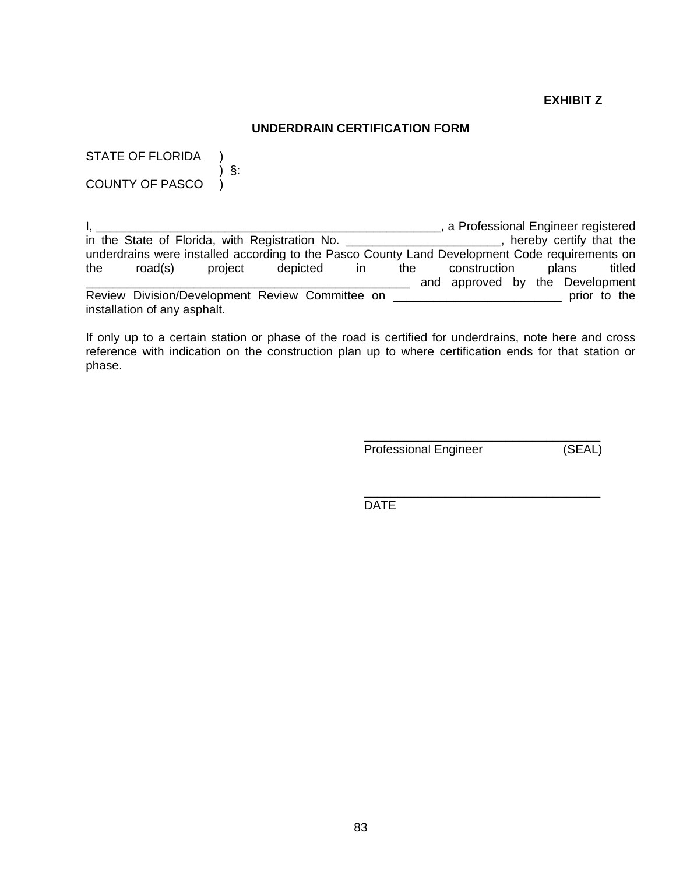# **EXHIBIT Z**

## **UNDERDRAIN CERTIFICATION FORM**

STATE OF FLORIDA ) ) §: COUNTY OF PASCO )

I, \_\_\_\_\_\_\_\_\_\_\_\_\_\_\_\_\_\_\_\_\_\_\_\_\_\_\_\_\_\_\_\_\_\_\_\_\_\_\_\_\_\_\_\_\_\_\_\_\_\_\_, a Professional Engineer registered in the State of Florida, with Registration No. \_\_\_\_\_\_\_\_\_\_\_\_\_\_\_\_\_\_\_\_\_\_\_, hereby certify that the underdrains were installed according to the Pasco County Land Development Code requirements on the road(s) project depicted in the construction plans titled \_\_\_\_\_\_\_ and approved by the Development Review Division/Development Review Committee on \_\_\_\_\_\_\_\_\_\_\_\_\_\_\_\_\_\_\_\_\_\_\_\_\_\_\_\_\_\_\_\_ prior to the installation of any asphalt.

If only up to a certain station or phase of the road is certified for underdrains, note here and cross reference with indication on the construction plan up to where certification ends for that station or phase.

Professional Engineer (SEAL)

 $\overline{\phantom{a}}$  , which is a set of the set of the set of the set of the set of the set of the set of the set of the set of the set of the set of the set of the set of the set of the set of the set of the set of the set of th

DATE

 $\overline{\phantom{a}}$  , which is a set of the set of the set of the set of the set of the set of the set of the set of the set of the set of the set of the set of the set of the set of the set of the set of the set of the set of th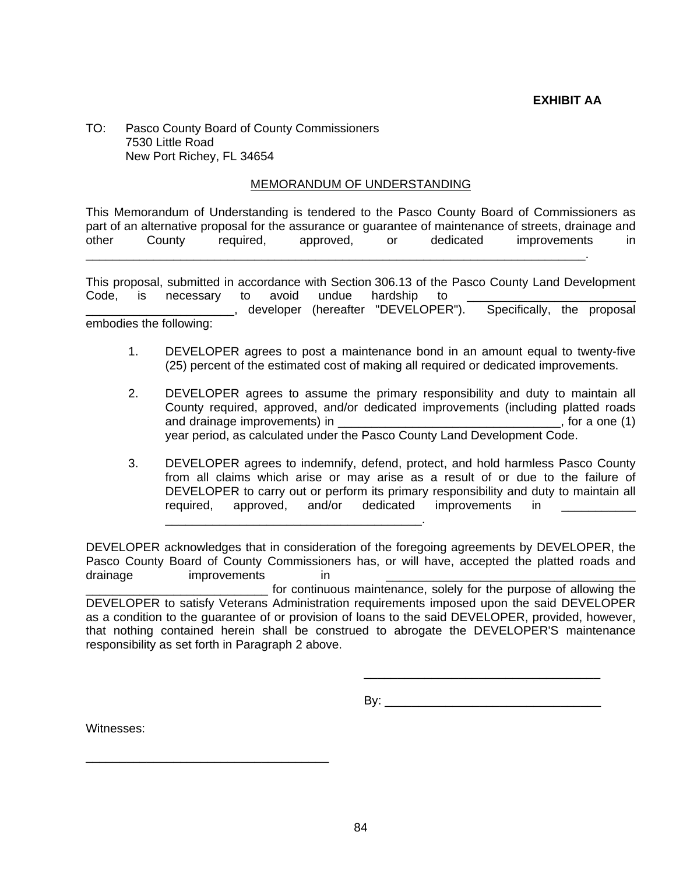TO: Pasco County Board of County Commissioners 7530 Little Road New Port Richey, FL 34654

#### MEMORANDUM OF UNDERSTANDING

This Memorandum of Understanding is tendered to the Pasco County Board of Commissioners as part of an alternative proposal for the assurance or guarantee of maintenance of streets, drainage and other County required, approved, or dedicated improvements in \_\_\_\_\_\_\_\_\_\_\_\_\_\_\_\_\_\_\_\_\_\_\_\_\_\_\_\_\_\_\_\_\_\_\_\_\_\_\_\_\_\_\_\_\_\_\_\_\_\_\_\_\_\_\_\_\_\_\_\_\_\_\_\_\_\_\_\_\_\_\_\_\_\_.

This proposal, submitted in accordance with Section 306.13 of the Pasco County Land Development Code, is necessary to avoid undue hardship to **entitled as a manual contained as a** 

\_\_\_\_\_\_\_\_\_\_\_\_\_\_\_\_\_\_\_\_\_\_, developer (hereafter "DEVELOPER"). Specifically, the proposal embodies the following:

- 1. DEVELOPER agrees to post a maintenance bond in an amount equal to twenty-five (25) percent of the estimated cost of making all required or dedicated improvements.
- 2. DEVELOPER agrees to assume the primary responsibility and duty to maintain all County required, approved, and/or dedicated improvements (including platted roads and drainage improvements) in  $\blacksquare$ year period, as calculated under the Pasco County Land Development Code.
- 3. DEVELOPER agrees to indemnify, defend, protect, and hold harmless Pasco County from all claims which arise or may arise as a result of or due to the failure of DEVELOPER to carry out or perform its primary responsibility and duty to maintain all required, approved, and/or dedicated improvements in

DEVELOPER acknowledges that in consideration of the foregoing agreements by DEVELOPER, the Pasco County Board of County Commissioners has, or will have, accepted the platted roads and drainage improvements in

\_\_\_\_\_\_\_\_\_\_\_\_\_\_\_\_\_\_\_\_\_\_\_\_\_\_\_\_\_\_\_\_\_\_\_\_\_\_.

\_\_\_\_\_\_\_\_\_\_\_\_\_\_\_\_\_\_\_\_\_\_\_\_\_\_\_ for continuous maintenance, solely for the purpose of allowing the DEVELOPER to satisfy Veterans Administration requirements imposed upon the said DEVELOPER as a condition to the guarantee of or provision of loans to the said DEVELOPER, provided, however, that nothing contained herein shall be construed to abrogate the DEVELOPER'S maintenance responsibility as set forth in Paragraph 2 above.

 $\overline{\phantom{a}}$  , which is a set of the contract of the contract of the contract of the contract of the contract of the contract of the contract of the contract of the contract of the contract of the contract of the contract

By: \_\_\_\_\_\_\_\_\_\_\_\_\_\_\_\_\_\_\_\_\_\_\_\_\_\_\_\_\_\_\_\_

Witnesses:

\_\_\_\_\_\_\_\_\_\_\_\_\_\_\_\_\_\_\_\_\_\_\_\_\_\_\_\_\_\_\_\_\_\_\_\_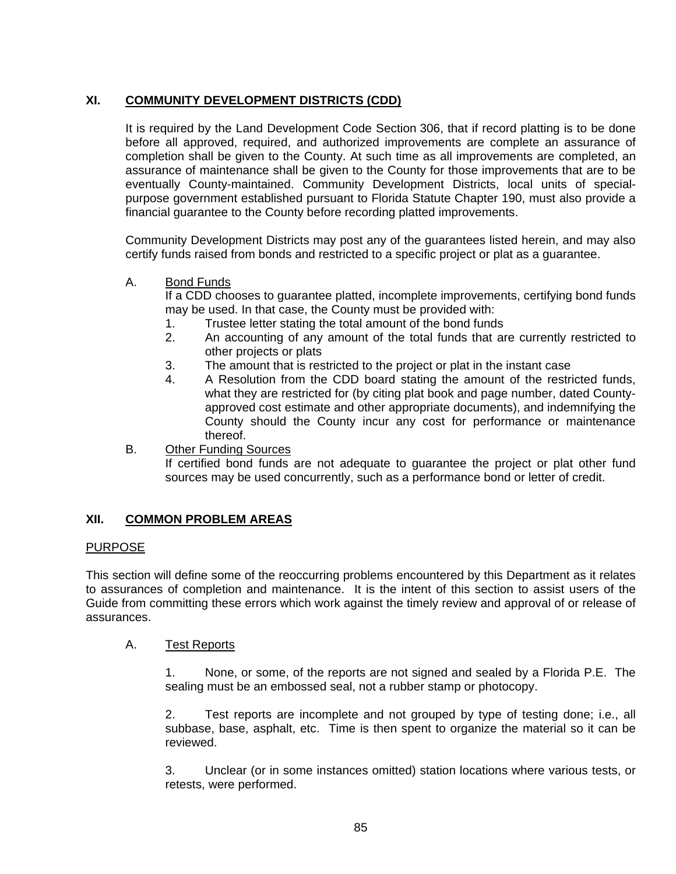# **XI. COMMUNITY DEVELOPMENT DISTRICTS (CDD)**

It is required by the Land Development Code Section 306, that if record platting is to be done before all approved, required, and authorized improvements are complete an assurance of completion shall be given to the County. At such time as all improvements are completed, an assurance of maintenance shall be given to the County for those improvements that are to be eventually County-maintained. Community Development Districts, local units of specialpurpose government established pursuant to Florida Statute Chapter 190, must also provide a financial guarantee to the County before recording platted improvements.

Community Development Districts may post any of the guarantees listed herein, and may also certify funds raised from bonds and restricted to a specific project or plat as a guarantee.

# A. Bond Funds

If a CDD chooses to guarantee platted, incomplete improvements, certifying bond funds may be used. In that case, the County must be provided with:

- 1. Trustee letter stating the total amount of the bond funds
- 2. An accounting of any amount of the total funds that are currently restricted to other projects or plats
- 3. The amount that is restricted to the project or plat in the instant case
- 4. A Resolution from the CDD board stating the amount of the restricted funds, what they are restricted for (by citing plat book and page number, dated Countyapproved cost estimate and other appropriate documents), and indemnifying the County should the County incur any cost for performance or maintenance thereof.
- B. Other Funding Sources

If certified bond funds are not adequate to guarantee the project or plat other fund sources may be used concurrently, such as a performance bond or letter of credit.

# **XII. COMMON PROBLEM AREAS**

# PURPOSE

This section will define some of the reoccurring problems encountered by this Department as it relates to assurances of completion and maintenance. It is the intent of this section to assist users of the Guide from committing these errors which work against the timely review and approval of or release of assurances.

# A. Test Reports

1. None, or some, of the reports are not signed and sealed by a Florida P.E. The sealing must be an embossed seal, not a rubber stamp or photocopy.

2. Test reports are incomplete and not grouped by type of testing done; i.e., all subbase, base, asphalt, etc. Time is then spent to organize the material so it can be reviewed.

3. Unclear (or in some instances omitted) station locations where various tests, or retests, were performed.